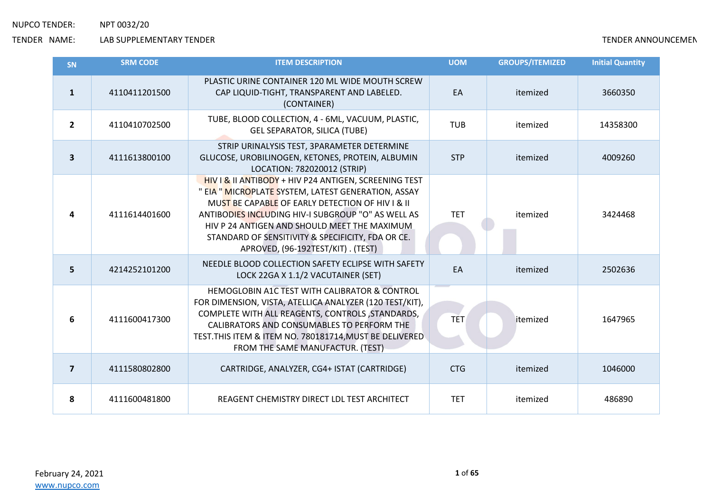| <b>SN</b>               | <b>SRM CODE</b> | <b>ITEM DESCRIPTION</b>                                                                                                                                                                                                                                                                                                                                          | <b>UOM</b> | <b>GROUPS/ITEMIZED</b> | <b>Initial Quantity</b> |
|-------------------------|-----------------|------------------------------------------------------------------------------------------------------------------------------------------------------------------------------------------------------------------------------------------------------------------------------------------------------------------------------------------------------------------|------------|------------------------|-------------------------|
| $\mathbf{1}$            | 4110411201500   | PLASTIC URINE CONTAINER 120 ML WIDE MOUTH SCREW<br>CAP LIQUID-TIGHT, TRANSPARENT AND LABELED.<br>(CONTAINER)                                                                                                                                                                                                                                                     | EA         | itemized               | 3660350                 |
| $\overline{2}$          | 4110410702500   | TUBE, BLOOD COLLECTION, 4 - 6ML, VACUUM, PLASTIC,<br><b>GEL SEPARATOR, SILICA (TUBE)</b>                                                                                                                                                                                                                                                                         | <b>TUB</b> | itemized               | 14358300                |
| $\overline{\mathbf{3}}$ | 4111613800100   | STRIP URINALYSIS TEST, 3PARAMETER DETERMINE<br>GLUCOSE, UROBILINOGEN, KETONES, PROTEIN, ALBUMIN<br>LOCATION: 782020012 (STRIP)                                                                                                                                                                                                                                   | <b>STP</b> | itemized               | 4009260                 |
| 4                       | 4111614401600   | HIV I & II ANTIBODY + HIV P24 ANTIGEN, SCREENING TEST<br>" EIA " MICROPLATE SYSTEM, LATEST GENERATION, ASSAY<br>MUST BE CAPABLE OF EARLY DETECTION OF HIV I & II<br>ANTIBODIES INCLUDING HIV-I SUBGROUP "O" AS WELL AS<br>HIV P 24 ANTIGEN AND SHOULD MEET THE MAXIMUM<br>STANDARD OF SENSITIVITY & SPECIFICITY, FDA OR CE.<br>APROVED, (96-192TEST/KIT). (TEST) | <b>TET</b> | itemized               | 3424468                 |
| 5                       | 4214252101200   | NEEDLE BLOOD COLLECTION SAFETY ECLIPSE WITH SAFETY<br>LOCK 22GA X 1.1/2 VACUTAINER (SET)                                                                                                                                                                                                                                                                         | EA         | itemized               | 2502636                 |
| 6                       | 4111600417300   | HEMOGLOBIN A1C TEST WITH CALIBRATOR & CONTROL<br>FOR DIMENSION, VISTA, ATELLICA ANALYZER (120 TEST/KIT),<br>COMPLETE WITH ALL REAGENTS, CONTROLS, STANDARDS,<br>CALIBRATORS AND CONSUMABLES TO PERFORM THE<br>TEST. THIS ITEM & ITEM NO. 780181714, MUST BE DELIVERED<br>FROM THE SAME MANUFACTUR. (TEST)                                                        | <b>TET</b> | itemized               | 1647965                 |
| $\overline{7}$          | 4111580802800   | CARTRIDGE, ANALYZER, CG4+ ISTAT (CARTRIDGE)                                                                                                                                                                                                                                                                                                                      | <b>CTG</b> | itemized               | 1046000                 |
| 8                       | 4111600481800   | REAGENT CHEMISTRY DIRECT LDL TEST ARCHITECT                                                                                                                                                                                                                                                                                                                      | <b>TET</b> | itemized               | 486890                  |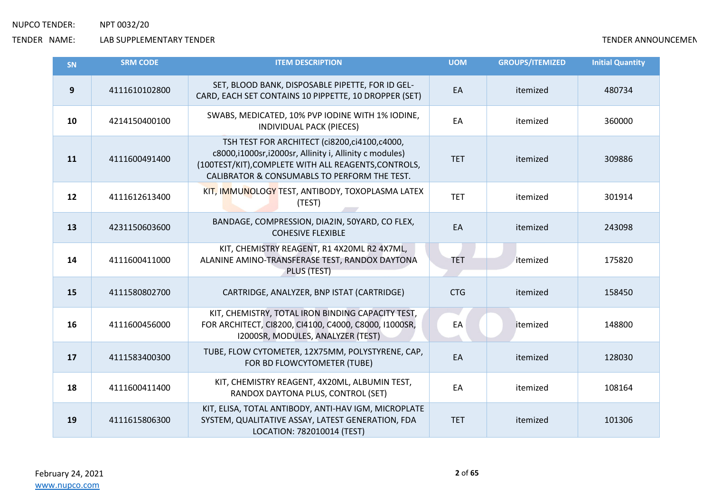| SN | <b>SRM CODE</b> | <b>ITEM DESCRIPTION</b>                                                                                                                                                                                        | <b>UOM</b> | <b>GROUPS/ITEMIZED</b> | <b>Initial Quantity</b> |
|----|-----------------|----------------------------------------------------------------------------------------------------------------------------------------------------------------------------------------------------------------|------------|------------------------|-------------------------|
| 9  | 4111610102800   | SET, BLOOD BANK, DISPOSABLE PIPETTE, FOR ID GEL-<br>CARD, EACH SET CONTAINS 10 PIPPETTE, 10 DROPPER (SET)                                                                                                      | EA         | itemized               | 480734                  |
| 10 | 4214150400100   | SWABS, MEDICATED, 10% PVP IODINE WITH 1% IODINE,<br>INDIVIDUAL PACK (PIECES)                                                                                                                                   | EA         | itemized               | 360000                  |
| 11 | 4111600491400   | TSH TEST FOR ARCHITECT (ci8200,ci4100,c4000,<br>c8000,i1000sr,i2000sr, Allinity i, Allinity c modules)<br>(100TEST/KIT), COMPLETE WITH ALL REAGENTS, CONTROLS,<br>CALIBRATOR & CONSUMABLS TO PERFORM THE TEST. | <b>TET</b> | itemized               | 309886                  |
| 12 | 4111612613400   | KIT, IMMUNOLOGY TEST, ANTIBODY, TOXOPLASMA LATEX<br>(TEST)                                                                                                                                                     | <b>TET</b> | itemized               | 301914                  |
| 13 | 4231150603600   | BANDAGE, COMPRESSION, DIA2IN, 50YARD, CO FLEX,<br><b>COHESIVE FLEXIBLE</b>                                                                                                                                     | EA         | itemized               | 243098                  |
| 14 | 4111600411000   | KIT, CHEMISTRY REAGENT, R1 4X20ML R2 4X7ML,<br>ALANINE AMINO-TRANSFERASE TEST, RANDOX DAYTONA<br>PLUS (TEST)                                                                                                   | <b>TET</b> | itemized               | 175820                  |
| 15 | 4111580802700   | CARTRIDGE, ANALYZER, BNP ISTAT (CARTRIDGE)                                                                                                                                                                     | <b>CTG</b> | itemized               | 158450                  |
| 16 | 4111600456000   | KIT, CHEMISTRY, TOTAL IRON BINDING CAPACITY TEST,<br>FOR ARCHITECT, CI8200, CI4100, C4000, C8000, I1000SR,<br>I2000SR, MODULES, ANALYZER (TEST)                                                                | EA         | itemized               | 148800                  |
| 17 | 4111583400300   | TUBE, FLOW CYTOMETER, 12X75MM, POLYSTYRENE, CAP,<br>FOR BD FLOWCYTOMETER (TUBE)                                                                                                                                | EA         | itemized               | 128030                  |
| 18 | 4111600411400   | KIT, CHEMISTRY REAGENT, 4X20ML, ALBUMIN TEST,<br>RANDOX DAYTONA PLUS, CONTROL (SET)                                                                                                                            | EA         | itemized               | 108164                  |
| 19 | 4111615806300   | KIT, ELISA, TOTAL ANTIBODY, ANTI-HAV IGM, MICROPLATE<br>SYSTEM, QUALITATIVE ASSAY, LATEST GENERATION, FDA<br>LOCATION: 782010014 (TEST)                                                                        | <b>TET</b> | itemized               | 101306                  |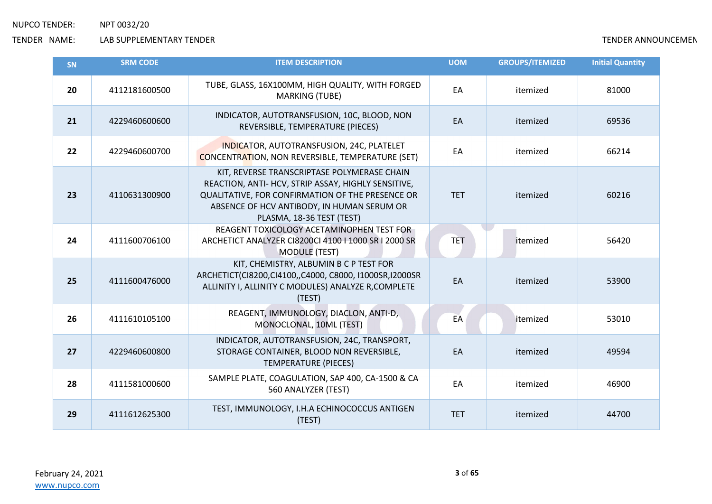| <b>SN</b> | <b>SRM CODE</b> | <b>ITEM DESCRIPTION</b>                                                                                                                                                                                                           | <b>UOM</b> | <b>GROUPS/ITEMIZED</b> | <b>Initial Quantity</b> |
|-----------|-----------------|-----------------------------------------------------------------------------------------------------------------------------------------------------------------------------------------------------------------------------------|------------|------------------------|-------------------------|
| 20        | 4112181600500   | TUBE, GLASS, 16X100MM, HIGH QUALITY, WITH FORGED<br><b>MARKING (TUBE)</b>                                                                                                                                                         | EA         | itemized               | 81000                   |
| 21        | 4229460600600   | INDICATOR, AUTOTRANSFUSION, 10C, BLOOD, NON<br>REVERSIBLE, TEMPERATURE (PIECES)                                                                                                                                                   | EA         | itemized               | 69536                   |
| 22        | 4229460600700   | INDICATOR, AUTOTRANSFUSION, 24C, PLATELET<br><b>CONCENTRATION, NON REVERSIBLE, TEMPERATURE (SET)</b>                                                                                                                              | EA         | itemized               | 66214                   |
| 23        | 4110631300900   | KIT, REVERSE TRANSCRIPTASE POLYMERASE CHAIN<br>REACTION, ANTI- HCV, STRIP ASSAY, HIGHLY SENSITIVE,<br>QUALITATIVE, FOR CONFIRMATION OF THE PRESENCE OR<br>ABSENCE OF HCV ANTIBODY, IN HUMAN SERUM OR<br>PLASMA, 18-36 TEST (TEST) | <b>TET</b> | itemized               | 60216                   |
| 24        | 4111600706100   | REAGENT TOXICOLOGY ACETAMINOPHEN TEST FOR<br>ARCHETICT ANALYZER CI8200CI 4100   1000 SR   2000 SR<br><b>MODULE (TEST)</b>                                                                                                         | <b>TET</b> | itemized               | 56420                   |
| 25        | 4111600476000   | KIT, CHEMISTRY, ALBUMIN B C P TEST FOR<br>ARCHETICT(CI8200,CI4100,,C4000, C8000, I1000SR,I2000SR<br>ALLINITY I, ALLINITY C MODULES) ANALYZE R, COMPLETE<br>(TEST)                                                                 | EA         | itemized               | 53900                   |
| 26        | 4111610105100   | REAGENT, IMMUNOLOGY, DIACLON, ANTI-D,<br>MONOCLONAL, 10ML (TEST)                                                                                                                                                                  | EA         | itemized               | 53010                   |
| 27        | 4229460600800   | INDICATOR, AUTOTRANSFUSION, 24C, TRANSPORT,<br>STORAGE CONTAINER, BLOOD NON REVERSIBLE,<br><b>TEMPERATURE (PIECES)</b>                                                                                                            | EA         | itemized               | 49594                   |
| 28        | 4111581000600   | SAMPLE PLATE, COAGULATION, SAP 400, CA-1500 & CA<br>560 ANALYZER (TEST)                                                                                                                                                           | EA         | itemized               | 46900                   |
| 29        | 4111612625300   | TEST, IMMUNOLOGY, I.H.A ECHINOCOCCUS ANTIGEN<br>(TEST)                                                                                                                                                                            | <b>TET</b> | itemized               | 44700                   |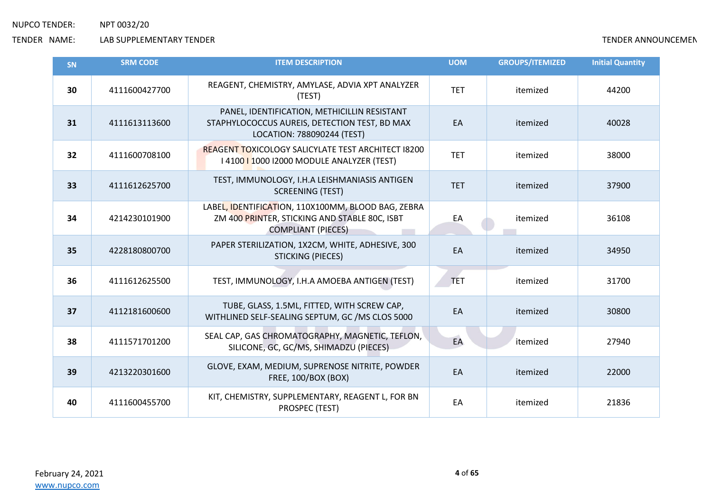| <b>SN</b> | <b>SRM CODE</b> | <b>ITEM DESCRIPTION</b>                                                                                                          | <b>UOM</b> | <b>GROUPS/ITEMIZED</b> | <b>Initial Quantity</b> |
|-----------|-----------------|----------------------------------------------------------------------------------------------------------------------------------|------------|------------------------|-------------------------|
| 30        | 4111600427700   | REAGENT, CHEMISTRY, AMYLASE, ADVIA XPT ANALYZER<br>(TEST)                                                                        | <b>TET</b> | itemized               | 44200                   |
| 31        | 4111613113600   | PANEL, IDENTIFICATION, METHICILLIN RESISTANT<br>STAPHYLOCOCCUS AUREIS, DETECTION TEST, BD MAX<br>LOCATION: 788090244 (TEST)      | EA         | itemized               | 40028                   |
| 32        | 4111600708100   | <b>REAGENT TOXICOLOGY SALICYLATE TEST ARCHITECT 18200</b><br>I 4100   1000   2000 MODULE ANALYZER (TEST)                         | <b>TET</b> | itemized               | 38000                   |
| 33        | 4111612625700   | TEST, IMMUNOLOGY, I.H.A LEISHMANIASIS ANTIGEN<br><b>SCREENING (TEST)</b>                                                         | <b>TET</b> | itemized               | 37900                   |
| 34        | 4214230101900   | LABEL, IDENTIFICATION, 110X100MM, BLOOD BAG, ZEBRA<br>ZM 400 PRINTER, STICKING AND STABLE 80C, ISBT<br><b>COMPLIANT (PIECES)</b> | EA         | itemized               | 36108                   |
| 35        | 4228180800700   | PAPER STERILIZATION, 1X2CM, WHITE, ADHESIVE, 300<br><b>STICKING (PIECES)</b>                                                     | EA         | itemized               | 34950                   |
| 36        | 4111612625500   | TEST, IMMUNOLOGY, I.H.A AMOEBA ANTIGEN (TEST)                                                                                    | <b>TET</b> | itemized               | 31700                   |
| 37        | 4112181600600   | TUBE, GLASS, 1.5ML, FITTED, WITH SCREW CAP,<br>WITHLINED SELF-SEALING SEPTUM, GC /MS CLOS 5000                                   | EA         | itemized               | 30800                   |
| 38        | 4111571701200   | SEAL CAP, GAS CHROMATOGRAPHY, MAGNETIC, TEFLON,<br>SILICONE, GC, GC/MS, SHIMADZU (PIECES)                                        | EA         | itemized               | 27940                   |
| 39        | 4213220301600   | GLOVE, EXAM, MEDIUM, SUPRENOSE NITRITE, POWDER<br><b>FREE, 100/BOX (BOX)</b>                                                     | EA         | itemized               | 22000                   |
| 40        | 4111600455700   | KIT, CHEMISTRY, SUPPLEMENTARY, REAGENT L, FOR BN<br>PROSPEC (TEST)                                                               | EA         | itemized               | 21836                   |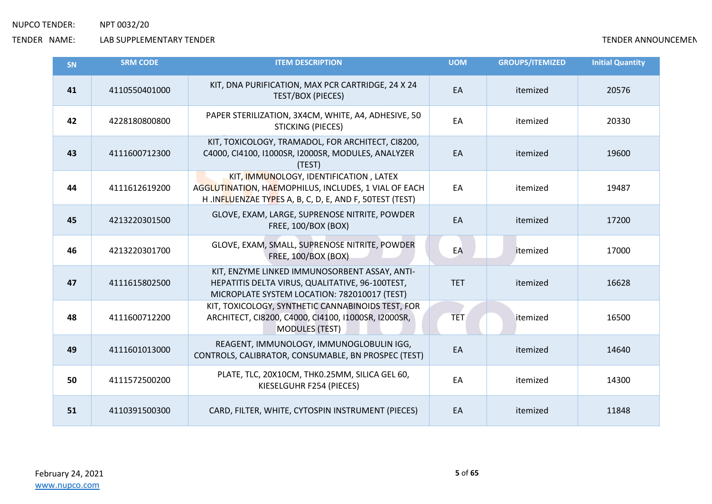| <b>SN</b> | <b>SRM CODE</b> | <b>ITEM DESCRIPTION</b>                                                                                                                                  | <b>UOM</b> | <b>GROUPS/ITEMIZED</b> | <b>Initial Quantity</b> |
|-----------|-----------------|----------------------------------------------------------------------------------------------------------------------------------------------------------|------------|------------------------|-------------------------|
| 41        | 4110550401000   | KIT, DNA PURIFICATION, MAX PCR CARTRIDGE, 24 X 24<br><b>TEST/BOX (PIECES)</b>                                                                            | EA         | itemized               | 20576                   |
| 42        | 4228180800800   | PAPER STERILIZATION, 3X4CM, WHITE, A4, ADHESIVE, 50<br><b>STICKING (PIECES)</b>                                                                          | EA         | itemized               | 20330                   |
| 43        | 4111600712300   | KIT, TOXICOLOGY, TRAMADOL, FOR ARCHITECT, CI8200,<br>C4000, CI4100, I1000SR, I2000SR, MODULES, ANALYZER<br>(TEST)                                        | EA         | itemized               | 19600                   |
| 44        | 4111612619200   | KIT, IMMUNOLOGY, IDENTIFICATION, LATEX<br>AGGLUTINATION, HAEMOPHILUS, INCLUDES, 1 VIAL OF EACH<br>H.INFLUENZAE TYPES A, B, C, D, E, AND F, 50TEST (TEST) | EA         | itemized               | 19487                   |
| 45        | 4213220301500   | GLOVE, EXAM, LARGE, SUPRENOSE NITRITE, POWDER<br><b>FREE, 100/BOX (BOX)</b>                                                                              | EA         | itemized               | 17200                   |
| 46        | 4213220301700   | GLOVE, EXAM, SMALL, SUPRENOSE NITRITE, POWDER<br><b>FREE, 100/BOX (BOX)</b>                                                                              | EA         | itemized               | 17000                   |
| 47        | 4111615802500   | KIT, ENZYME LINKED IMMUNOSORBENT ASSAY, ANTI-<br>HEPATITIS DELTA VIRUS, QUALITATIVE, 96-100TEST,<br>MICROPLATE SYSTEM LOCATION: 782010017 (TEST)         | <b>TET</b> | itemized               | 16628                   |
| 48        | 4111600712200   | KIT, TOXICOLOGY, SYNTHETIC CANNABINOIDS TEST, FOR<br>ARCHITECT, CI8200, C4000, CI4100, I1000SR, I2000SR,<br><b>MODULES (TEST)</b>                        | <b>TET</b> | itemized               | 16500                   |
| 49        | 4111601013000   | REAGENT, IMMUNOLOGY, IMMUNOGLOBULIN IGG,<br>CONTROLS, CALIBRATOR, CONSUMABLE, BN PROSPEC (TEST)                                                          | EA         | itemized               | 14640                   |
| 50        | 4111572500200   | PLATE, TLC, 20X10CM, THK0.25MM, SILICA GEL 60,<br>KIESELGUHR F254 (PIECES)                                                                               | EA         | itemized               | 14300                   |
| 51        | 4110391500300   | CARD, FILTER, WHITE, CYTOSPIN INSTRUMENT (PIECES)                                                                                                        | EA         | itemized               | 11848                   |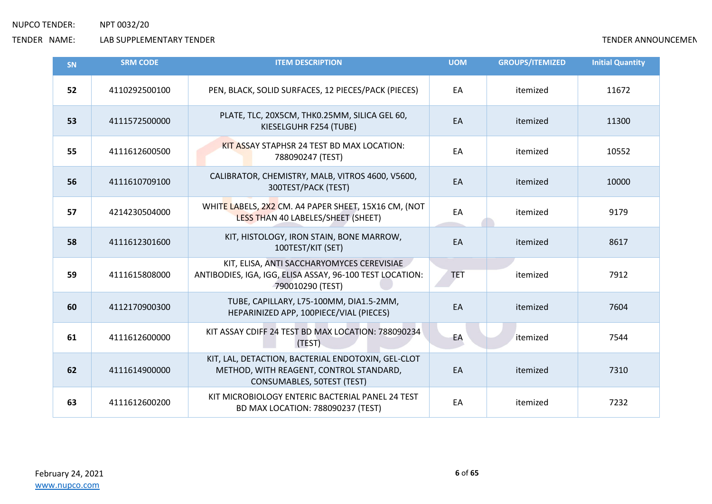| <b>SN</b> | <b>SRM CODE</b> | <b>ITEM DESCRIPTION</b>                                                                                                     | <b>UOM</b> | <b>GROUPS/ITEMIZED</b> | <b>Initial Quantity</b> |
|-----------|-----------------|-----------------------------------------------------------------------------------------------------------------------------|------------|------------------------|-------------------------|
| 52        | 4110292500100   | PEN, BLACK, SOLID SURFACES, 12 PIECES/PACK (PIECES)                                                                         | EA         | itemized               | 11672                   |
| 53        | 4111572500000   | PLATE, TLC, 20X5CM, THK0.25MM, SILICA GEL 60,<br>KIESELGUHR F254 (TUBE)                                                     | EA         | itemized               | 11300                   |
| 55        | 4111612600500   | KIT ASSAY STAPHSR 24 TEST BD MAX LOCATION:<br>788090247 (TEST)                                                              | EA         | itemized               | 10552                   |
| 56        | 4111610709100   | CALIBRATOR, CHEMISTRY, MALB, VITROS 4600, V5600,<br>300TEST/PACK (TEST)                                                     | EA         | itemized               | 10000                   |
| 57        | 4214230504000   | WHITE LABELS, 2X2 CM. A4 PAPER SHEET, 15X16 CM, (NOT<br>LESS THAN 40 LABELES/SHEET (SHEET)                                  | EA         | itemized               | 9179                    |
| 58        | 4111612301600   | KIT, HISTOLOGY, IRON STAIN, BONE MARROW,<br>100TEST/KIT (SET)                                                               | EA         | itemized               | 8617                    |
| 59        | 4111615808000   | KIT, ELISA, ANTI SACCHARYOMYCES CEREVISIAE<br>ANTIBODIES, IGA, IGG, ELISA ASSAY, 96-100 TEST LOCATION:<br>790010290 (TEST)  | <b>TET</b> | itemized               | 7912                    |
| 60        | 4112170900300   | TUBE, CAPILLARY, L75-100MM, DIA1.5-2MM,<br>HEPARINIZED APP, 100PIECE/VIAL (PIECES)                                          | EA         | itemized               | 7604                    |
| 61        | 4111612600000   | KIT ASSAY CDIFF 24 TEST BD MAX LOCATION: 788090234<br>(TEST)                                                                | EA         | itemized               | 7544                    |
| 62        | 4111614900000   | KIT, LAL, DETACTION, BACTERIAL ENDOTOXIN, GEL-CLOT<br>METHOD, WITH REAGENT, CONTROL STANDARD,<br>CONSUMABLES, 50TEST (TEST) | EA         | itemized               | 7310                    |
| 63        | 4111612600200   | KIT MICROBIOLOGY ENTERIC BACTERIAL PANEL 24 TEST<br>BD MAX LOCATION: 788090237 (TEST)                                       | EA         | itemized               | 7232                    |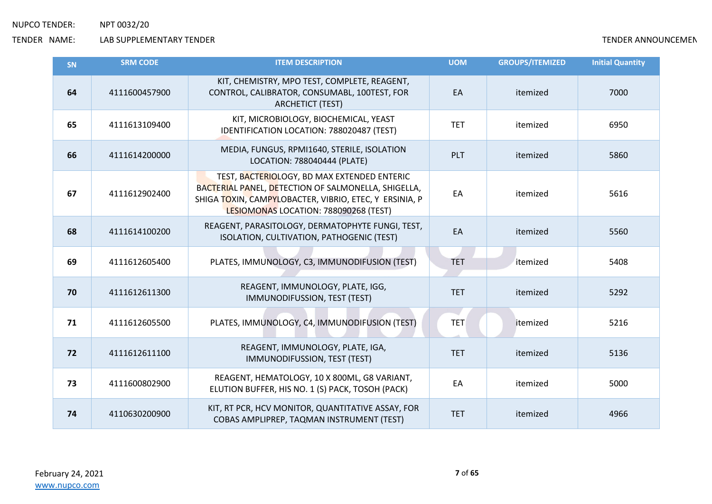| <b>SN</b> | <b>SRM CODE</b> | <b>ITEM DESCRIPTION</b>                                                                                                                                                                               | <b>UOM</b> | <b>GROUPS/ITEMIZED</b> | <b>Initial Quantity</b> |
|-----------|-----------------|-------------------------------------------------------------------------------------------------------------------------------------------------------------------------------------------------------|------------|------------------------|-------------------------|
| 64        | 4111600457900   | KIT, CHEMISTRY, MPO TEST, COMPLETE, REAGENT,<br>CONTROL, CALIBRATOR, CONSUMABL, 100TEST, FOR<br><b>ARCHETICT (TEST)</b>                                                                               | EA         | itemized               | 7000                    |
| 65        | 4111613109400   | KIT, MICROBIOLOGY, BIOCHEMICAL, YEAST<br>IDENTIFICATION LOCATION: 788020487 (TEST)                                                                                                                    | <b>TET</b> | itemized               | 6950                    |
| 66        | 4111614200000   | MEDIA, FUNGUS, RPMI1640, STERILE, ISOLATION<br>LOCATION: 788040444 (PLATE)                                                                                                                            | PLT        | itemized               | 5860                    |
| 67        | 4111612902400   | TEST, BACTERIOLOGY, BD MAX EXTENDED ENTERIC<br>BACTERIAL PANEL, DETECTION OF SALMONELLA, SHIGELLA,<br>SHIGA TOXIN, CAMPYLOBACTER, VIBRIO, ETEC, Y ERSINIA, P<br>LESIOMONAS LOCATION: 788090268 (TEST) | EA         | itemized               | 5616                    |
| 68        | 4111614100200   | REAGENT, PARASITOLOGY, DERMATOPHYTE FUNGI, TEST,<br>ISOLATION, CULTIVATION, PATHOGENIC (TEST)                                                                                                         | EA         | itemized               | 5560                    |
| 69        | 4111612605400   | PLATES, IMMUNOLOGY, C3, IMMUNODIFUSION (TEST)                                                                                                                                                         | <b>TET</b> | itemized               | 5408                    |
| 70        | 4111612611300   | REAGENT, IMMUNOLOGY, PLATE, IGG,<br>IMMUNODIFUSSION, TEST (TEST)                                                                                                                                      | <b>TET</b> | itemized               | 5292                    |
| 71        | 4111612605500   | PLATES, IMMUNOLOGY, C4, IMMUNODIFUSION (TEST)                                                                                                                                                         | <b>TET</b> | itemized               | 5216                    |
| 72        | 4111612611100   | REAGENT, IMMUNOLOGY, PLATE, IGA,<br>IMMUNODIFUSSION, TEST (TEST)                                                                                                                                      | <b>TET</b> | itemized               | 5136                    |
| 73        | 4111600802900   | REAGENT, HEMATOLOGY, 10 X 800ML, G8 VARIANT,<br>ELUTION BUFFER, HIS NO. 1 (S) PACK, TOSOH (PACK)                                                                                                      | EA         | itemized               | 5000                    |
| 74        | 4110630200900   | KIT, RT PCR, HCV MONITOR, QUANTITATIVE ASSAY, FOR<br>COBAS AMPLIPREP, TAQMAN INSTRUMENT (TEST)                                                                                                        | <b>TET</b> | itemized               | 4966                    |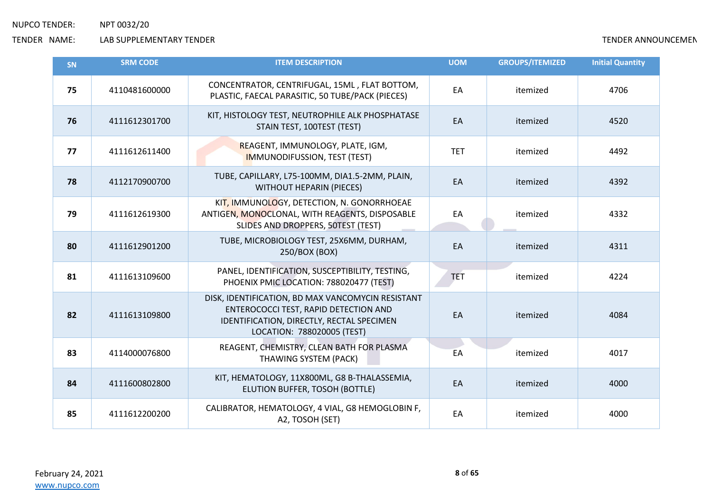| <b>SN</b> | <b>SRM CODE</b> | <b>ITEM DESCRIPTION</b>                                                                                                                                               | <b>UOM</b> | <b>GROUPS/ITEMIZED</b> | <b>Initial Quantity</b> |
|-----------|-----------------|-----------------------------------------------------------------------------------------------------------------------------------------------------------------------|------------|------------------------|-------------------------|
| 75        | 4110481600000   | CONCENTRATOR, CENTRIFUGAL, 15ML, FLAT BOTTOM,<br>PLASTIC, FAECAL PARASITIC, 50 TUBE/PACK (PIECES)                                                                     | EA         | itemized               | 4706                    |
| 76        | 4111612301700   | KIT, HISTOLOGY TEST, NEUTROPHILE ALK PHOSPHATASE<br>STAIN TEST, 100TEST (TEST)                                                                                        | EA         | itemized               | 4520                    |
| 77        | 4111612611400   | REAGENT, IMMUNOLOGY, PLATE, IGM,<br><b>IMMUNODIFUSSION, TEST (TEST)</b>                                                                                               | <b>TET</b> | itemized               | 4492                    |
| 78        | 4112170900700   | TUBE, CAPILLARY, L75-100MM, DIA1.5-2MM, PLAIN,<br><b>WITHOUT HEPARIN (PIECES)</b>                                                                                     | EA         | itemized               | 4392                    |
| 79        | 4111612619300   | KIT, IMMUNOLOGY, DETECTION, N. GONORRHOEAE<br>ANTIGEN, MONOCLONAL, WITH REAGENTS, DISPOSABLE<br>SLIDES AND DROPPERS, 50TEST (TEST)                                    | EA         | itemized               | 4332                    |
| 80        | 4111612901200   | TUBE, MICROBIOLOGY TEST, 25X6MM, DURHAM,<br>250/BOX (BOX)                                                                                                             | EA         | itemized               | 4311                    |
| 81        | 4111613109600   | PANEL, IDENTIFICATION, SUSCEPTIBILITY, TESTING,<br>PHOENIX PMIC LOCATION: 788020477 (TEST)                                                                            | <b>TET</b> | itemized               | 4224                    |
| 82        | 4111613109800   | DISK, IDENTIFICATION, BD MAX VANCOMYCIN RESISTANT<br>ENTEROCOCCI TEST, RAPID DETECTION AND<br>IDENTIFICATION, DIRECTLY, RECTAL SPECIMEN<br>LOCATION: 788020005 (TEST) | EA         | itemized               | 4084                    |
| 83        | 4114000076800   | REAGENT, CHEMISTRY, CLEAN BATH FOR PLASMA<br>THAWING SYSTEM (PACK)                                                                                                    | EA         | itemized               | 4017                    |
| 84        | 4111600802800   | KIT, HEMATOLOGY, 11X800ML, G8 B-THALASSEMIA,<br>ELUTION BUFFER, TOSOH (BOTTLE)                                                                                        | EA         | itemized               | 4000                    |
| 85        | 4111612200200   | CALIBRATOR, HEMATOLOGY, 4 VIAL, G8 HEMOGLOBIN F,<br>A2, TOSOH (SET)                                                                                                   | EA         | itemized               | 4000                    |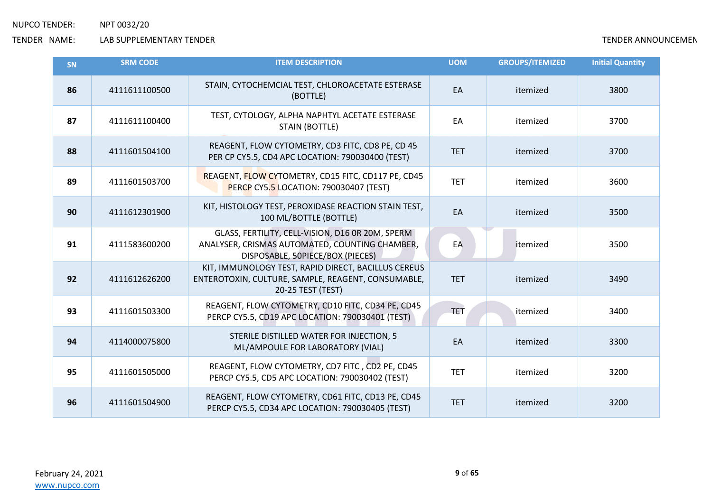| SN | <b>SRM CODE</b> | <b>ITEM DESCRIPTION</b>                                                                                                                | <b>UOM</b> | <b>GROUPS/ITEMIZED</b> | <b>Initial Quantity</b> |
|----|-----------------|----------------------------------------------------------------------------------------------------------------------------------------|------------|------------------------|-------------------------|
| 86 | 4111611100500   | STAIN, CYTOCHEMCIAL TEST, CHLOROACETATE ESTERASE<br>(BOTTLE)                                                                           | EA         | itemized               | 3800                    |
| 87 | 4111611100400   | TEST, CYTOLOGY, ALPHA NAPHTYL ACETATE ESTERASE<br><b>STAIN (BOTTLE)</b>                                                                | EA         | itemized               | 3700                    |
| 88 | 4111601504100   | REAGENT, FLOW CYTOMETRY, CD3 FITC, CD8 PE, CD 45<br>PER CP CY5.5, CD4 APC LOCATION: 790030400 (TEST)                                   | <b>TET</b> | itemized               | 3700                    |
| 89 | 4111601503700   | REAGENT, FLOW CYTOMETRY, CD15 FITC, CD117 PE, CD45<br>PERCP CY5.5 LOCATION: 790030407 (TEST)                                           | <b>TET</b> | itemized               | 3600                    |
| 90 | 4111612301900   | KIT, HISTOLOGY TEST, PEROXIDASE REACTION STAIN TEST,<br>100 ML/BOTTLE (BOTTLE)                                                         | EA         | itemized               | 3500                    |
| 91 | 4111583600200   | GLASS, FERTILITY, CELL-VISION, D16 OR 20M, SPERM<br>ANALYSER, CRISMAS AUTOMATED, COUNTING CHAMBER,<br>DISPOSABLE, 50PIECE/BOX (PIECES) | EA         | itemized               | 3500                    |
| 92 | 4111612626200   | KIT, IMMUNOLOGY TEST, RAPID DIRECT, BACILLUS CEREUS<br>ENTEROTOXIN, CULTURE, SAMPLE, REAGENT, CONSUMABLE,<br>20-25 TEST (TEST)         | <b>TET</b> | itemized               | 3490                    |
| 93 | 4111601503300   | REAGENT, FLOW CYTOMETRY, CD10 FITC, CD34 PE, CD45<br>PERCP CY5.5, CD19 APC LOCATION: 790030401 (TEST)                                  | TET        | itemized               | 3400                    |
| 94 | 4114000075800   | STERILE DISTILLED WATER FOR INJECTION, 5<br>ML/AMPOULE FOR LABORATORY (VIAL)                                                           | EA         | itemized               | 3300                    |
| 95 | 4111601505000   | REAGENT, FLOW CYTOMETRY, CD7 FITC, CD2 PE, CD45<br>PERCP CY5.5, CD5 APC LOCATION: 790030402 (TEST)                                     | <b>TET</b> | itemized               | 3200                    |
| 96 | 4111601504900   | REAGENT, FLOW CYTOMETRY, CD61 FITC, CD13 PE, CD45<br>PERCP CY5.5, CD34 APC LOCATION: 790030405 (TEST)                                  | <b>TET</b> | itemized               | 3200                    |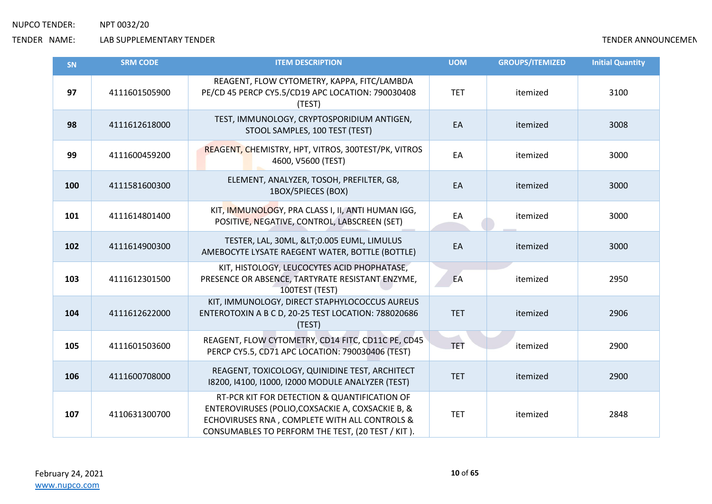| <b>SN</b> | <b>SRM CODE</b> | <b>ITEM DESCRIPTION</b>                                                                                                                                                                                 | <b>UOM</b> | <b>GROUPS/ITEMIZED</b> | <b>Initial Quantity</b> |
|-----------|-----------------|---------------------------------------------------------------------------------------------------------------------------------------------------------------------------------------------------------|------------|------------------------|-------------------------|
| 97        | 4111601505900   | REAGENT, FLOW CYTOMETRY, KAPPA, FITC/LAMBDA<br>PE/CD 45 PERCP CY5.5/CD19 APC LOCATION: 790030408<br>(TEST)                                                                                              | <b>TET</b> | itemized               | 3100                    |
| 98        | 4111612618000   | TEST, IMMUNOLOGY, CRYPTOSPORIDIUM ANTIGEN,<br>STOOL SAMPLES, 100 TEST (TEST)                                                                                                                            | EA         | itemized               | 3008                    |
| 99        | 4111600459200   | REAGENT, CHEMISTRY, HPT, VITROS, 300TEST/PK, VITROS<br>4600, V5600 (TEST)                                                                                                                               | EA         | itemized               | 3000                    |
| 100       | 4111581600300   | ELEMENT, ANALYZER, TOSOH, PREFILTER, G8,<br>1BOX/5PIECES (BOX)                                                                                                                                          | EA         | itemized               | 3000                    |
| 101       | 4111614801400   | KIT, IMMUNOLOGY, PRA CLASS I, II, ANTI HUMAN IGG,<br>POSITIVE, NEGATIVE, CONTROL, LABSCREEN (SET)                                                                                                       | EA         | itemized               | 3000                    |
| 102       | 4111614900300   | TESTER, LAL, 30ML, <0.005 EUML, LIMULUS<br>AMEBOCYTE LYSATE RAEGENT WATER, BOTTLE (BOTTLE)                                                                                                              | EA         | itemized               | 3000                    |
| 103       | 4111612301500   | KIT, HISTOLOGY, LEUCOCYTES ACID PHOPHATASE,<br>PRESENCE OR ABSENCE, TARTYRATE RESISTANT ENZYME,<br>100TEST (TEST)                                                                                       | EA         | itemized               | 2950                    |
| 104       | 4111612622000   | KIT, IMMUNOLOGY, DIRECT STAPHYLOCOCCUS AUREUS<br>ENTEROTOXIN A B C D, 20-25 TEST LOCATION: 788020686<br>(TEST)                                                                                          | <b>TET</b> | itemized               | 2906                    |
| 105       | 4111601503600   | REAGENT, FLOW CYTOMETRY, CD14 FITC, CD11C PE, CD45<br>PERCP CY5.5, CD71 APC LOCATION: 790030406 (TEST)                                                                                                  | TET        | itemized               | 2900                    |
| 106       | 4111600708000   | REAGENT, TOXICOLOGY, QUINIDINE TEST, ARCHITECT<br>18200, 14100, 11000, 12000 MODULE ANALYZER (TEST)                                                                                                     | <b>TET</b> | itemized               | 2900                    |
| 107       | 4110631300700   | RT-PCR KIT FOR DETECTION & QUANTIFICATION OF<br>ENTEROVIRUSES (POLIO, COXSACKIE A, COXSACKIE B, &<br>ECHOVIRUSES RNA, COMPLETE WITH ALL CONTROLS &<br>CONSUMABLES TO PERFORM THE TEST, (20 TEST / KIT). | <b>TET</b> | itemized               | 2848                    |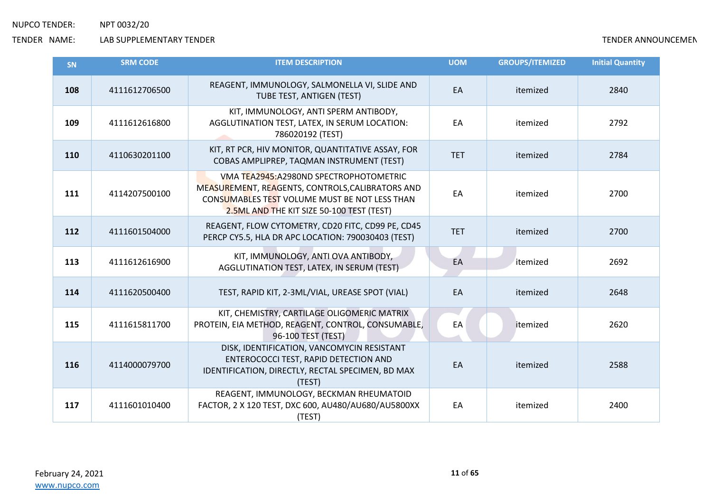| <b>SN</b> | <b>SRM CODE</b> | <b>ITEM DESCRIPTION</b>                                                                                                                                                                   | <b>UOM</b> | <b>GROUPS/ITEMIZED</b> | <b>Initial Quantity</b> |
|-----------|-----------------|-------------------------------------------------------------------------------------------------------------------------------------------------------------------------------------------|------------|------------------------|-------------------------|
| 108       | 4111612706500   | REAGENT, IMMUNOLOGY, SALMONELLA VI, SLIDE AND<br>TUBE TEST, ANTIGEN (TEST)                                                                                                                | EA         | itemized               | 2840                    |
| 109       | 4111612616800   | KIT, IMMUNOLOGY, ANTI SPERM ANTIBODY,<br>AGGLUTINATION TEST, LATEX, IN SERUM LOCATION:<br>786020192 (TEST)                                                                                | EA         | itemized               | 2792                    |
| 110       | 4110630201100   | KIT, RT PCR, HIV MONITOR, QUANTITATIVE ASSAY, FOR<br>COBAS AMPLIPREP, TAQMAN INSTRUMENT (TEST)                                                                                            | <b>TET</b> | itemized               | 2784                    |
| 111       | 4114207500100   | VMA TEA2945: A2980ND SPECTROPHOTOMETRIC<br>MEASUREMENT, REAGENTS, CONTROLS, CALIBRATORS AND<br>CONSUMABLES TEST VOLUME MUST BE NOT LESS THAN<br>2.5ML AND THE KIT SIZE 50-100 TEST (TEST) | EA         | itemized               | 2700                    |
| 112       | 4111601504000   | REAGENT, FLOW CYTOMETRY, CD20 FITC, CD99 PE, CD45<br>PERCP CY5.5, HLA DR APC LOCATION: 790030403 (TEST)                                                                                   | <b>TET</b> | itemized               | 2700                    |
| 113       | 4111612616900   | KIT, IMMUNOLOGY, ANTI OVA ANTIBODY,<br>AGGLUTINATION TEST, LATEX, IN SERUM (TEST)                                                                                                         | EA         | itemized               | 2692                    |
| 114       | 4111620500400   | TEST, RAPID KIT, 2-3ML/VIAL, UREASE SPOT (VIAL)                                                                                                                                           | EA         | itemized               | 2648                    |
| 115       | 4111615811700   | KIT, CHEMISTRY, CARTILAGE OLIGOMERIC MATRIX<br>PROTEIN, EIA METHOD, REAGENT, CONTROL, CONSUMABLE,<br>96-100 TEST (TEST)                                                                   | EA         | itemized               | 2620                    |
| 116       | 4114000079700   | DISK, IDENTIFICATION, VANCOMYCIN RESISTANT<br>ENTEROCOCCI TEST, RAPID DETECTION AND<br>IDENTIFICATION, DIRECTLY, RECTAL SPECIMEN, BD MAX<br>(TEST)                                        | EA         | itemized               | 2588                    |
| 117       | 4111601010400   | REAGENT, IMMUNOLOGY, BECKMAN RHEUMATOID<br>FACTOR, 2 X 120 TEST, DXC 600, AU480/AU680/AU5800XX<br>(TEST)                                                                                  | EA         | itemized               | 2400                    |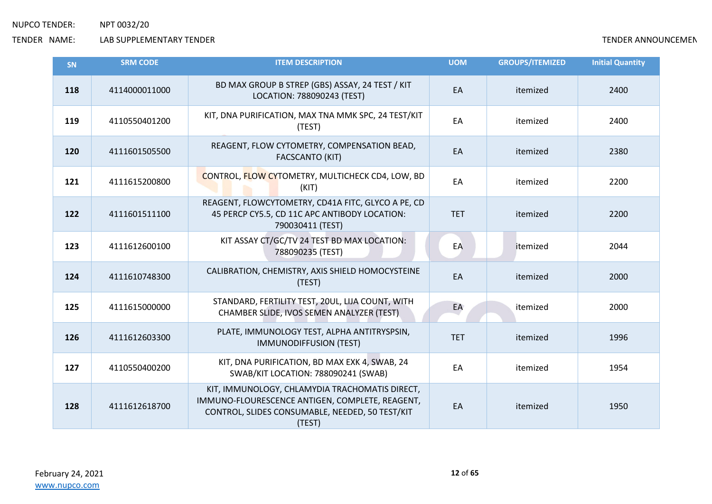| SN  | <b>SRM CODE</b> | <b>ITEM DESCRIPTION</b>                                                                                                                                        | <b>UOM</b> | <b>GROUPS/ITEMIZED</b> | <b>Initial Quantity</b> |
|-----|-----------------|----------------------------------------------------------------------------------------------------------------------------------------------------------------|------------|------------------------|-------------------------|
| 118 | 4114000011000   | BD MAX GROUP B STREP (GBS) ASSAY, 24 TEST / KIT<br>LOCATION: 788090243 (TEST)                                                                                  | EA         | itemized               | 2400                    |
| 119 | 4110550401200   | KIT, DNA PURIFICATION, MAX TNA MMK SPC, 24 TEST/KIT<br>(TEST)                                                                                                  | EA         | itemized               | 2400                    |
| 120 | 4111601505500   | REAGENT, FLOW CYTOMETRY, COMPENSATION BEAD,<br><b>FACSCANTO (KIT)</b>                                                                                          | EA         | itemized               | 2380                    |
| 121 | 4111615200800   | CONTROL, FLOW CYTOMETRY, MULTICHECK CD4, LOW, BD<br>(KIT)                                                                                                      | EA         | itemized               | 2200                    |
| 122 | 4111601511100   | REAGENT, FLOWCYTOMETRY, CD41A FITC, GLYCO A PE, CD<br>45 PERCP CY5.5, CD 11C APC ANTIBODY LOCATION:<br>790030411 (TEST)                                        | <b>TET</b> | itemized               | 2200                    |
| 123 | 4111612600100   | KIT ASSAY CT/GC/TV 24 TEST BD MAX LOCATION:<br>788090235 (TEST)                                                                                                | EA         | itemized               | 2044                    |
| 124 | 4111610748300   | CALIBRATION, CHEMISTRY, AXIS SHIELD HOMOCYSTEINE<br>(TEST)                                                                                                     | EA         | itemized               | 2000                    |
| 125 | 4111615000000   | STANDARD, FERTILITY TEST, 20UL, LIJA COUNT, WITH<br>CHAMBER SLIDE, IVOS SEMEN ANALYZER (TEST)                                                                  | EA         | itemized               | 2000                    |
| 126 | 4111612603300   | PLATE, IMMUNOLOGY TEST, ALPHA ANTITRYSPSIN,<br><b>IMMUNODIFFUSION (TEST)</b>                                                                                   | <b>TET</b> | itemized               | 1996                    |
| 127 | 4110550400200   | KIT, DNA PURIFICATION, BD MAX EXK 4, SWAB, 24<br>SWAB/KIT LOCATION: 788090241 (SWAB)                                                                           | EA         | itemized               | 1954                    |
| 128 | 4111612618700   | KIT, IMMUNOLOGY, CHLAMYDIA TRACHOMATIS DIRECT,<br>IMMUNO-FLOURESCENCE ANTIGEN, COMPLETE, REAGENT,<br>CONTROL, SLIDES CONSUMABLE, NEEDED, 50 TEST/KIT<br>(TEST) | EA         | itemized               | 1950                    |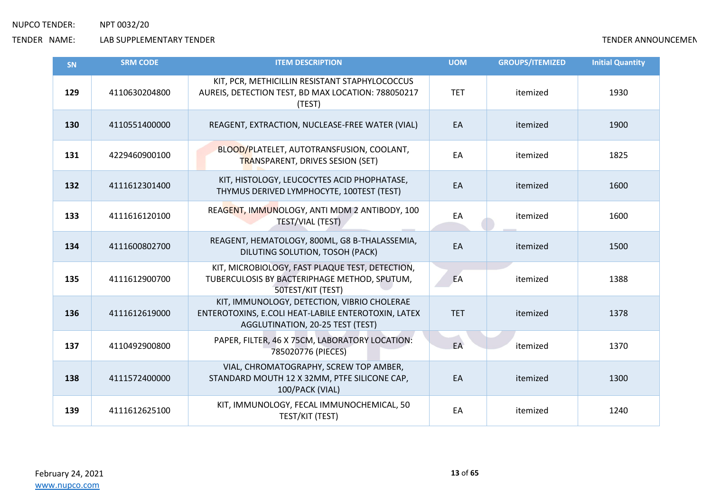| SN  | <b>SRM CODE</b> | <b>ITEM DESCRIPTION</b>                                                                                                                | <b>UOM</b> | <b>GROUPS/ITEMIZED</b> | <b>Initial Quantity</b> |
|-----|-----------------|----------------------------------------------------------------------------------------------------------------------------------------|------------|------------------------|-------------------------|
| 129 | 4110630204800   | KIT, PCR, METHICILLIN RESISTANT STAPHYLOCOCCUS<br>AUREIS, DETECTION TEST, BD MAX LOCATION: 788050217<br>(TEST)                         | <b>TET</b> | itemized               | 1930                    |
| 130 | 4110551400000   | REAGENT, EXTRACTION, NUCLEASE-FREE WATER (VIAL)                                                                                        | EA         | itemized               | 1900                    |
| 131 | 4229460900100   | BLOOD/PLATELET, AUTOTRANSFUSION, COOLANT,<br><b>TRANSPARENT, DRIVES SESION (SET)</b>                                                   | EA         | itemized               | 1825                    |
| 132 | 4111612301400   | KIT, HISTOLOGY, LEUCOCYTES ACID PHOPHATASE,<br>THYMUS DERIVED LYMPHOCYTE, 100TEST (TEST)                                               | EA         | itemized               | 1600                    |
| 133 | 4111616120100   | REAGENT, IMMUNOLOGY, ANTI MDM 2 ANTIBODY, 100<br>TEST/VIAL (TEST)                                                                      | EA         | itemized               | 1600                    |
| 134 | 4111600802700   | REAGENT, HEMATOLOGY, 800ML, G8 B-THALASSEMIA,<br>DILUTING SOLUTION, TOSOH (PACK)                                                       | EA         | itemized               | 1500                    |
| 135 | 4111612900700   | KIT, MICROBIOLOGY, FAST PLAQUE TEST, DETECTION,<br>TUBERCULOSIS BY BACTERIPHAGE METHOD, SPUTUM,<br>50TEST/KIT (TEST)                   | EA         | itemized               | 1388                    |
| 136 | 4111612619000   | KIT, IMMUNOLOGY, DETECTION, VIBRIO CHOLERAE<br>ENTEROTOXINS, E.COLI HEAT-LABILE ENTEROTOXIN, LATEX<br>AGGLUTINATION, 20-25 TEST (TEST) | <b>TET</b> | itemized               | 1378                    |
| 137 | 4110492900800   | PAPER, FILTER, 46 X 75CM, LABORATORY LOCATION:<br>785020776 (PIECES)                                                                   | EA         | itemized               | 1370                    |
| 138 | 4111572400000   | VIAL, CHROMATOGRAPHY, SCREW TOP AMBER,<br>STANDARD MOUTH 12 X 32MM, PTFE SILICONE CAP,<br>100/PACK (VIAL)                              | EA         | itemized               | 1300                    |
| 139 | 4111612625100   | KIT, IMMUNOLOGY, FECAL IMMUNOCHEMICAL, 50<br>TEST/KIT (TEST)                                                                           | EA         | itemized               | 1240                    |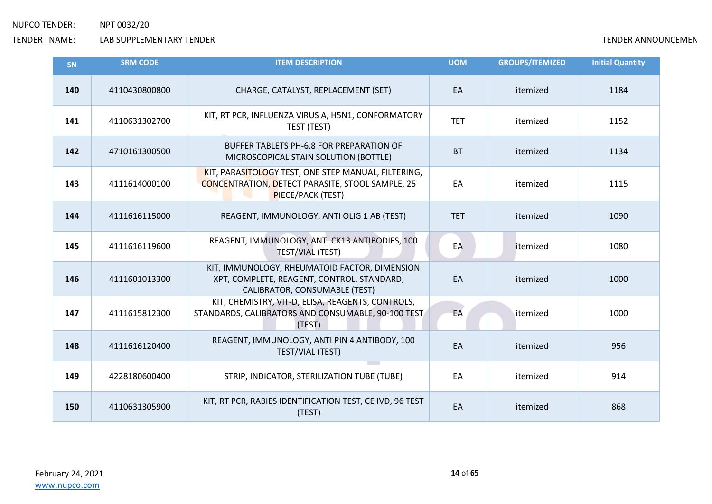| <b>SN</b> | <b>SRM CODE</b> | <b>ITEM DESCRIPTION</b>                                                                                                             | <b>UOM</b> | <b>GROUPS/ITEMIZED</b> | <b>Initial Quantity</b> |
|-----------|-----------------|-------------------------------------------------------------------------------------------------------------------------------------|------------|------------------------|-------------------------|
| 140       | 4110430800800   | CHARGE, CATALYST, REPLACEMENT (SET)                                                                                                 | EA         | itemized               | 1184                    |
| 141       | 4110631302700   | KIT, RT PCR, INFLUENZA VIRUS A, H5N1, CONFORMATORY<br>TEST (TEST)                                                                   | <b>TET</b> | itemized               | 1152                    |
| 142       | 4710161300500   | BUFFER TABLETS PH-6.8 FOR PREPARATION OF<br>MICROSCOPICAL STAIN SOLUTION (BOTTLE)                                                   | <b>BT</b>  | itemized               | 1134                    |
| 143       | 4111614000100   | KIT, PARASITOLOGY TEST, ONE STEP MANUAL, FILTERING,<br><b>CONCENTRATION, DETECT PARASITE, STOOL SAMPLE, 25</b><br>PIECE/PACK (TEST) | EA         | itemized               | 1115                    |
| 144       | 4111616115000   | REAGENT, IMMUNOLOGY, ANTI OLIG 1 AB (TEST)                                                                                          | <b>TET</b> | itemized               | 1090                    |
| 145       | 4111616119600   | REAGENT, IMMUNOLOGY, ANTI CK13 ANTIBODIES, 100<br><b>TEST/VIAL (TEST)</b>                                                           | EA         | itemized               | 1080                    |
| 146       | 4111601013300   | KIT, IMMUNOLOGY, RHEUMATOID FACTOR, DIMENSION<br>XPT, COMPLETE, REAGENT, CONTROL, STANDARD,<br>CALIBRATOR, CONSUMABLE (TEST)        | EA         | itemized               | 1000                    |
| 147       | 4111615812300   | KIT, CHEMISTRY, VIT-D, ELISA, REAGENTS, CONTROLS,<br>STANDARDS, CALIBRATORS AND CONSUMABLE, 90-100 TEST<br>(TEST)                   | EA         | itemized               | 1000                    |
| 148       | 4111616120400   | REAGENT, IMMUNOLOGY, ANTI PIN 4 ANTIBODY, 100<br>TEST/VIAL (TEST)                                                                   | EA         | itemized               | 956                     |
| 149       | 4228180600400   | STRIP, INDICATOR, STERILIZATION TUBE (TUBE)                                                                                         | EA         | itemized               | 914                     |
| 150       | 4110631305900   | KIT, RT PCR, RABIES IDENTIFICATION TEST, CE IVD, 96 TEST<br>(TEST)                                                                  | EA         | itemized               | 868                     |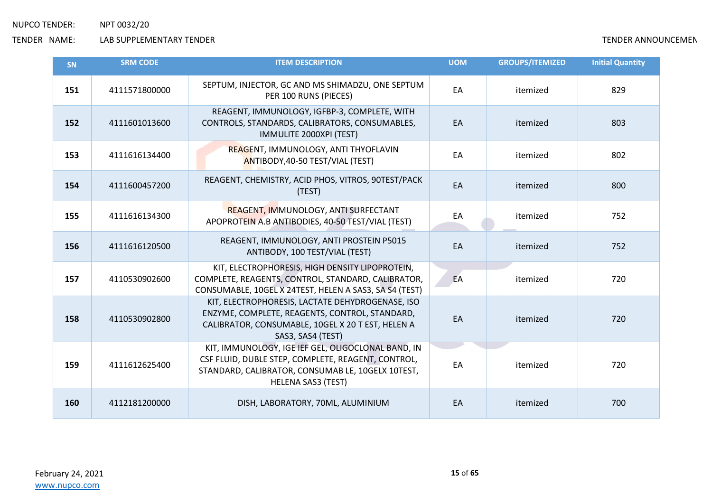| <b>SN</b> | <b>SRM CODE</b> | <b>ITEM DESCRIPTION</b>                                                                                                                                                                    | <b>UOM</b> | <b>GROUPS/ITEMIZED</b> | <b>Initial Quantity</b> |
|-----------|-----------------|--------------------------------------------------------------------------------------------------------------------------------------------------------------------------------------------|------------|------------------------|-------------------------|
| 151       | 4111571800000   | SEPTUM, INJECTOR, GC AND MS SHIMADZU, ONE SEPTUM<br>PER 100 RUNS (PIECES)                                                                                                                  | EA         | itemized               | 829                     |
| 152       | 4111601013600   | REAGENT, IMMUNOLOGY, IGFBP-3, COMPLETE, WITH<br>CONTROLS, STANDARDS, CALIBRATORS, CONSUMABLES,<br>IMMULITE 2000XPI (TEST)                                                                  | EA         | itemized               | 803                     |
| 153       | 4111616134400   | REAGENT, IMMUNOLOGY, ANTI THYOFLAVIN<br>ANTIBODY, 40-50 TEST/VIAL (TEST)                                                                                                                   | EA         | itemized               | 802                     |
| 154       | 4111600457200   | REAGENT, CHEMISTRY, ACID PHOS, VITROS, 90TEST/PACK<br>(TEST)                                                                                                                               | EA         | itemized               | 800                     |
| 155       | 4111616134300   | REAGENT, IMMUNOLOGY, ANTI SURFECTANT<br>APOPROTEIN A.B ANTIBODIES, 40-50 TEST/VIAL (TEST)                                                                                                  | EA         | itemized               | 752                     |
| 156       | 4111616120500   | REAGENT, IMMUNOLOGY, ANTI PROSTEIN P5015<br>ANTIBODY, 100 TEST/VIAL (TEST)                                                                                                                 | EA         | itemized               | 752                     |
| 157       | 4110530902600   | KIT, ELECTROPHORESIS, HIGH DENSITY LIPOPROTEIN,<br>COMPLETE, REAGENTS, CONTROL, STANDARD, CALIBRATOR,<br>CONSUMABLE, 10GEL X 24TEST, HELEN A SAS3, SA S4 (TEST)                            | EA         | itemized               | 720                     |
| 158       | 4110530902800   | KIT, ELECTROPHORESIS, LACTATE DEHYDROGENASE, ISO<br>ENZYME, COMPLETE, REAGENTS, CONTROL, STANDARD,<br>CALIBRATOR, CONSUMABLE, 10GEL X 20 T EST, HELEN A<br>SAS3, SAS4 (TEST)               | EA         | itemized               | 720                     |
| 159       | 4111612625400   | KIT, IMMUNOLOGY, IGE IEF GEL, OLIGOCLONAL BAND, IN<br>CSF FLUID, DUBLE STEP, COMPLETE, REAGENT, CONTROL,<br>STANDARD, CALIBRATOR, CONSUMAB LE, 10GELX 10TEST,<br><b>HELENA SAS3 (TEST)</b> | EA         | itemized               | 720                     |
| 160       | 4112181200000   | DISH, LABORATORY, 70ML, ALUMINIUM                                                                                                                                                          | EA         | itemized               | 700                     |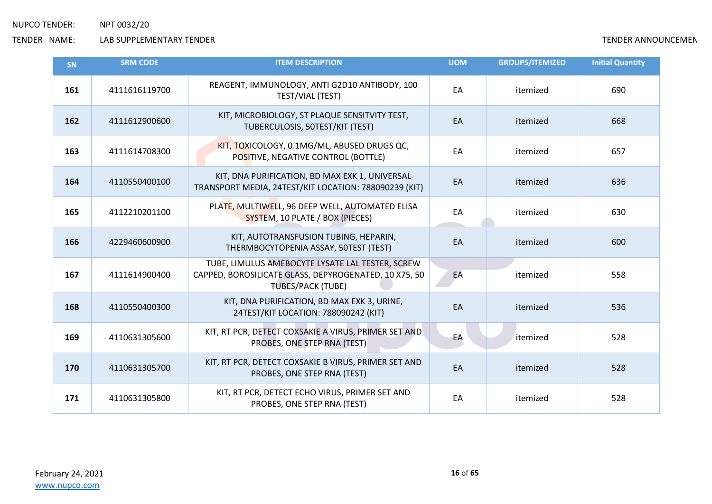| <b>SN</b> | <b>SRM CODE</b> | <b>ITEM DESCRIPTION</b>                                                                                                               | <b>UOM</b> | <b>GROUPS/ITEMIZED</b> | <b>Initial Quantity</b> |
|-----------|-----------------|---------------------------------------------------------------------------------------------------------------------------------------|------------|------------------------|-------------------------|
| 161       | 4111616119700   | REAGENT, IMMUNOLOGY, ANTI G2D10 ANTIBODY, 100<br>TEST/VIAL (TEST)                                                                     | EA         | itemized               | 690                     |
| 162       | 4111612900600   | KIT, MICROBIOLOGY, ST PLAQUE SENSITVITY TEST,<br>TUBERCULOSIS, 50TEST/KIT (TEST)                                                      | EA         | itemized               | 668                     |
| 163       | 4111614708300   | KIT, TOXICOLOGY, 0.1MG/ML, ABUSED DRUGS QC,<br>POSITIVE, NEGATIVE CONTROL (BOTTLE)                                                    | EA         | itemized               | 657                     |
| 164       | 4110550400100   | KIT, DNA PURIFICATION, BD MAX EXK 1, UNIVERSAL<br>TRANSPORT MEDIA, 24TEST/KIT LOCATION: 788090239 (KIT)                               | EA         | itemized               | 636                     |
| 165       | 4112210201100   | PLATE, MULTIWELL, 96 DEEP WELL, AUTOMATED ELISA<br>SYSTEM, 10 PLATE / BOX (PIECES)                                                    | EA         | itemized               | 630                     |
| 166       | 4229460600900   | KIT, AUTOTRANSFUSION TUBING, HEPARIN,<br>THERMBOCYTOPENIA ASSAY, 50TEST (TEST)                                                        | EA         | itemized               | 600                     |
| 167       | 4111614900400   | TUBE, LIMULUS AMEBOCYTE LYSATE LAL TESTER, SCREW<br>CAPPED, BOROSILICATE GLASS, DEPYROGENATED, 10 X75, 50<br><b>TUBES/PACK (TUBE)</b> | EA         | itemized               | 558                     |
| 168       | 4110550400300   | KIT, DNA PURIFICATION, BD MAX EXK 3, URINE,<br>24TEST/KIT LOCATION: 788090242 (KIT)                                                   | EA         | itemized               | 536                     |
| 169       | 4110631305600   | KIT, RT PCR, DETECT COXSAKIE A VIRUS, PRIMER SET AND<br>PROBES, ONE STEP RNA (TEST)                                                   | EA         | itemized               | 528                     |
| 170       | 4110631305700   | KIT, RT PCR, DETECT COXSAKIE B VIRUS, PRIMER SET AND<br>PROBES, ONE STEP RNA (TEST)                                                   | EA         | itemized               | 528                     |
| 171       | 4110631305800   | KIT, RT PCR, DETECT ECHO VIRUS, PRIMER SET AND<br>PROBES, ONE STEP RNA (TEST)                                                         | EA         | itemized               | 528                     |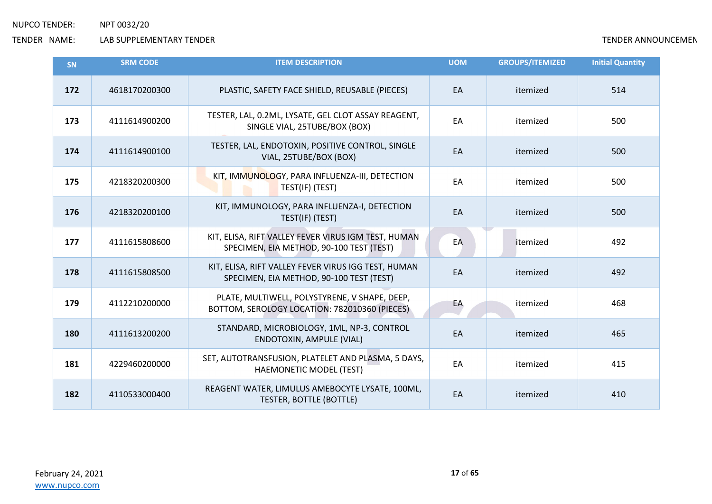| <b>SN</b> | <b>SRM CODE</b> | <b>ITEM DESCRIPTION</b>                                                                         | <b>UOM</b> | <b>GROUPS/ITEMIZED</b> | <b>Initial Quantity</b> |
|-----------|-----------------|-------------------------------------------------------------------------------------------------|------------|------------------------|-------------------------|
| 172       | 4618170200300   | PLASTIC, SAFETY FACE SHIELD, REUSABLE (PIECES)                                                  | EA         | itemized               | 514                     |
| 173       | 4111614900200   | TESTER, LAL, 0.2ML, LYSATE, GEL CLOT ASSAY REAGENT,<br>SINGLE VIAL, 25TUBE/BOX (BOX)            | EA         | itemized               | 500                     |
| 174       | 4111614900100   | TESTER, LAL, ENDOTOXIN, POSITIVE CONTROL, SINGLE<br>VIAL, 25TUBE/BOX (BOX)                      | EA         | itemized               | 500                     |
| 175       | 4218320200300   | KIT, IMMUNOLOGY, PARA INFLUENZA-III, DETECTION<br>TEST(IF) (TEST)                               | EA         | itemized               | 500                     |
| 176       | 4218320200100   | KIT, IMMUNOLOGY, PARA INFLUENZA-I, DETECTION<br>TEST(IF) (TEST)                                 | EA         | itemized               | 500                     |
| 177       | 4111615808600   | KIT, ELISA, RIFT VALLEY FEVER VIRUS IGM TEST, HUMAN<br>SPECIMEN, EIA METHOD, 90-100 TEST (TEST) | EA         | itemized               | 492                     |
| 178       | 4111615808500   | KIT, ELISA, RIFT VALLEY FEVER VIRUS IGG TEST, HUMAN<br>SPECIMEN, EIA METHOD, 90-100 TEST (TEST) | EA         | itemized               | 492                     |
| 179       | 4112210200000   | PLATE, MULTIWELL, POLYSTYRENE, V SHAPE, DEEP,<br>BOTTOM, SEROLOGY LOCATION: 782010360 (PIECES)  | EA         | itemized               | 468                     |
| 180       | 4111613200200   | STANDARD, MICROBIOLOGY, 1ML, NP-3, CONTROL<br>ENDOTOXIN, AMPULE (VIAL)                          | EA         | itemized               | 465                     |
| 181       | 4229460200000   | SET, AUTOTRANSFUSION, PLATELET AND PLASMA, 5 DAYS,<br>HAEMONETIC MODEL (TEST)                   | EA         | itemized               | 415                     |
| 182       | 4110533000400   | REAGENT WATER, LIMULUS AMEBOCYTE LYSATE, 100ML,<br>TESTER, BOTTLE (BOTTLE)                      | EA         | itemized               | 410                     |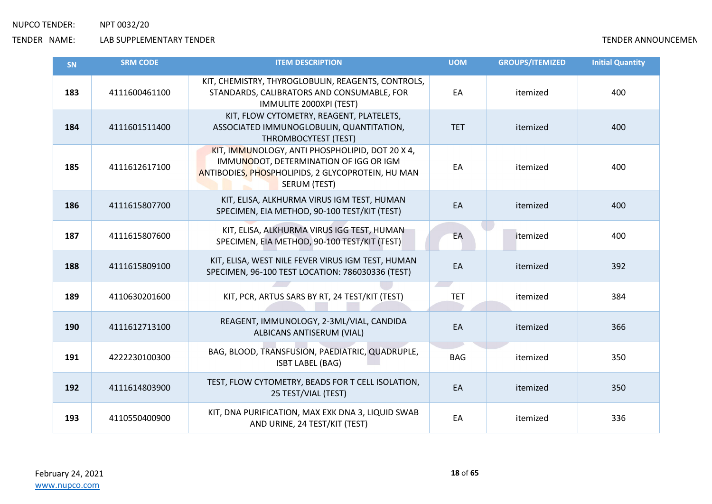| SN  | <b>SRM CODE</b> | <b>ITEM DESCRIPTION</b>                                                                                                                                        | <b>UOM</b>       | <b>GROUPS/ITEMIZED</b> | <b>Initial Quantity</b> |
|-----|-----------------|----------------------------------------------------------------------------------------------------------------------------------------------------------------|------------------|------------------------|-------------------------|
| 183 | 4111600461100   | KIT, CHEMISTRY, THYROGLOBULIN, REAGENTS, CONTROLS,<br>STANDARDS, CALIBRATORS AND CONSUMABLE, FOR<br>IMMULITE 2000XPI (TEST)                                    | EA               | itemized               | 400                     |
| 184 | 4111601511400   | KIT, FLOW CYTOMETRY, REAGENT, PLATELETS,<br>ASSOCIATED IMMUNOGLOBULIN, QUANTITATION,<br>THROMBOCYTEST (TEST)                                                   | <b>TET</b>       | itemized               | 400                     |
| 185 | 4111612617100   | KIT, IMMUNOLOGY, ANTI PHOSPHOLIPID, DOT 20 X 4,<br>IMMUNODOT, DETERMINATION OF IGG OR IGM<br>ANTIBODIES, PHOSPHOLIPIDS, 2 GLYCOPROTEIN, HU MAN<br>SERUM (TEST) | EA               | itemized               | 400                     |
| 186 | 4111615807700   | KIT, ELISA, ALKHURMA VIRUS IGM TEST, HUMAN<br>SPECIMEN, EIA METHOD, 90-100 TEST/KIT (TEST)                                                                     | EA               | itemized               | 400                     |
| 187 | 4111615807600   | KIT, ELISA, ALKHURMA VIRUS IGG TEST, HUMAN<br>SPECIMEN, EIA METHOD, 90-100 TEST/KIT (TEST)                                                                     | EA               | itemized               | 400                     |
| 188 | 4111615809100   | KIT, ELISA, WEST NILE FEVER VIRUS IGM TEST, HUMAN<br>SPECIMEN, 96-100 TEST LOCATION: 786030336 (TEST)                                                          | EA               | itemized               | 392                     |
| 189 | 4110630201600   | KIT, PCR, ARTUS SARS BY RT, 24 TEST/KIT (TEST)                                                                                                                 | __<br><b>TET</b> | itemized               | 384                     |
| 190 | 4111612713100   | REAGENT, IMMUNOLOGY, 2-3ML/VIAL, CANDIDA<br>ALBICANS ANTISERUM (VIAL)                                                                                          | EA               | itemized               | 366                     |
| 191 | 4222230100300   | BAG, BLOOD, TRANSFUSION, PAEDIATRIC, QUADRUPLE,<br><b>ISBT LABEL (BAG)</b>                                                                                     | <b>BAG</b>       | itemized               | 350                     |
| 192 | 4111614803900   | TEST, FLOW CYTOMETRY, BEADS FOR T CELL ISOLATION,<br>25 TEST/VIAL (TEST)                                                                                       | EA               | itemized               | 350                     |
| 193 | 4110550400900   | KIT, DNA PURIFICATION, MAX EXK DNA 3, LIQUID SWAB<br>AND URINE, 24 TEST/KIT (TEST)                                                                             | EA               | itemized               | 336                     |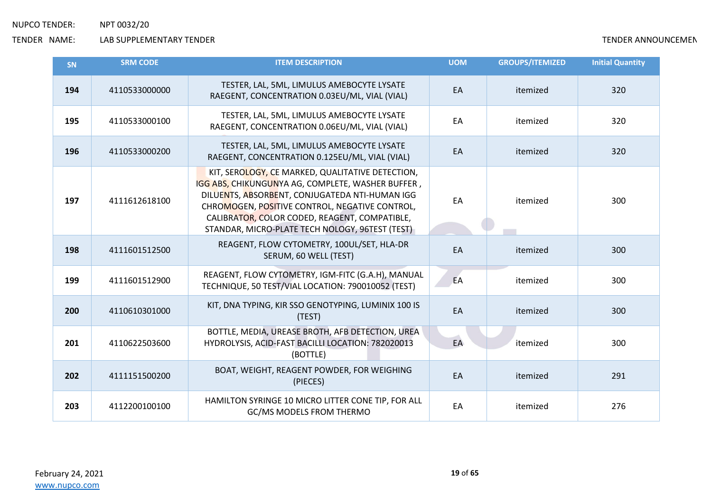| SN  | <b>SRM CODE</b> | <b>ITEM DESCRIPTION</b>                                                                                                                                                                                                                                                                                       | <b>UOM</b> | <b>GROUPS/ITEMIZED</b> | <b>Initial Quantity</b> |
|-----|-----------------|---------------------------------------------------------------------------------------------------------------------------------------------------------------------------------------------------------------------------------------------------------------------------------------------------------------|------------|------------------------|-------------------------|
| 194 | 4110533000000   | TESTER, LAL, 5ML, LIMULUS AMEBOCYTE LYSATE<br>RAEGENT, CONCENTRATION 0.03EU/ML, VIAL (VIAL)                                                                                                                                                                                                                   | EA         | itemized               | 320                     |
| 195 | 4110533000100   | TESTER, LAL, 5ML, LIMULUS AMEBOCYTE LYSATE<br>RAEGENT, CONCENTRATION 0.06EU/ML, VIAL (VIAL)                                                                                                                                                                                                                   | EA         | itemized               | 320                     |
| 196 | 4110533000200   | TESTER, LAL, 5ML, LIMULUS AMEBOCYTE LYSATE<br>RAEGENT, CONCENTRATION 0.125EU/ML, VIAL (VIAL)                                                                                                                                                                                                                  | EA         | itemized               | 320                     |
| 197 | 4111612618100   | KIT, SEROLOGY, CE MARKED, QUALITATIVE DETECTION,<br>IGG ABS, CHIKUNGUNYA AG, COMPLETE, WASHER BUFFER,<br>DILUENTS, ABSORBENT, CONJUGATEDA NTI-HUMAN IGG<br>CHROMOGEN, POSITIVE CONTROL, NEGATIVE CONTROL,<br>CALIBRATOR, COLOR CODED, REAGENT, COMPATIBLE,<br>STANDAR, MICRO-PLATE TECH NOLOGY, 96TEST (TEST) | EA         | itemized               | 300                     |
| 198 | 4111601512500   | REAGENT, FLOW CYTOMETRY, 100UL/SET, HLA-DR<br>SERUM, 60 WELL (TEST)                                                                                                                                                                                                                                           | EA         | itemized               | 300                     |
| 199 | 4111601512900   | REAGENT, FLOW CYTOMETRY, IGM-FITC (G.A.H), MANUAL<br>TECHNIQUE, 50 TEST/VIAL LOCATION: 790010052 (TEST)                                                                                                                                                                                                       | EA         | itemized               | 300                     |
| 200 | 4110610301000   | KIT, DNA TYPING, KIR SSO GENOTYPING, LUMINIX 100 IS<br>(TEST)                                                                                                                                                                                                                                                 | EA         | itemized               | 300                     |
| 201 | 4110622503600   | BOTTLE, MEDIA, UREASE BROTH, AFB DETECTION, UREA<br>HYDROLYSIS, ACID-FAST BACILLI LOCATION: 782020013<br>(BOTTLE)                                                                                                                                                                                             | EA         | itemized               | 300                     |
| 202 | 4111151500200   | BOAT, WEIGHT, REAGENT POWDER, FOR WEIGHING<br>(PIECES)                                                                                                                                                                                                                                                        | EA         | itemized               | 291                     |
| 203 | 4112200100100   | HAMILTON SYRINGE 10 MICRO LITTER CONE TIP, FOR ALL<br>GC/MS MODELS FROM THERMO                                                                                                                                                                                                                                | EA         | itemized               | 276                     |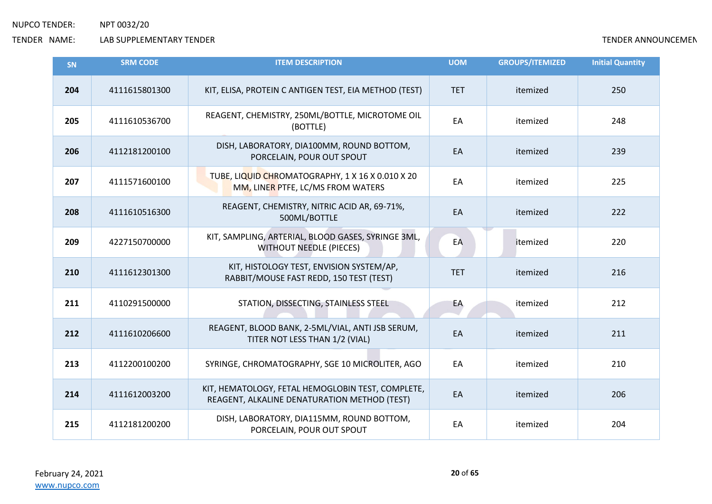| <b>SN</b> | <b>SRM CODE</b> | <b>ITEM DESCRIPTION</b>                                                                           | <b>UOM</b> | <b>GROUPS/ITEMIZED</b> | <b>Initial Quantity</b> |
|-----------|-----------------|---------------------------------------------------------------------------------------------------|------------|------------------------|-------------------------|
| 204       | 4111615801300   | KIT, ELISA, PROTEIN C ANTIGEN TEST, EIA METHOD (TEST)                                             | <b>TET</b> | itemized               | 250                     |
| 205       | 4111610536700   | REAGENT, CHEMISTRY, 250ML/BOTTLE, MICROTOME OIL<br>(BOTTLE)                                       | EA         | itemized               | 248                     |
| 206       | 4112181200100   | DISH, LABORATORY, DIA100MM, ROUND BOTTOM,<br>PORCELAIN, POUR OUT SPOUT                            | EA         | itemized               | 239                     |
| 207       | 4111571600100   | TUBE, LIQUID CHROMATOGRAPHY, 1 X 16 X 0.010 X 20<br>MM, LINER PTFE, LC/MS FROM WATERS             | EA         | itemized               | 225                     |
| 208       | 4111610516300   | REAGENT, CHEMISTRY, NITRIC ACID AR, 69-71%,<br>500ML/BOTTLE                                       | EA         | itemized               | 222                     |
| 209       | 4227150700000   | KIT, SAMPLING, ARTERIAL, BLOOD GASES, SYRINGE 3ML,<br><b>WITHOUT NEEDLE (PIECES)</b>              | EA         | itemized               | 220                     |
| 210       | 4111612301300   | KIT, HISTOLOGY TEST, ENVISION SYSTEM/AP,<br>RABBIT/MOUSE FAST REDD, 150 TEST (TEST)               | <b>TET</b> | itemized               | 216                     |
| 211       | 4110291500000   | STATION, DISSECTING, STAINLESS STEEL                                                              | EA         | itemized               | 212                     |
| 212       | 4111610206600   | REAGENT, BLOOD BANK, 2-5ML/VIAL, ANTI JSB SERUM,<br>TITER NOT LESS THAN 1/2 (VIAL)                | EA         | itemized               | 211                     |
| 213       | 4112200100200   | SYRINGE, CHROMATOGRAPHY, SGE 10 MICROLITER, AGO                                                   | EA         | itemized               | 210                     |
| 214       | 4111612003200   | KIT, HEMATOLOGY, FETAL HEMOGLOBIN TEST, COMPLETE,<br>REAGENT, ALKALINE DENATURATION METHOD (TEST) | EA         | itemized               | 206                     |
| 215       | 4112181200200   | DISH, LABORATORY, DIA115MM, ROUND BOTTOM,<br>PORCELAIN, POUR OUT SPOUT                            | EA         | itemized               | 204                     |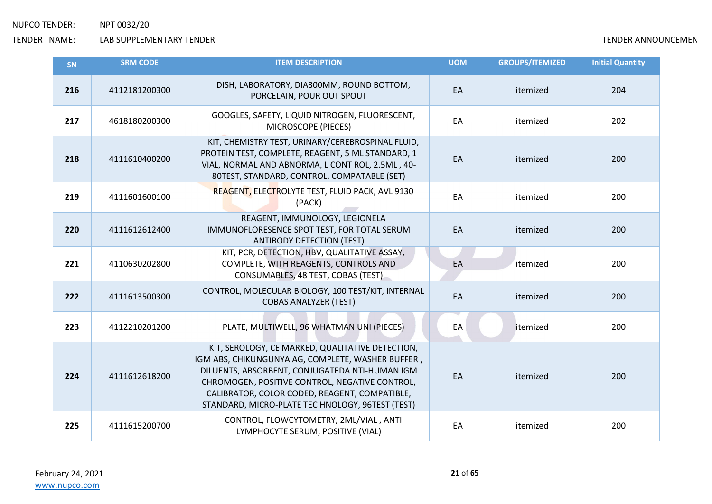| SN  | <b>SRM CODE</b> | <b>ITEM DESCRIPTION</b>                                                                                                                                                                                                                                                                                        | <b>UOM</b> | <b>GROUPS/ITEMIZED</b> | <b>Initial Quantity</b> |
|-----|-----------------|----------------------------------------------------------------------------------------------------------------------------------------------------------------------------------------------------------------------------------------------------------------------------------------------------------------|------------|------------------------|-------------------------|
| 216 | 4112181200300   | DISH, LABORATORY, DIA300MM, ROUND BOTTOM,<br>PORCELAIN, POUR OUT SPOUT                                                                                                                                                                                                                                         | EA         | itemized               | 204                     |
| 217 | 4618180200300   | GOOGLES, SAFETY, LIQUID NITROGEN, FLUORESCENT,<br>MICROSCOPE (PIECES)                                                                                                                                                                                                                                          | EA         | itemized               | 202                     |
| 218 | 4111610400200   | KIT, CHEMISTRY TEST, URINARY/CEREBROSPINAL FLUID,<br>PROTEIN TEST, COMPLETE, REAGENT, 5 ML STANDARD, 1<br>VIAL, NORMAL AND ABNORMA, L CONT ROL, 2.5ML, 40-<br>80TEST, STANDARD, CONTROL, COMPATABLE (SET)                                                                                                      | EA         | itemized               | 200                     |
| 219 | 4111601600100   | REAGENT, ELECTROLYTE TEST, FLUID PACK, AVL 9130<br>(PACK)                                                                                                                                                                                                                                                      | EA         | itemized               | 200                     |
| 220 | 4111612612400   | REAGENT, IMMUNOLOGY, LEGIONELA<br>IMMUNOFLORESENCE SPOT TEST, FOR TOTAL SERUM<br><b>ANTIBODY DETECTION (TEST)</b>                                                                                                                                                                                              | EA         | itemized               | 200                     |
| 221 | 4110630202800   | KIT, PCR, DETECTION, HBV, QUALITATIVE ASSAY,<br>COMPLETE, WITH REAGENTS, CONTROLS AND<br>CONSUMABLES, 48 TEST, COBAS (TEST)                                                                                                                                                                                    | EA         | itemized               | 200                     |
| 222 | 4111613500300   | CONTROL, MOLECULAR BIOLOGY, 100 TEST/KIT, INTERNAL<br><b>COBAS ANALYZER (TEST)</b>                                                                                                                                                                                                                             | EA         | itemized               | 200                     |
| 223 | 4112210201200   | PLATE, MULTIWELL, 96 WHATMAN UNI (PIECES)                                                                                                                                                                                                                                                                      | EA         | itemized               | 200                     |
| 224 | 4111612618200   | KIT, SEROLOGY, CE MARKED, QUALITATIVE DETECTION,<br>IGM ABS, CHIKUNGUNYA AG, COMPLETE, WASHER BUFFER,<br>DILUENTS, ABSORBENT, CONJUGATEDA NTI-HUMAN IGM<br>CHROMOGEN, POSITIVE CONTROL, NEGATIVE CONTROL,<br>CALIBRATOR, COLOR CODED, REAGENT, COMPATIBLE,<br>STANDARD, MICRO-PLATE TEC HNOLOGY, 96TEST (TEST) | EA         | itemized               | 200                     |
| 225 | 4111615200700   | CONTROL, FLOWCYTOMETRY, 2ML/VIAL, ANTI<br>LYMPHOCYTE SERUM, POSITIVE (VIAL)                                                                                                                                                                                                                                    | EA         | itemized               | 200                     |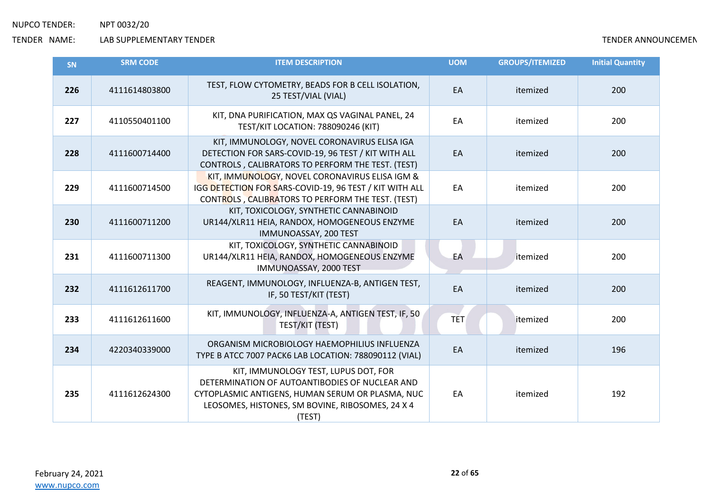| SN  | <b>SRM CODE</b> | <b>ITEM DESCRIPTION</b>                                                                                                                                                                                  | <b>UOM</b> | <b>GROUPS/ITEMIZED</b> | <b>Initial Quantity</b> |
|-----|-----------------|----------------------------------------------------------------------------------------------------------------------------------------------------------------------------------------------------------|------------|------------------------|-------------------------|
| 226 | 4111614803800   | TEST, FLOW CYTOMETRY, BEADS FOR B CELL ISOLATION,<br>25 TEST/VIAL (VIAL)                                                                                                                                 | EA         | itemized               | 200                     |
| 227 | 4110550401100   | KIT, DNA PURIFICATION, MAX QS VAGINAL PANEL, 24<br>TEST/KIT LOCATION: 788090246 (KIT)                                                                                                                    | EA         | itemized               | 200                     |
| 228 | 4111600714400   | KIT, IMMUNOLOGY, NOVEL CORONAVIRUS ELISA IGA<br>DETECTION FOR SARS-COVID-19, 96 TEST / KIT WITH ALL<br>CONTROLS, CALIBRATORS TO PERFORM THE TEST. (TEST)                                                 | EA         | itemized               | 200                     |
| 229 | 4111600714500   | KIT, IMMUNOLOGY, NOVEL CORONAVIRUS ELISA IGM &<br>IGG DETECTION FOR SARS-COVID-19, 96 TEST / KIT WITH ALL<br>CONTROLS, CALIBRATORS TO PERFORM THE TEST. (TEST)                                           | EA         | itemized               | 200                     |
| 230 | 4111600711200   | KIT, TOXICOLOGY, SYNTHETIC CANNABINOID<br>UR144/XLR11 HEIA, RANDOX, HOMOGENEOUS ENZYME<br>IMMUNOASSAY, 200 TEST                                                                                          | EA         | itemized               | 200                     |
| 231 | 4111600711300   | KIT, TOXICOLOGY, SYNTHETIC CANNABINOID<br>UR144/XLR11 HEIA, RANDOX, HOMOGENEOUS ENZYME<br>IMMUNOASSAY, 2000 TEST                                                                                         | EA         | itemized               | 200                     |
| 232 | 4111612611700   | REAGENT, IMMUNOLOGY, INFLUENZA-B, ANTIGEN TEST,<br>IF, 50 TEST/KIT (TEST)                                                                                                                                | EA         | itemized               | 200                     |
| 233 | 4111612611600   | KIT, IMMUNOLOGY, INFLUENZA-A, ANTIGEN TEST, IF, 50<br>TEST/KIT (TEST)                                                                                                                                    | <b>TET</b> | itemized               | 200                     |
| 234 | 4220340339000   | ORGANISM MICROBIOLOGY HAEMOPHILIUS INFLUENZA<br>TYPE B ATCC 7007 PACK6 LAB LOCATION: 788090112 (VIAL)                                                                                                    | EA         | itemized               | 196                     |
| 235 | 4111612624300   | KIT, IMMUNOLOGY TEST, LUPUS DOT, FOR<br>DETERMINATION OF AUTOANTIBODIES OF NUCLEAR AND<br>CYTOPLASMIC ANTIGENS, HUMAN SERUM OR PLASMA, NUC<br>LEOSOMES, HISTONES, SM BOVINE, RIBOSOMES, 24 X 4<br>(TEST) | EA         | itemized               | 192                     |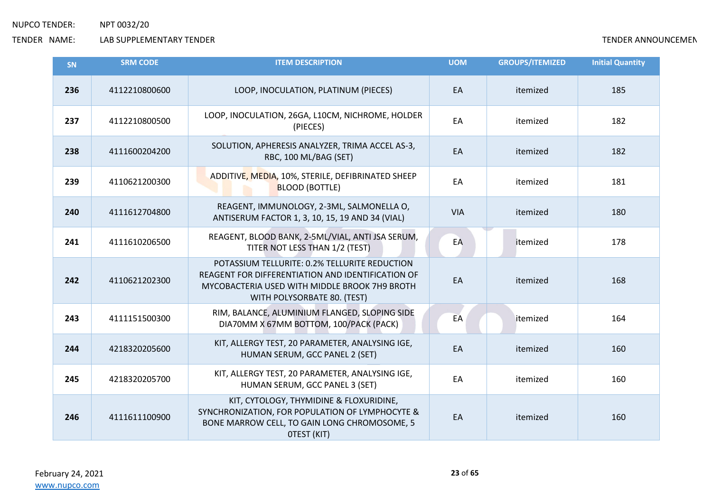| <b>SN</b> | <b>SRM CODE</b> | <b>ITEM DESCRIPTION</b>                                                                                                                                                            | <b>UOM</b> | <b>GROUPS/ITEMIZED</b> | <b>Initial Quantity</b> |
|-----------|-----------------|------------------------------------------------------------------------------------------------------------------------------------------------------------------------------------|------------|------------------------|-------------------------|
| 236       | 4112210800600   | LOOP, INOCULATION, PLATINUM (PIECES)                                                                                                                                               | EA         | itemized               | 185                     |
| 237       | 4112210800500   | LOOP, INOCULATION, 26GA, L10CM, NICHROME, HOLDER<br>(PIECES)                                                                                                                       | EA         | itemized               | 182                     |
| 238       | 4111600204200   | SOLUTION, APHERESIS ANALYZER, TRIMA ACCEL AS-3,<br>RBC, 100 ML/BAG (SET)                                                                                                           | EA         | itemized               | 182                     |
| 239       | 4110621200300   | ADDITIVE, MEDIA, 10%, STERILE, DEFIBRINATED SHEEP<br><b>BLOOD (BOTTLE)</b>                                                                                                         | EA         | itemized               | 181                     |
| 240       | 4111612704800   | REAGENT, IMMUNOLOGY, 2-3ML, SALMONELLA O,<br>ANTISERUM FACTOR 1, 3, 10, 15, 19 AND 34 (VIAL)                                                                                       | <b>VIA</b> | itemized               | 180                     |
| 241       | 4111610206500   | REAGENT, BLOOD BANK, 2-5ML/VIAL, ANTI JSA SERUM,<br>TITER NOT LESS THAN 1/2 (TEST)                                                                                                 | EA         | itemized               | 178                     |
| 242       | 4110621202300   | POTASSIUM TELLURITE: 0.2% TELLURITE REDUCTION<br>REAGENT FOR DIFFERENTIATION AND IDENTIFICATION OF<br>MYCOBACTERIA USED WITH MIDDLE BROOK 7H9 BROTH<br>WITH POLYSORBATE 80. (TEST) | EA         | itemized               | 168                     |
| 243       | 4111151500300   | RIM, BALANCE, ALUMINIUM FLANGED, SLOPING SIDE<br>DIA70MM X 67MM BOTTOM, 100/PACK (PACK)                                                                                            | EA         | itemized               | 164                     |
| 244       | 4218320205600   | KIT, ALLERGY TEST, 20 PARAMETER, ANALYSING IGE,<br>HUMAN SERUM, GCC PANEL 2 (SET)                                                                                                  | EA         | itemized               | 160                     |
| 245       | 4218320205700   | KIT, ALLERGY TEST, 20 PARAMETER, ANALYSING IGE,<br>HUMAN SERUM, GCC PANEL 3 (SET)                                                                                                  | EA         | itemized               | 160                     |
| 246       | 4111611100900   | KIT, CYTOLOGY, THYMIDINE & FLOXURIDINE,<br>SYNCHRONIZATION, FOR POPULATION OF LYMPHOCYTE &<br>BONE MARROW CELL, TO GAIN LONG CHROMOSOME, 5<br>OTEST (KIT)                          | EA         | itemized               | 160                     |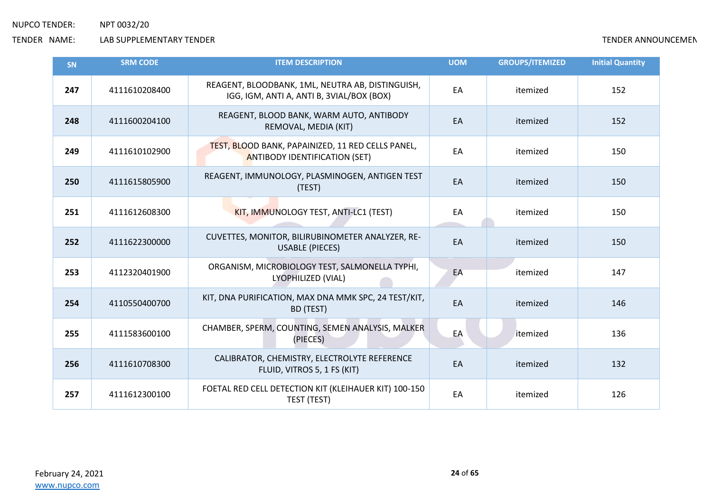| SN  | <b>SRM CODE</b> | <b>ITEM DESCRIPTION</b>                                                                       | <b>UOM</b> | <b>GROUPS/ITEMIZED</b> | <b>Initial Quantity</b> |
|-----|-----------------|-----------------------------------------------------------------------------------------------|------------|------------------------|-------------------------|
| 247 | 4111610208400   | REAGENT, BLOODBANK, 1ML, NEUTRA AB, DISTINGUISH,<br>IGG, IGM, ANTI A, ANTI B, 3VIAL/BOX (BOX) | EA         | itemized               | 152                     |
| 248 | 4111600204100   | REAGENT, BLOOD BANK, WARM AUTO, ANTIBODY<br>REMOVAL, MEDIA (KIT)                              | EA         | itemized               | 152                     |
| 249 | 4111610102900   | TEST, BLOOD BANK, PAPAINIZED, 11 RED CELLS PANEL,<br><b>ANTIBODY IDENTIFICATION (SET)</b>     | EA         | itemized               | 150                     |
| 250 | 4111615805900   | REAGENT, IMMUNOLOGY, PLASMINOGEN, ANTIGEN TEST<br>(TEST)                                      | EA         | itemized               | 150                     |
| 251 | 4111612608300   | KIT, IMMUNOLOGY TEST, ANTI-LC1 (TEST)                                                         | EA         | itemized               | 150                     |
| 252 | 4111622300000   | CUVETTES, MONITOR, BILIRUBINOMETER ANALYZER, RE-<br><b>USABLE (PIECES)</b>                    | EA         | itemized               | 150                     |
| 253 | 4112320401900   | ORGANISM, MICROBIOLOGY TEST, SALMONELLA TYPHI,<br>LYOPHILIZED (VIAL)                          | EA         | itemized               | 147                     |
| 254 | 4110550400700   | KIT, DNA PURIFICATION, MAX DNA MMK SPC, 24 TEST/KIT,<br>BD (TEST)                             | EA         | itemized               | 146                     |
| 255 | 4111583600100   | CHAMBER, SPERM, COUNTING, SEMEN ANALYSIS, MALKER<br>(PIECES)                                  | EA         | itemized               | 136                     |
| 256 | 4111610708300   | CALIBRATOR, CHEMISTRY, ELECTROLYTE REFERENCE<br>FLUID, VITROS 5, 1 FS (KIT)                   | EA         | itemized               | 132                     |
| 257 | 4111612300100   | FOETAL RED CELL DETECTION KIT (KLEIHAUER KIT) 100-150<br>TEST (TEST)                          | EA         | itemized               | 126                     |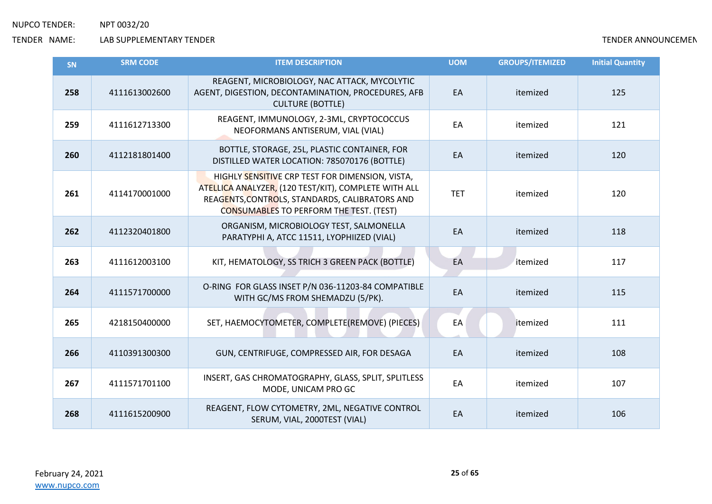| <b>SN</b> | <b>SRM CODE</b> | <b>ITEM DESCRIPTION</b>                                                                                                                                                                                     | <b>UOM</b> | <b>GROUPS/ITEMIZED</b> | <b>Initial Quantity</b> |
|-----------|-----------------|-------------------------------------------------------------------------------------------------------------------------------------------------------------------------------------------------------------|------------|------------------------|-------------------------|
| 258       | 4111613002600   | REAGENT, MICROBIOLOGY, NAC ATTACK, MYCOLYTIC<br>AGENT, DIGESTION, DECONTAMINATION, PROCEDURES, AFB<br><b>CULTURE (BOTTLE)</b>                                                                               | EA         | itemized               | 125                     |
| 259       | 4111612713300   | REAGENT, IMMUNOLOGY, 2-3ML, CRYPTOCOCCUS<br>NEOFORMANS ANTISERUM, VIAL (VIAL)                                                                                                                               | EA         | itemized               | 121                     |
| 260       | 4112181801400   | BOTTLE, STORAGE, 25L, PLASTIC CONTAINER, FOR<br>DISTILLED WATER LOCATION: 785070176 (BOTTLE)                                                                                                                | EA         | itemized               | 120                     |
| 261       | 4114170001000   | HIGHLY SENSITIVE CRP TEST FOR DIMENSION, VISTA,<br>ATELLICA ANALYZER, (120 TEST/KIT), COMPLETE WITH ALL<br>REAGENTS, CONTROLS, STANDARDS, CALIBRATORS AND<br><b>CONSUMABLES TO PERFORM THE TEST. (TEST)</b> | <b>TET</b> | itemized               | 120                     |
| 262       | 4112320401800   | ORGANISM, MICROBIOLOGY TEST, SALMONELLA<br>PARATYPHI A, ATCC 11511, LYOPHIIZED (VIAL)                                                                                                                       | EA         | itemized               | 118                     |
| 263       | 4111612003100   | KIT, HEMATOLOGY, SS TRICH 3 GREEN PACK (BOTTLE)                                                                                                                                                             | EA         | itemized               | 117                     |
| 264       | 4111571700000   | O-RING FOR GLASS INSET P/N 036-11203-84 COMPATIBLE<br>WITH GC/MS FROM SHEMADZU (5/PK).                                                                                                                      | EA         | itemized               | 115                     |
| 265       | 4218150400000   | SET, HAEMOCYTOMETER, COMPLETE(REMOVE) (PIECES)                                                                                                                                                              | EA         | itemized               | 111                     |
| 266       | 4110391300300   | GUN, CENTRIFUGE, COMPRESSED AIR, FOR DESAGA                                                                                                                                                                 | EA         | itemized               | 108                     |
| 267       | 4111571701100   | INSERT, GAS CHROMATOGRAPHY, GLASS, SPLIT, SPLITLESS<br>MODE, UNICAM PRO GC                                                                                                                                  | EA         | itemized               | 107                     |
| 268       | 4111615200900   | REAGENT, FLOW CYTOMETRY, 2ML, NEGATIVE CONTROL<br>SERUM, VIAL, 2000TEST (VIAL)                                                                                                                              | EA         | itemized               | 106                     |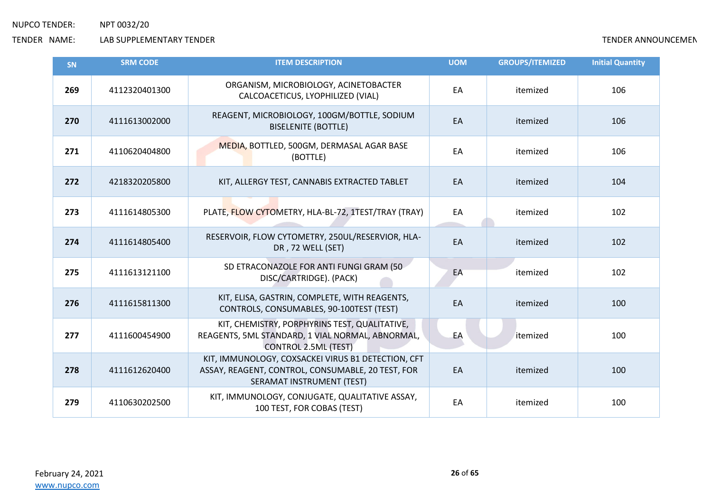| SN  | <b>SRM CODE</b> | <b>ITEM DESCRIPTION</b>                                                                                                              | <b>UOM</b> | <b>GROUPS/ITEMIZED</b> | <b>Initial Quantity</b> |
|-----|-----------------|--------------------------------------------------------------------------------------------------------------------------------------|------------|------------------------|-------------------------|
| 269 | 4112320401300   | ORGANISM, MICROBIOLOGY, ACINETOBACTER<br>CALCOACETICUS, LYOPHILIZED (VIAL)                                                           | EA         | itemized               | 106                     |
| 270 | 4111613002000   | REAGENT, MICROBIOLOGY, 100GM/BOTTLE, SODIUM<br><b>BISELENITE (BOTTLE)</b>                                                            | EA         | itemized               | 106                     |
| 271 | 4110620404800   | MEDIA, BOTTLED, 500GM, DERMASAL AGAR BASE<br>(BOTTLE)                                                                                | EA         | itemized               | 106                     |
| 272 | 4218320205800   | KIT, ALLERGY TEST, CANNABIS EXTRACTED TABLET                                                                                         | EA         | itemized               | 104                     |
| 273 | 4111614805300   | PLATE, FLOW CYTOMETRY, HLA-BL-72, 1TEST/TRAY (TRAY)                                                                                  | EA         | itemized               | 102                     |
| 274 | 4111614805400   | RESERVOIR, FLOW CYTOMETRY, 250UL/RESERVIOR, HLA-<br>DR, 72 WELL (SET)                                                                | EA         | itemized               | 102                     |
| 275 | 4111613121100   | SD ETRACONAZOLE FOR ANTI FUNGI GRAM (50<br>DISC/CARTRIDGE). (PACK)                                                                   | EA         | itemized               | 102                     |
| 276 | 4111615811300   | KIT, ELISA, GASTRIN, COMPLETE, WITH REAGENTS,<br>CONTROLS, CONSUMABLES, 90-100TEST (TEST)                                            | EA         | itemized               | 100                     |
| 277 | 4111600454900   | KIT, CHEMISTRY, PORPHYRINS TEST, QUALITATIVE,<br>REAGENTS, 5ML STANDARD, 1 VIAL NORMAL, ABNORMAL,<br><b>CONTROL 2.5ML (TEST)</b>     | EA         | itemized               | 100                     |
| 278 | 4111612620400   | KIT, IMMUNOLOGY, COXSACKEI VIRUS B1 DETECTION, CFT<br>ASSAY, REAGENT, CONTROL, CONSUMABLE, 20 TEST, FOR<br>SERAMAT INSTRUMENT (TEST) | EA         | itemized               | 100                     |
| 279 | 4110630202500   | KIT, IMMUNOLOGY, CONJUGATE, QUALITATIVE ASSAY,<br>100 TEST, FOR COBAS (TEST)                                                         | EA         | itemized               | 100                     |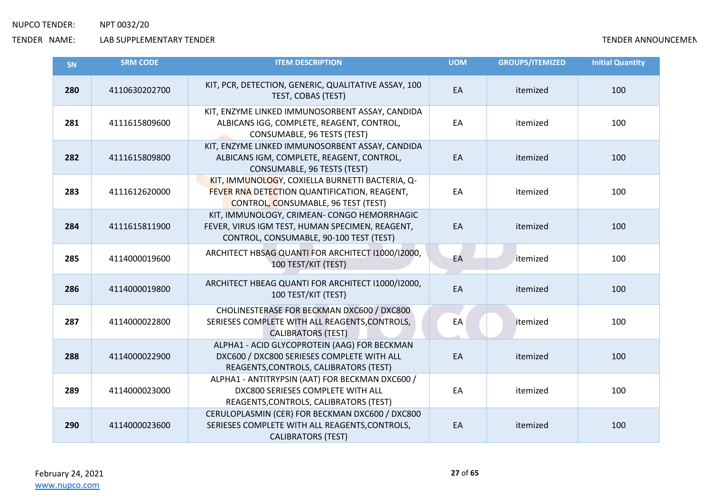| <b>SN</b> | <b>SRM CODE</b> | <b>ITEM DESCRIPTION</b>                                                                                                                   | <b>UOM</b> | <b>GROUPS/ITEMIZED</b> | <b>Initial Quantity</b> |
|-----------|-----------------|-------------------------------------------------------------------------------------------------------------------------------------------|------------|------------------------|-------------------------|
| 280       | 4110630202700   | KIT, PCR, DETECTION, GENERIC, QUALITATIVE ASSAY, 100<br>TEST, COBAS (TEST)                                                                | EA         | itemized               | 100                     |
| 281       | 4111615809600   | KIT, ENZYME LINKED IMMUNOSORBENT ASSAY, CANDIDA<br>ALBICANS IGG, COMPLETE, REAGENT, CONTROL,<br>CONSUMABLE, 96 TESTS (TEST)               | EA         | itemized               | 100                     |
| 282       | 4111615809800   | KIT, ENZYME LINKED IMMUNOSORBENT ASSAY, CANDIDA<br>ALBICANS IGM, COMPLETE, REAGENT, CONTROL,<br>CONSUMABLE, 96 TESTS (TEST)               | EA         | itemized               | 100                     |
| 283       | 4111612620000   | KIT, IMMUNOLOGY, COXIELLA BURNETTI BACTERIA, Q-<br>FEVER RNA DETECTION QUANTIFICATION, REAGENT,<br>CONTROL, CONSUMABLE, 96 TEST (TEST)    | EA         | itemized               | 100                     |
| 284       | 4111615811900   | KIT, IMMUNOLOGY, CRIMEAN- CONGO HEMORRHAGIC<br>FEVER, VIRUS IGM TEST, HUMAN SPECIMEN, REAGENT,<br>CONTROL, CONSUMABLE, 90-100 TEST (TEST) | EA         | itemized               | 100                     |
| 285       | 4114000019600   | ARCHITECT HBSAG QUANTI FOR ARCHITECT I1000/I2000,<br>100 TEST/KIT (TEST)                                                                  | EA         | itemized               | 100                     |
| 286       | 4114000019800   | ARCHITECT HBEAG QUANTI FOR ARCHITECT I1000/I2000,<br>100 TEST/KIT (TEST)                                                                  | EA         | itemized               | 100                     |
| 287       | 4114000022800   | CHOLINESTERASE FOR BECKMAN DXC600 / DXC800<br>SERIESES COMPLETE WITH ALL REAGENTS, CONTROLS,<br><b>CALIBRATORS (TEST)</b>                 | EA         | itemized               | 100                     |
| 288       | 4114000022900   | ALPHA1 - ACID GLYCOPROTEIN (AAG) FOR BECKMAN<br>DXC600 / DXC800 SERIESES COMPLETE WITH ALL<br>REAGENTS, CONTROLS, CALIBRATORS (TEST)      | EA         | itemized               | 100                     |
| 289       | 4114000023000   | ALPHA1 - ANTITRYPSIN (AAT) FOR BECKMAN DXC600 /<br>DXC800 SERIESES COMPLETE WITH ALL<br>REAGENTS, CONTROLS, CALIBRATORS (TEST)            | EA         | itemized               | 100                     |
| 290       | 4114000023600   | CERULOPLASMIN (CER) FOR BECKMAN DXC600 / DXC800<br>SERIESES COMPLETE WITH ALL REAGENTS, CONTROLS,<br><b>CALIBRATORS (TEST)</b>            | EA         | itemized               | 100                     |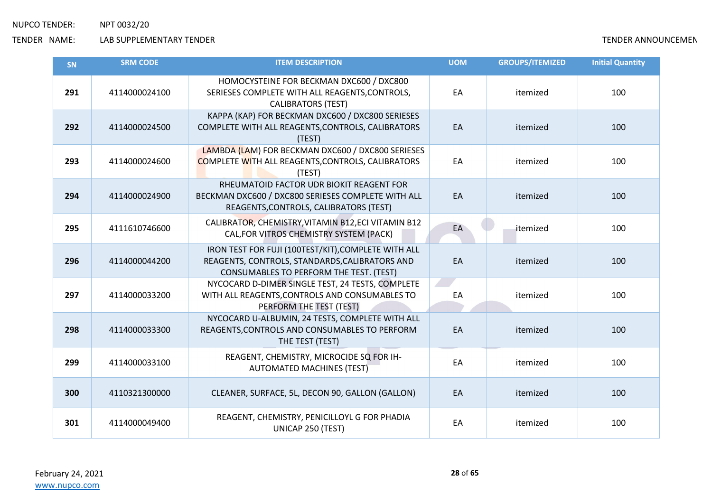| SN  | <b>SRM CODE</b> | <b>ITEM DESCRIPTION</b>                                                                                                                          | <b>UOM</b> | <b>GROUPS/ITEMIZED</b> | <b>Initial Quantity</b> |
|-----|-----------------|--------------------------------------------------------------------------------------------------------------------------------------------------|------------|------------------------|-------------------------|
| 291 | 4114000024100   | HOMOCYSTEINE FOR BECKMAN DXC600 / DXC800<br>SERIESES COMPLETE WITH ALL REAGENTS, CONTROLS,<br><b>CALIBRATORS (TEST)</b>                          | EA         | itemized               | 100                     |
| 292 | 4114000024500   | KAPPA (KAP) FOR BECKMAN DXC600 / DXC800 SERIESES<br>COMPLETE WITH ALL REAGENTS, CONTROLS, CALIBRATORS<br>(TEST)                                  | EA         | itemized               | 100                     |
| 293 | 4114000024600   | LAMBDA (LAM) FOR BECKMAN DXC600 / DXC800 SERIESES<br><b>COMPLETE WITH ALL REAGENTS, CONTROLS, CALIBRATORS</b><br>(TEST)                          | EA         | itemized               | 100                     |
| 294 | 4114000024900   | RHEUMATOID FACTOR UDR BIOKIT REAGENT FOR<br>BECKMAN DXC600 / DXC800 SERIESES COMPLETE WITH ALL<br>REAGENTS, CONTROLS, CALIBRATORS (TEST)         | EA         | itemized               | 100                     |
| 295 | 4111610746600   | CALIBRATOR, CHEMISTRY, VITAMIN B12, ECI VITAMIN B12<br>CAL, FOR VITROS CHEMISTRY SYSTEM (PACK)                                                   | EA         | itemized               | 100                     |
| 296 | 4114000044200   | IRON TEST FOR FUJI (100TEST/KIT), COMPLETE WITH ALL<br>REAGENTS, CONTROLS, STANDARDS, CALIBRATORS AND<br>CONSUMABLES TO PERFORM THE TEST. (TEST) | EA         | itemized               | 100                     |
| 297 | 4114000033200   | NYCOCARD D-DIMER SINGLE TEST, 24 TESTS, COMPLETE<br>WITH ALL REAGENTS, CONTROLS AND CONSUMABLES TO<br>PERFORM THE TEST (TEST)                    | EA         | itemized               | 100                     |
| 298 | 4114000033300   | NYCOCARD U-ALBUMIN, 24 TESTS, COMPLETE WITH ALL<br>REAGENTS, CONTROLS AND CONSUMABLES TO PERFORM<br>THE TEST (TEST)                              | EA         | itemized               | 100                     |
| 299 | 4114000033100   | REAGENT, CHEMISTRY, MICROCIDE SQ FOR IH-<br><b>AUTOMATED MACHINES (TEST)</b>                                                                     | EA         | itemized               | 100                     |
| 300 | 4110321300000   | CLEANER, SURFACE, 5L, DECON 90, GALLON (GALLON)                                                                                                  | EA         | itemized               | 100                     |
| 301 | 4114000049400   | REAGENT, CHEMISTRY, PENICILLOYL G FOR PHADIA<br>UNICAP 250 (TEST)                                                                                | EA         | itemized               | 100                     |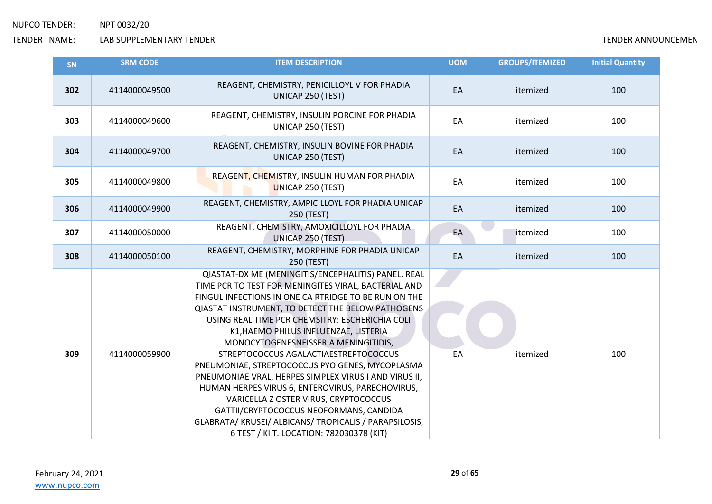| SN  | <b>SRM CODE</b> | <b>ITEM DESCRIPTION</b>                                                                                                                                                                                                                                                                                                                                                                                                                                                                                                                                                                                                                                                                                                                                             | <b>UOM</b> | <b>GROUPS/ITEMIZED</b> | <b>Initial Quantity</b> |
|-----|-----------------|---------------------------------------------------------------------------------------------------------------------------------------------------------------------------------------------------------------------------------------------------------------------------------------------------------------------------------------------------------------------------------------------------------------------------------------------------------------------------------------------------------------------------------------------------------------------------------------------------------------------------------------------------------------------------------------------------------------------------------------------------------------------|------------|------------------------|-------------------------|
| 302 | 4114000049500   | REAGENT, CHEMISTRY, PENICILLOYL V FOR PHADIA<br>UNICAP 250 (TEST)                                                                                                                                                                                                                                                                                                                                                                                                                                                                                                                                                                                                                                                                                                   | EA         | itemized               | 100                     |
| 303 | 4114000049600   | REAGENT, CHEMISTRY, INSULIN PORCINE FOR PHADIA<br>UNICAP 250 (TEST)                                                                                                                                                                                                                                                                                                                                                                                                                                                                                                                                                                                                                                                                                                 | EA         | itemized               | 100                     |
| 304 | 4114000049700   | REAGENT, CHEMISTRY, INSULIN BOVINE FOR PHADIA<br>UNICAP 250 (TEST)                                                                                                                                                                                                                                                                                                                                                                                                                                                                                                                                                                                                                                                                                                  | EA         | itemized               | 100                     |
| 305 | 4114000049800   | REAGENT, CHEMISTRY, INSULIN HUMAN FOR PHADIA<br><b>UNICAP 250 (TEST)</b>                                                                                                                                                                                                                                                                                                                                                                                                                                                                                                                                                                                                                                                                                            | EA         | itemized               | 100                     |
| 306 | 4114000049900   | REAGENT, CHEMISTRY, AMPICILLOYL FOR PHADIA UNICAP<br>250 (TEST)                                                                                                                                                                                                                                                                                                                                                                                                                                                                                                                                                                                                                                                                                                     | EA         | itemized               | 100                     |
| 307 | 4114000050000   | REAGENT, CHEMISTRY, AMOXICILLOYL FOR PHADIA<br>UNICAP 250 (TEST)                                                                                                                                                                                                                                                                                                                                                                                                                                                                                                                                                                                                                                                                                                    | EA         | itemized               | 100                     |
| 308 | 4114000050100   | REAGENT, CHEMISTRY, MORPHINE FOR PHADIA UNICAP<br>250 (TEST)                                                                                                                                                                                                                                                                                                                                                                                                                                                                                                                                                                                                                                                                                                        | EA         | itemized               | 100                     |
| 309 | 4114000059900   | QIASTAT-DX ME (MENINGITIS/ENCEPHALITIS) PANEL. REAL<br>TIME PCR TO TEST FOR MENINGITES VIRAL, BACTERIAL AND<br>FINGUL INFECTIONS IN ONE CA RTRIDGE TO BE RUN ON THE<br><b>QIASTAT INSTRUMENT, TO DETECT THE BELOW PATHOGENS</b><br>USING REAL TIME PCR CHEMSITRY: ESCHERICHIA COLI<br>K1, HAEMO PHILUS INFLUENZAE, LISTERIA<br>MONOCYTOGENESNEISSERIA MENINGITIDIS,<br>STREPTOCOCCUS AGALACTIAESTREPTOCOCCUS<br>PNEUMONIAE, STREPTOCOCCUS PYO GENES, MYCOPLASMA<br>PNEUMONIAE VRAL, HERPES SIMPLEX VIRUS I AND VIRUS II,<br>HUMAN HERPES VIRUS 6, ENTEROVIRUS, PARECHOVIRUS,<br>VARICELLA Z OSTER VIRUS, CRYPTOCOCCUS<br>GATTII/CRYPTOCOCCUS NEOFORMANS, CANDIDA<br>GLABRATA/KRUSEI/ALBICANS/TROPICALIS / PARAPSILOSIS,<br>6 TEST / KI T. LOCATION: 782030378 (KIT) | EA         | itemized               | 100                     |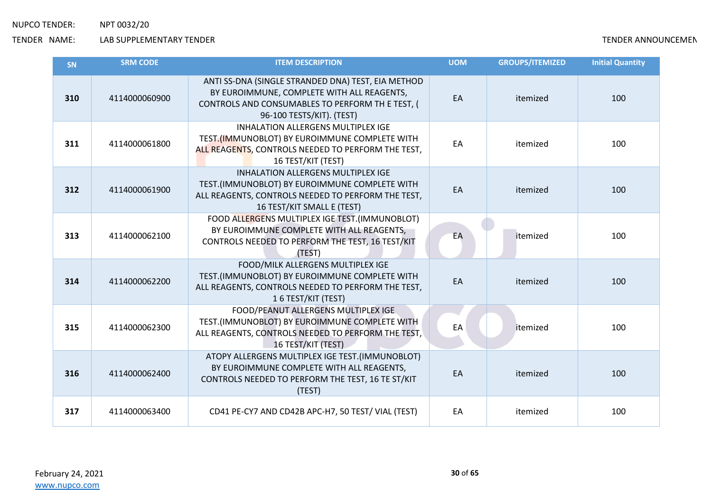| SN  | <b>SRM CODE</b> | <b>ITEM DESCRIPTION</b>                                                                                                                                                           | <b>UOM</b> | <b>GROUPS/ITEMIZED</b> | <b>Initial Quantity</b> |
|-----|-----------------|-----------------------------------------------------------------------------------------------------------------------------------------------------------------------------------|------------|------------------------|-------------------------|
| 310 | 4114000060900   | ANTI SS-DNA (SINGLE STRANDED DNA) TEST, EIA METHOD<br>BY EUROIMMUNE, COMPLETE WITH ALL REAGENTS,<br>CONTROLS AND CONSUMABLES TO PERFORM TH E TEST, (<br>96-100 TESTS/KIT). (TEST) | EA         | itemized               | 100                     |
| 311 | 4114000061800   | <b>INHALATION ALLERGENS MULTIPLEX IGE</b><br>TEST.(IMMUNOBLOT) BY EUROIMMUNE COMPLETE WITH<br>ALL REAGENTS, CONTROLS NEEDED TO PERFORM THE TEST,<br>16 TEST/KIT (TEST)            | EA         | itemized               | 100                     |
| 312 | 4114000061900   | <b>INHALATION ALLERGENS MULTIPLEX IGE</b><br>TEST.(IMMUNOBLOT) BY EUROIMMUNE COMPLETE WITH<br>ALL REAGENTS, CONTROLS NEEDED TO PERFORM THE TEST,<br>16 TEST/KIT SMALL E (TEST)    | EA         | itemized               | 100                     |
| 313 | 4114000062100   | FOOD ALLERGENS MULTIPLEX IGE TEST. (IMMUNOBLOT)<br>BY EUROIMMUNE COMPLETE WITH ALL REAGENTS,<br>CONTROLS NEEDED TO PERFORM THE TEST, 16 TEST/KIT<br>(TEST)                        | EA         | itemized               | 100                     |
| 314 | 4114000062200   | FOOD/MILK ALLERGENS MULTIPLEX IGE<br>TEST.(IMMUNOBLOT) BY EUROIMMUNE COMPLETE WITH<br>ALL REAGENTS, CONTROLS NEEDED TO PERFORM THE TEST,<br>16 TEST/KIT (TEST)                    | EA         | itemized               | 100                     |
| 315 | 4114000062300   | FOOD/PEANUT ALLERGENS MULTIPLEX IGE<br>TEST.(IMMUNOBLOT) BY EUROIMMUNE COMPLETE WITH<br>ALL REAGENTS, CONTROLS NEEDED TO PERFORM THE TEST,<br>16 TEST/KIT (TEST)                  | EA         | itemized               | 100                     |
| 316 | 4114000062400   | ATOPY ALLERGENS MULTIPLEX IGE TEST.(IMMUNOBLOT)<br>BY EUROIMMUNE COMPLETE WITH ALL REAGENTS,<br>CONTROLS NEEDED TO PERFORM THE TEST, 16 TE ST/KIT<br>(TEST)                       | EA         | itemized               | 100                     |
| 317 | 4114000063400   | CD41 PE-CY7 AND CD42B APC-H7, 50 TEST/ VIAL (TEST)                                                                                                                                | EA         | itemized               | 100                     |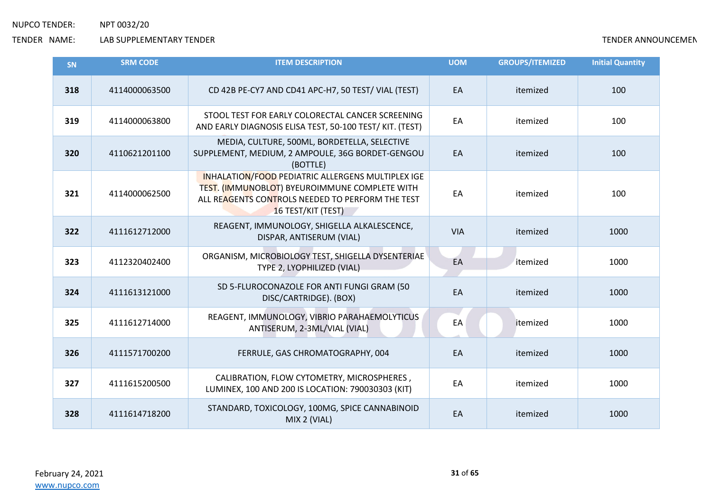| SN  | <b>SRM CODE</b> | <b>ITEM DESCRIPTION</b>                                                                                                                                                      | <b>UOM</b> | <b>GROUPS/ITEMIZED</b> | <b>Initial Quantity</b> |
|-----|-----------------|------------------------------------------------------------------------------------------------------------------------------------------------------------------------------|------------|------------------------|-------------------------|
| 318 | 4114000063500   | CD 42B PE-CY7 AND CD41 APC-H7, 50 TEST/ VIAL (TEST)                                                                                                                          | EA         | itemized               | 100                     |
| 319 | 4114000063800   | STOOL TEST FOR EARLY COLORECTAL CANCER SCREENING<br>AND EARLY DIAGNOSIS ELISA TEST, 50-100 TEST/ KIT. (TEST)                                                                 | EA         | itemized               | 100                     |
| 320 | 4110621201100   | MEDIA, CULTURE, 500ML, BORDETELLA, SELECTIVE<br>SUPPLEMENT, MEDIUM, 2 AMPOULE, 36G BORDET-GENGOU<br>(BOTTLE)                                                                 | EA         | itemized               | 100                     |
| 321 | 4114000062500   | INHALATION/FOOD PEDIATRIC ALLERGENS MULTIPLEX IGE<br>TEST. (IMMUNOBLOT) BYEUROIMMUNE COMPLETE WITH<br>ALL REAGENTS CONTROLS NEEDED TO PERFORM THE TEST<br>16 TEST/KIT (TEST) | EA         | itemized               | 100                     |
| 322 | 4111612712000   | REAGENT, IMMUNOLOGY, SHIGELLA ALKALESCENCE,<br>DISPAR, ANTISERUM (VIAL)                                                                                                      | <b>VIA</b> | itemized               | 1000                    |
| 323 | 4112320402400   | ORGANISM, MICROBIOLOGY TEST, SHIGELLA DYSENTERIAE<br>TYPE 2, LYOPHILIZED (VIAL)                                                                                              | EA         | itemized               | 1000                    |
| 324 | 4111613121000   | SD 5-FLUROCONAZOLE FOR ANTI FUNGI GRAM (50<br>DISC/CARTRIDGE). (BOX)                                                                                                         | EA         | itemized               | 1000                    |
| 325 | 4111612714000   | REAGENT, IMMUNOLOGY, VIBRIO PARAHAEMOLYTICUS<br>ANTISERUM, 2-3ML/VIAL (VIAL)                                                                                                 | EA         | itemized               | 1000                    |
| 326 | 4111571700200   | FERRULE, GAS CHROMATOGRAPHY, 004                                                                                                                                             | EA         | itemized               | 1000                    |
| 327 | 4111615200500   | CALIBRATION, FLOW CYTOMETRY, MICROSPHERES,<br>LUMINEX, 100 AND 200 IS LOCATION: 790030303 (KIT)                                                                              | EA         | itemized               | 1000                    |
| 328 | 4111614718200   | STANDARD, TOXICOLOGY, 100MG, SPICE CANNABINOID<br>MIX 2 (VIAL)                                                                                                               | EA         | itemized               | 1000                    |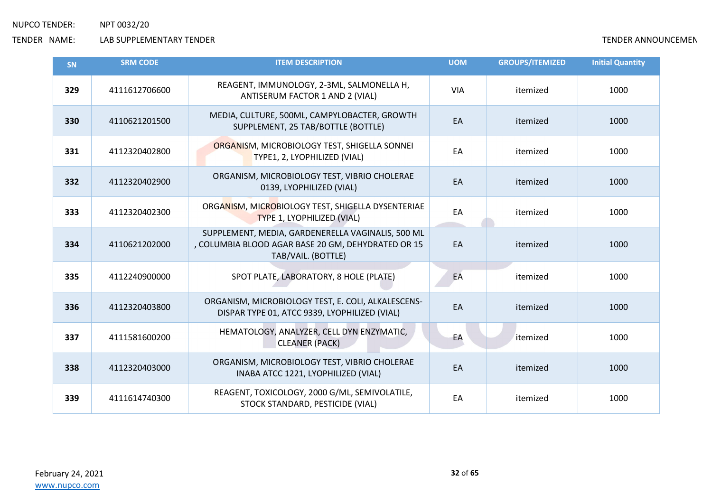| <b>SN</b> | <b>SRM CODE</b> | <b>ITEM DESCRIPTION</b>                                                                                                       | <b>UOM</b> | <b>GROUPS/ITEMIZED</b> | <b>Initial Quantity</b> |
|-----------|-----------------|-------------------------------------------------------------------------------------------------------------------------------|------------|------------------------|-------------------------|
| 329       | 4111612706600   | REAGENT, IMMUNOLOGY, 2-3ML, SALMONELLA H,<br>ANTISERUM FACTOR 1 AND 2 (VIAL)                                                  | <b>VIA</b> | itemized               | 1000                    |
| 330       | 4110621201500   | MEDIA, CULTURE, 500ML, CAMPYLOBACTER, GROWTH<br>SUPPLEMENT, 25 TAB/BOTTLE (BOTTLE)                                            | EA         | itemized               | 1000                    |
| 331       | 4112320402800   | ORGANISM, MICROBIOLOGY TEST, SHIGELLA SONNEI<br>TYPE1, 2, LYOPHILIZED (VIAL)                                                  | EA         | itemized               | 1000                    |
| 332       | 4112320402900   | ORGANISM, MICROBIOLOGY TEST, VIBRIO CHOLERAE<br>0139, LYOPHILIZED (VIAL)                                                      | EA         | itemized               | 1000                    |
| 333       | 4112320402300   | ORGANISM, MICROBIOLOGY TEST, SHIGELLA DYSENTERIAE<br>TYPE 1, LYOPHILIZED (VIAL)                                               | EA         | itemized               | 1000                    |
| 334       | 4110621202000   | SUPPLEMENT, MEDIA, GARDENERELLA VAGINALIS, 500 ML<br>, COLUMBIA BLOOD AGAR BASE 20 GM, DEHYDRATED OR 15<br>TAB/VAIL. (BOTTLE) | EA         | itemized               | 1000                    |
| 335       | 4112240900000   | SPOT PLATE, LABORATORY, 8 HOLE (PLATE)                                                                                        | EA         | itemized               | 1000                    |
| 336       | 4112320403800   | ORGANISM, MICROBIOLOGY TEST, E. COLI, ALKALESCENS-<br>DISPAR TYPE 01, ATCC 9339, LYOPHILIZED (VIAL)                           | EA         | itemized               | 1000                    |
| 337       | 4111581600200   | HEMATOLOGY, ANALYZER, CELL DYN ENZYMATIC,<br><b>CLEANER (PACK)</b>                                                            | EA         | itemized               | 1000                    |
| 338       | 4112320403000   | ORGANISM, MICROBIOLOGY TEST, VIBRIO CHOLERAE<br>INABA ATCC 1221, LYOPHILIZED (VIAL)                                           | EA         | itemized               | 1000                    |
| 339       | 4111614740300   | REAGENT, TOXICOLOGY, 2000 G/ML, SEMIVOLATILE,<br>STOCK STANDARD, PESTICIDE (VIAL)                                             | EA         | itemized               | 1000                    |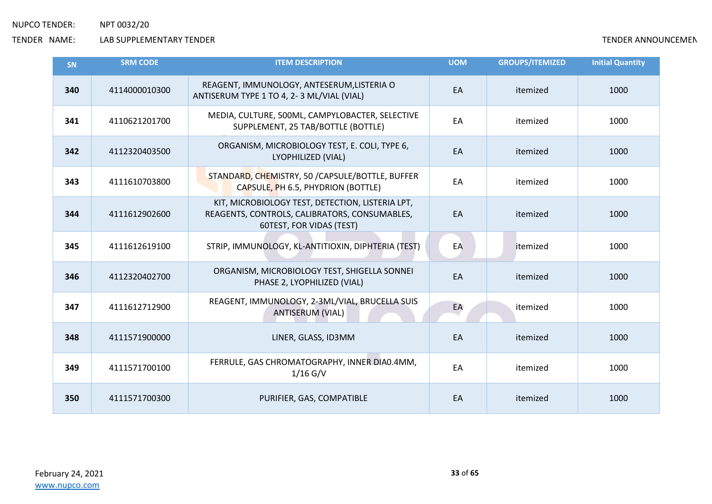| SN  | <b>SRM CODE</b> | <b>ITEM DESCRIPTION</b>                                                                                                       | <b>UOM</b> | <b>GROUPS/ITEMIZED</b> | <b>Initial Quantity</b> |
|-----|-----------------|-------------------------------------------------------------------------------------------------------------------------------|------------|------------------------|-------------------------|
| 340 | 4114000010300   | REAGENT, IMMUNOLOGY, ANTESERUM, LISTERIA O<br>ANTISERUM TYPE 1 TO 4, 2-3 ML/VIAL (VIAL)                                       | EA         | itemized               | 1000                    |
| 341 | 4110621201700   | MEDIA, CULTURE, 500ML, CAMPYLOBACTER, SELECTIVE<br>SUPPLEMENT, 25 TAB/BOTTLE (BOTTLE)                                         | EA         | itemized               | 1000                    |
| 342 | 4112320403500   | ORGANISM, MICROBIOLOGY TEST, E. COLI, TYPE 6,<br>LYOPHILIZED (VIAL)                                                           | EA         | itemized               | 1000                    |
| 343 | 4111610703800   | STANDARD, CHEMISTRY, 50 / CAPSULE/BOTTLE, BUFFER<br>CAPSULE, PH 6.5, PHYDRION (BOTTLE)                                        | EA         | itemized               | 1000                    |
| 344 | 4111612902600   | KIT, MICROBIOLOGY TEST, DETECTION, LISTERIA LPT,<br>REAGENTS, CONTROLS, CALIBRATORS, CONSUMABLES,<br>60TEST, FOR VIDAS (TEST) | EA         | itemized               | 1000                    |
| 345 | 4111612619100   | STRIP, IMMUNOLOGY, KL-ANTITIOXIN, DIPHTERIA (TEST)                                                                            | EA         | itemized               | 1000                    |
| 346 | 4112320402700   | ORGANISM, MICROBIOLOGY TEST, SHIGELLA SONNEI<br>PHASE 2, LYOPHILIZED (VIAL)                                                   | EA         | itemized               | 1000                    |
| 347 | 4111612712900   | REAGENT, IMMUNOLOGY, 2-3ML/VIAL, BRUCELLA SUIS<br><b>ANTISERUM (VIAL)</b>                                                     | EA         | itemized               | 1000                    |
| 348 | 4111571900000   | LINER, GLASS, ID3MM                                                                                                           | EA         | itemized               | 1000                    |
| 349 | 4111571700100   | FERRULE, GAS CHROMATOGRAPHY, INNER DIA0.4MM,<br>$1/16$ G/V                                                                    | EA         | itemized               | 1000                    |
| 350 | 4111571700300   | PURIFIER, GAS, COMPATIBLE                                                                                                     | EA         | itemized               | 1000                    |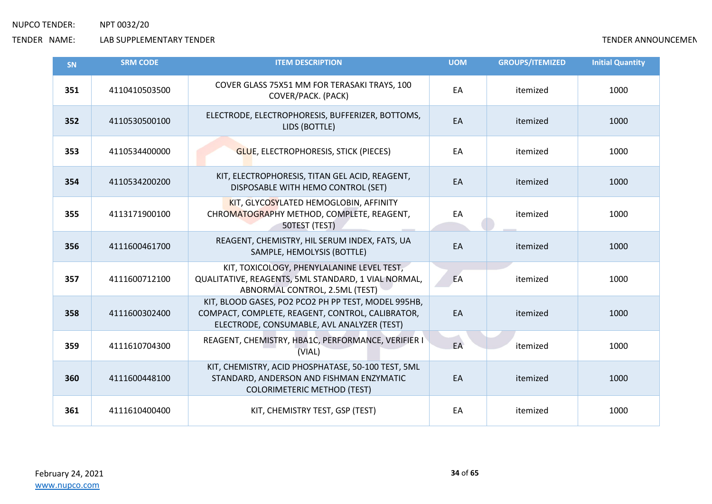| SN  | <b>SRM CODE</b> | <b>ITEM DESCRIPTION</b>                                                                                                                               | <b>UOM</b> | <b>GROUPS/ITEMIZED</b> | <b>Initial Quantity</b> |
|-----|-----------------|-------------------------------------------------------------------------------------------------------------------------------------------------------|------------|------------------------|-------------------------|
| 351 | 4110410503500   | COVER GLASS 75X51 MM FOR TERASAKI TRAYS, 100<br>COVER/PACK. (PACK)                                                                                    | EA         | itemized               | 1000                    |
| 352 | 4110530500100   | ELECTRODE, ELECTROPHORESIS, BUFFERIZER, BOTTOMS,<br>LIDS (BOTTLE)                                                                                     | EA         | itemized               | 1000                    |
| 353 | 4110534400000   | <b>GLUE, ELECTROPHORESIS, STICK (PIECES)</b>                                                                                                          | EA         | itemized               | 1000                    |
| 354 | 4110534200200   | KIT, ELECTROPHORESIS, TITAN GEL ACID, REAGENT,<br>DISPOSABLE WITH HEMO CONTROL (SET)                                                                  | EA         | itemized               | 1000                    |
| 355 | 4113171900100   | KIT, GLYCOSYLATED HEMOGLOBIN, AFFINITY<br>CHROMATOGRAPHY METHOD, COMPLETE, REAGENT,<br>50TEST (TEST)                                                  | EA         | itemized               | 1000                    |
| 356 | 4111600461700   | REAGENT, CHEMISTRY, HIL SERUM INDEX, FATS, UA<br>SAMPLE, HEMOLYSIS (BOTTLE)                                                                           | EA         | itemized               | 1000                    |
| 357 | 4111600712100   | KIT, TOXICOLOGY, PHENYLALANINE LEVEL TEST,<br>QUALITATIVE, REAGENTS, 5ML STANDARD, 1 VIAL NORMAL,<br>ABNORMAL CONTROL, 2.5ML (TEST)                   | EA         | itemized               | 1000                    |
| 358 | 4111600302400   | KIT, BLOOD GASES, PO2 PCO2 PH PP TEST, MODEL 995HB,<br>COMPACT, COMPLETE, REAGENT, CONTROL, CALIBRATOR,<br>ELECTRODE, CONSUMABLE, AVL ANALYZER (TEST) | EA         | itemized               | 1000                    |
| 359 | 4111610704300   | REAGENT, CHEMISTRY, HBA1C, PERFORMANCE, VERIFIER I<br>(VIAL)                                                                                          | EA         | itemized               | 1000                    |
| 360 | 4111600448100   | KIT, CHEMISTRY, ACID PHOSPHATASE, 50-100 TEST, 5ML<br>STANDARD, ANDERSON AND FISHMAN ENZYMATIC<br><b>COLORIMETERIC METHOD (TEST)</b>                  | EA         | itemized               | 1000                    |
| 361 | 4111610400400   | KIT, CHEMISTRY TEST, GSP (TEST)                                                                                                                       | EA         | itemized               | 1000                    |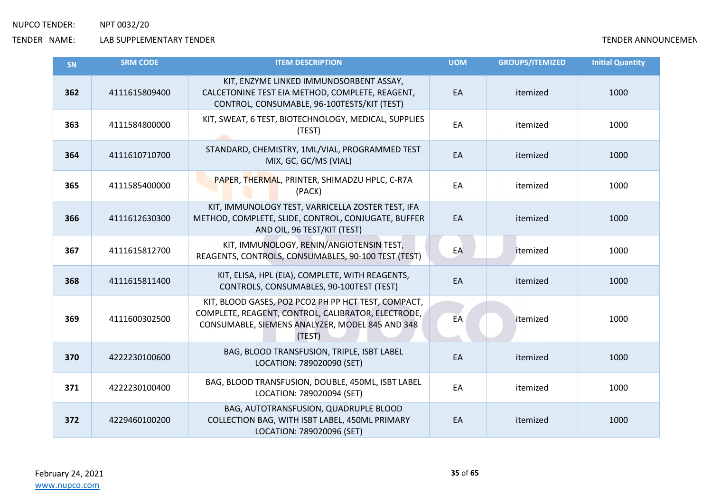| <b>SN</b> | <b>SRM CODE</b> | <b>ITEM DESCRIPTION</b>                                                                                                                                                | <b>UOM</b> | <b>GROUPS/ITEMIZED</b> | <b>Initial Quantity</b> |
|-----------|-----------------|------------------------------------------------------------------------------------------------------------------------------------------------------------------------|------------|------------------------|-------------------------|
| 362       | 4111615809400   | KIT, ENZYME LINKED IMMUNOSORBENT ASSAY,<br>CALCETONINE TEST EIA METHOD, COMPLETE, REAGENT,<br>CONTROL, CONSUMABLE, 96-100TESTS/KIT (TEST)                              | EA         | itemized               | 1000                    |
| 363       | 4111584800000   | KIT, SWEAT, 6 TEST, BIOTECHNOLOGY, MEDICAL, SUPPLIES<br>(TEST)                                                                                                         | EA         | itemized               | 1000                    |
| 364       | 4111610710700   | STANDARD, CHEMISTRY, 1ML/VIAL, PROGRAMMED TEST<br>MIX, GC, GC/MS (VIAL)                                                                                                | EA         | itemized               | 1000                    |
| 365       | 4111585400000   | PAPER, THERMAL, PRINTER, SHIMADZU HPLC, C-R7A<br>(PACK)                                                                                                                | EA         | itemized               | 1000                    |
| 366       | 4111612630300   | KIT, IMMUNOLOGY TEST, VARRICELLA ZOSTER TEST, IFA<br>METHOD, COMPLETE, SLIDE, CONTROL, CONJUGATE, BUFFER<br>AND OIL, 96 TEST/KIT (TEST)                                | EA         | itemized               | 1000                    |
| 367       | 4111615812700   | KIT, IMMUNOLOGY, RENIN/ANGIOTENSIN TEST,<br>REAGENTS, CONTROLS, CONSUMABLES, 90-100 TEST (TEST)                                                                        | EA         | itemized               | 1000                    |
| 368       | 4111615811400   | KIT, ELISA, HPL (EIA), COMPLETE, WITH REAGENTS,<br>CONTROLS, CONSUMABLES, 90-100TEST (TEST)                                                                            | EA         | itemized               | 1000                    |
| 369       | 4111600302500   | KIT, BLOOD GASES, PO2 PCO2 PH PP HCT TEST, COMPACT,<br>COMPLETE, REAGENT, CONTROL, CALIBRATOR, ELECTRODE,<br>CONSUMABLE, SIEMENS ANALYZER, MODEL 845 AND 348<br>(TEST) | EA         | itemized               | 1000                    |
| 370       | 4222230100600   | BAG, BLOOD TRANSFUSION, TRIPLE, ISBT LABEL<br>LOCATION: 789020090 (SET)                                                                                                | EA         | itemized               | 1000                    |
| 371       | 4222230100400   | BAG, BLOOD TRANSFUSION, DOUBLE, 450ML, ISBT LABEL<br>LOCATION: 789020094 (SET)                                                                                         | EA         | itemized               | 1000                    |
| 372       | 4229460100200   | BAG, AUTOTRANSFUSION, QUADRUPLE BLOOD<br>COLLECTION BAG, WITH ISBT LABEL, 450ML PRIMARY<br>LOCATION: 789020096 (SET)                                                   | EA         | itemized               | 1000                    |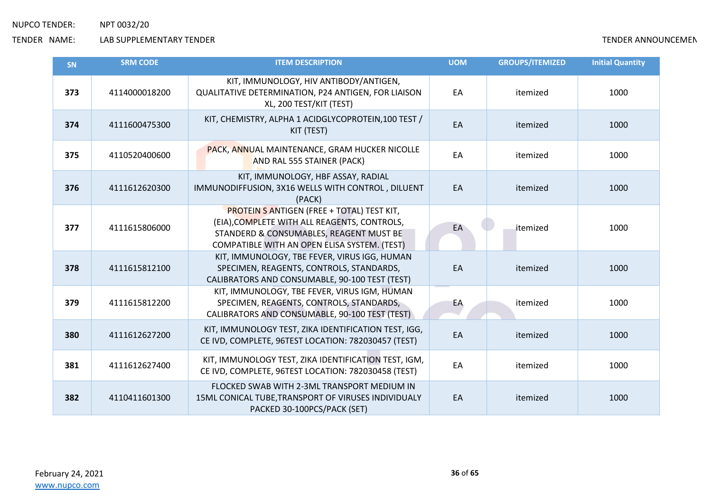| <b>SN</b> | <b>SRM CODE</b> | <b>ITEM DESCRIPTION</b>                                                                                                                                                                      | <b>UOM</b> | <b>GROUPS/ITEMIZED</b> | <b>Initial Quantity</b> |
|-----------|-----------------|----------------------------------------------------------------------------------------------------------------------------------------------------------------------------------------------|------------|------------------------|-------------------------|
| 373       | 4114000018200   | KIT, IMMUNOLOGY, HIV ANTIBODY/ANTIGEN,<br>QUALITATIVE DETERMINATION, P24 ANTIGEN, FOR LIAISON<br>XL, 200 TEST/KIT (TEST)                                                                     | EA         | itemized               | 1000                    |
| 374       | 4111600475300   | KIT, CHEMISTRY, ALPHA 1 ACIDGLYCOPROTEIN, 100 TEST /<br>KIT (TEST)                                                                                                                           | EA         | itemized               | 1000                    |
| 375       | 4110520400600   | PACK, ANNUAL MAINTENANCE, GRAM HUCKER NICOLLE<br>AND RAL 555 STAINER (PACK)                                                                                                                  | EA         | itemized               | 1000                    |
| 376       | 4111612620300   | KIT, IMMUNOLOGY, HBF ASSAY, RADIAL<br>IMMUNODIFFUSION, 3X16 WELLS WITH CONTROL, DILUENT<br>(PACK)                                                                                            | EA         | itemized               | 1000                    |
| 377       | 4111615806000   | <b>PROTEIN S ANTIGEN (FREE + TOTAL) TEST KIT,</b><br>(EIA), COMPLETE WITH ALL REAGENTS, CONTROLS,<br>STANDERD & CONSUMABLES, REAGENT MUST BE<br>COMPATIBLE WITH AN OPEN ELISA SYSTEM. (TEST) | EA         | itemized               | 1000                    |
| 378       | 4111615812100   | KIT, IMMUNOLOGY, TBE FEVER, VIRUS IGG, HUMAN<br>SPECIMEN, REAGENTS, CONTROLS, STANDARDS,<br>CALIBRATORS AND CONSUMABLE, 90-100 TEST (TEST)                                                   | EA         | itemized               | 1000                    |
| 379       | 4111615812200   | KIT, IMMUNOLOGY, TBE FEVER, VIRUS IGM, HUMAN<br>SPECIMEN, REAGENTS, CONTROLS, STANDARDS,<br>CALIBRATORS AND CONSUMABLE, 90-100 TEST (TEST)                                                   | EA         | itemized               | 1000                    |
| 380       | 4111612627200   | KIT, IMMUNOLOGY TEST, ZIKA IDENTIFICATION TEST, IGG,<br>CE IVD, COMPLETE, 96TEST LOCATION: 782030457 (TEST)                                                                                  | EA         | itemized               | 1000                    |
| 381       | 4111612627400   | KIT, IMMUNOLOGY TEST, ZIKA IDENTIFICATION TEST, IGM,<br>CE IVD, COMPLETE, 96TEST LOCATION: 782030458 (TEST)                                                                                  | EA         | itemized               | 1000                    |
| 382       | 4110411601300   | FLOCKED SWAB WITH 2-3ML TRANSPORT MEDIUM IN<br>15ML CONICAL TUBE, TRANSPORT OF VIRUSES INDIVIDUALY<br>PACKED 30-100PCS/PACK (SET)                                                            | EA         | itemized               | 1000                    |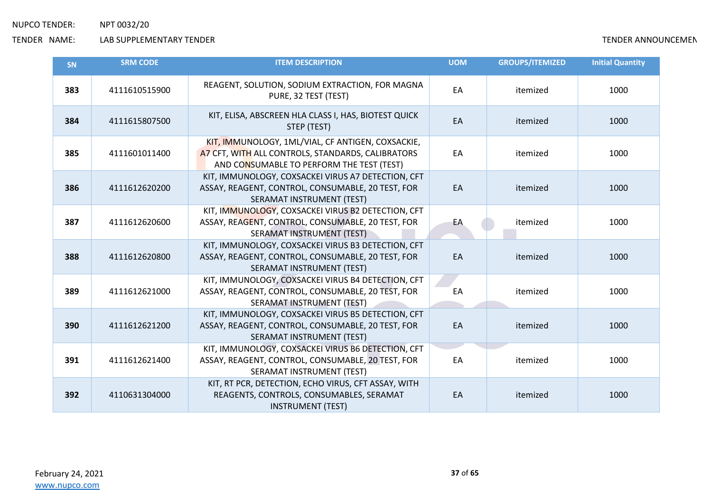| <b>SN</b> | <b>SRM CODE</b> | <b>ITEM DESCRIPTION</b>                                                                                                                             | <b>UOM</b> | <b>GROUPS/ITEMIZED</b> | <b>Initial Quantity</b> |
|-----------|-----------------|-----------------------------------------------------------------------------------------------------------------------------------------------------|------------|------------------------|-------------------------|
| 383       | 4111610515900   | REAGENT, SOLUTION, SODIUM EXTRACTION, FOR MAGNA<br>PURE, 32 TEST (TEST)                                                                             | EA         | itemized               | 1000                    |
| 384       | 4111615807500   | KIT, ELISA, ABSCREEN HLA CLASS I, HAS, BIOTEST QUICK<br>STEP (TEST)                                                                                 | EA         | itemized               | 1000                    |
| 385       | 4111601011400   | KIT, IMMUNOLOGY, 1ML/VIAL, CF ANTIGEN, COXSACKIE,<br>A7 CFT, WITH ALL CONTROLS, STANDARDS, CALIBRATORS<br>AND CONSUMABLE TO PERFORM THE TEST (TEST) | EA         | itemized               | 1000                    |
| 386       | 4111612620200   | KIT, IMMUNOLOGY, COXSACKEI VIRUS A7 DETECTION, CFT<br>ASSAY, REAGENT, CONTROL, CONSUMABLE, 20 TEST, FOR<br>SERAMAT INSTRUMENT (TEST)                | EA         | itemized               | 1000                    |
| 387       | 4111612620600   | KIT, IMMUNOLOGY, COXSACKEI VIRUS B2 DETECTION, CFT<br>ASSAY, REAGENT, CONTROL, CONSUMABLE, 20 TEST, FOR<br>SERAMAT INSTRUMENT (TEST)                | EA         | itemized               | 1000                    |
| 388       | 4111612620800   | KIT, IMMUNOLOGY, COXSACKEI VIRUS B3 DETECTION, CFT<br>ASSAY, REAGENT, CONTROL, CONSUMABLE, 20 TEST, FOR<br>SERAMAT INSTRUMENT (TEST)                | EA         | itemized               | 1000                    |
| 389       | 4111612621000   | KIT, IMMUNOLOGY, COXSACKEI VIRUS B4 DETECTION, CFT<br>ASSAY, REAGENT, CONTROL, CONSUMABLE, 20 TEST, FOR<br>SERAMAT INSTRUMENT (TEST)                | EA         | itemized               | 1000                    |
| 390       | 4111612621200   | KIT, IMMUNOLOGY, COXSACKEI VIRUS B5 DETECTION, CFT<br>ASSAY, REAGENT, CONTROL, CONSUMABLE, 20 TEST, FOR<br>SERAMAT INSTRUMENT (TEST)                | EA         | itemized               | 1000                    |
| 391       | 4111612621400   | KIT, IMMUNOLOGY, COXSACKEI VIRUS B6 DETECTION, CFT<br>ASSAY, REAGENT, CONTROL, CONSUMABLE, 20 TEST, FOR<br>SERAMAT INSTRUMENT (TEST)                | EA         | itemized               | 1000                    |
| 392       | 4110631304000   | KIT, RT PCR, DETECTION, ECHO VIRUS, CFT ASSAY, WITH<br>REAGENTS, CONTROLS, CONSUMABLES, SERAMAT<br><b>INSTRUMENT (TEST)</b>                         | EA         | itemized               | 1000                    |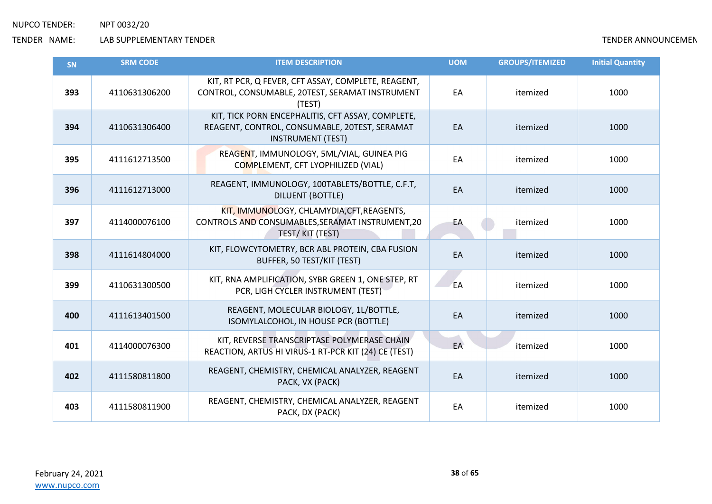| <b>SN</b> | <b>SRM CODE</b> | <b>ITEM DESCRIPTION</b>                                                                                                        | <b>UOM</b> | <b>GROUPS/ITEMIZED</b> | <b>Initial Quantity</b> |
|-----------|-----------------|--------------------------------------------------------------------------------------------------------------------------------|------------|------------------------|-------------------------|
| 393       | 4110631306200   | KIT, RT PCR, Q FEVER, CFT ASSAY, COMPLETE, REAGENT,<br>CONTROL, CONSUMABLE, 20TEST, SERAMAT INSTRUMENT<br>(TEST)               | EA         | itemized               | 1000                    |
| 394       | 4110631306400   | KIT, TICK PORN ENCEPHALITIS, CFT ASSAY, COMPLETE,<br>REAGENT, CONTROL, CONSUMABLE, 20TEST, SERAMAT<br><b>INSTRUMENT (TEST)</b> | EA         | itemized               | 1000                    |
| 395       | 4111612713500   | REAGENT, IMMUNOLOGY, 5ML/VIAL, GUINEA PIG<br>COMPLEMENT, CFT LYOPHILIZED (VIAL)                                                | EA         | itemized               | 1000                    |
| 396       | 4111612713000   | REAGENT, IMMUNOLOGY, 100TABLETS/BOTTLE, C.F.T,<br><b>DILUENT (BOTTLE)</b>                                                      | EA         | itemized               | 1000                    |
| 397       | 4114000076100   | KIT, IMMUNOLOGY, CHLAMYDIA, CFT, REAGENTS,<br>CONTROLS AND CONSUMABLES, SERAMAT INSTRUMENT, 20<br>TEST/KIT (TEST)              | EA         | itemized               | 1000                    |
| 398       | 4111614804000   | KIT, FLOWCYTOMETRY, BCR ABL PROTEIN, CBA FUSION<br>BUFFER, 50 TEST/KIT (TEST)                                                  | EA         | itemized               | 1000                    |
| 399       | 4110631300500   | KIT, RNA AMPLIFICATION, SYBR GREEN 1, ONE STEP, RT<br>PCR, LIGH CYCLER INSTRUMENT (TEST)                                       | EA         | itemized               | 1000                    |
| 400       | 4111613401500   | REAGENT, MOLECULAR BIOLOGY, 1L/BOTTLE,<br>ISOMYLALCOHOL, IN HOUSE PCR (BOTTLE)                                                 | EA         | itemized               | 1000                    |
| 401       | 4114000076300   | KIT, REVERSE TRANSCRIPTASE POLYMERASE CHAIN<br>REACTION, ARTUS HI VIRUS-1 RT-PCR KIT (24) CE (TEST)                            | EA         | itemized               | 1000                    |
| 402       | 4111580811800   | REAGENT, CHEMISTRY, CHEMICAL ANALYZER, REAGENT<br>PACK, VX (PACK)                                                              | EA         | itemized               | 1000                    |
| 403       | 4111580811900   | REAGENT, CHEMISTRY, CHEMICAL ANALYZER, REAGENT<br>PACK, DX (PACK)                                                              | EA         | itemized               | 1000                    |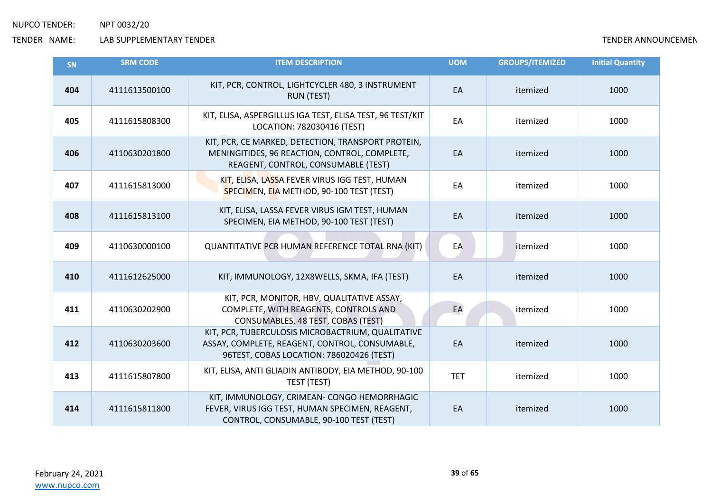| SN  | <b>SRM CODE</b> | <b>ITEM DESCRIPTION</b>                                                                                                                         | <b>UOM</b> | <b>GROUPS/ITEMIZED</b> | <b>Initial Quantity</b> |
|-----|-----------------|-------------------------------------------------------------------------------------------------------------------------------------------------|------------|------------------------|-------------------------|
| 404 | 4111613500100   | KIT, PCR, CONTROL, LIGHTCYCLER 480, 3 INSTRUMENT<br><b>RUN (TEST)</b>                                                                           | EA         | itemized               | 1000                    |
| 405 | 4111615808300   | KIT, ELISA, ASPERGILLUS IGA TEST, ELISA TEST, 96 TEST/KIT<br>LOCATION: 782030416 (TEST)                                                         | EA         | itemized               | 1000                    |
| 406 | 4110630201800   | KIT, PCR, CE MARKED, DETECTION, TRANSPORT PROTEIN,<br>MENINGITIDES, 96 REACTION, CONTROL, COMPLETE,<br>REAGENT, CONTROL, CONSUMABLE (TEST)      | EA         | itemized               | 1000                    |
| 407 | 4111615813000   | KIT, ELISA, LASSA FEVER VIRUS IGG TEST, HUMAN<br>SPECIMEN, EIA METHOD, 90-100 TEST (TEST)                                                       | EA         | itemized               | 1000                    |
| 408 | 4111615813100   | KIT, ELISA, LASSA FEVER VIRUS IGM TEST, HUMAN<br>SPECIMEN, EIA METHOD, 90-100 TEST (TEST)                                                       | EA         | itemized               | 1000                    |
| 409 | 4110630000100   | QUANTITATIVE PCR HUMAN REFERENCE TOTAL RNA (KIT)                                                                                                | EA         | itemized               | 1000                    |
| 410 | 4111612625000   | KIT, IMMUNOLOGY, 12X8WELLS, SKMA, IFA (TEST)                                                                                                    | EA         | itemized               | 1000                    |
| 411 | 4110630202900   | KIT, PCR, MONITOR, HBV, QUALITATIVE ASSAY,<br>COMPLETE, WITH REAGENTS, CONTROLS AND<br>CONSUMABLES, 48 TEST, COBAS (TEST)                       | EA         | itemized               | 1000                    |
| 412 | 4110630203600   | KIT, PCR, TUBERCULOSIS MICROBACTRIUM, QUALITATIVE<br>ASSAY, COMPLETE, REAGENT, CONTROL, CONSUMABLE,<br>96TEST, COBAS LOCATION: 786020426 (TEST) | EA         | itemized               | 1000                    |
| 413 | 4111615807800   | KIT, ELISA, ANTI GLIADIN ANTIBODY, EIA METHOD, 90-100<br>TEST (TEST)                                                                            | <b>TET</b> | itemized               | 1000                    |
| 414 | 4111615811800   | KIT, IMMUNOLOGY, CRIMEAN- CONGO HEMORRHAGIC<br>FEVER, VIRUS IGG TEST, HUMAN SPECIMEN, REAGENT,<br>CONTROL, CONSUMABLE, 90-100 TEST (TEST)       | EA         | itemized               | 1000                    |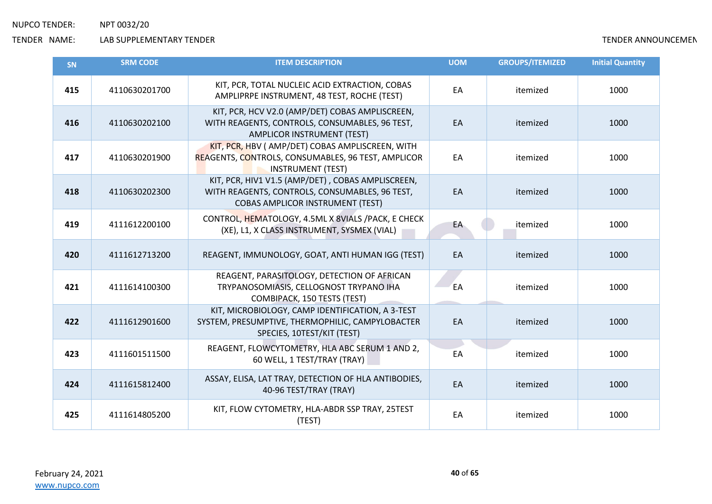| <b>SN</b> | <b>SRM CODE</b> | <b>ITEM DESCRIPTION</b>                                                                                                                        | <b>UOM</b> | <b>GROUPS/ITEMIZED</b> | <b>Initial Quantity</b> |
|-----------|-----------------|------------------------------------------------------------------------------------------------------------------------------------------------|------------|------------------------|-------------------------|
| 415       | 4110630201700   | KIT, PCR, TOTAL NUCLEIC ACID EXTRACTION, COBAS<br>AMPLIPRPE INSTRUMENT, 48 TEST, ROCHE (TEST)                                                  | EA         | itemized               | 1000                    |
| 416       | 4110630202100   | KIT, PCR, HCV V2.0 (AMP/DET) COBAS AMPLISCREEN,<br>WITH REAGENTS, CONTROLS, CONSUMABLES, 96 TEST,<br><b>AMPLICOR INSTRUMENT (TEST)</b>         | EA         | itemized               | 1000                    |
| 417       | 4110630201900   | KIT, PCR, HBV ( AMP/DET) COBAS AMPLISCREEN, WITH<br>REAGENTS, CONTROLS, CONSUMABLES, 96 TEST, AMPLICOR<br><b>INSTRUMENT (TEST)</b>             | EA         | itemized               | 1000                    |
| 418       | 4110630202300   | KIT, PCR, HIV1 V1.5 (AMP/DET), COBAS AMPLISCREEN,<br>WITH REAGENTS, CONTROLS, CONSUMABLES, 96 TEST,<br><b>COBAS AMPLICOR INSTRUMENT (TEST)</b> | EA         | itemized               | 1000                    |
| 419       | 4111612200100   | CONTROL, HEMATOLOGY, 4.5ML X 8VIALS / PACK, E CHECK<br>(XE), L1, X CLASS INSTRUMENT, SYSMEX (VIAL)                                             | EA         | itemized               | 1000                    |
| 420       | 4111612713200   | REAGENT, IMMUNOLOGY, GOAT, ANTI HUMAN IGG (TEST)                                                                                               | EA         | itemized               | 1000                    |
| 421       | 4111614100300   | REAGENT, PARASITOLOGY, DETECTION OF AFRICAN<br>TRYPANOSOMIASIS, CELLOGNOST TRYPANO IHA<br>COMBIPACK, 150 TESTS (TEST)                          | EA         | itemized               | 1000                    |
| 422       | 4111612901600   | KIT, MICROBIOLOGY, CAMP IDENTIFICATION, A 3-TEST<br>SYSTEM, PRESUMPTIVE, THERMOPHILIC, CAMPYLOBACTER<br>SPECIES, 10TEST/KIT (TEST)             | EA         | itemized               | 1000                    |
| 423       | 4111601511500   | REAGENT, FLOWCYTOMETRY, HLA ABC SERUM 1 AND 2,<br>60 WELL, 1 TEST/TRAY (TRAY)                                                                  | EA         | itemized               | 1000                    |
| 424       | 4111615812400   | ASSAY, ELISA, LAT TRAY, DETECTION OF HLA ANTIBODIES,<br>40-96 TEST/TRAY (TRAY)                                                                 | EA         | itemized               | 1000                    |
| 425       | 4111614805200   | KIT, FLOW CYTOMETRY, HLA-ABDR SSP TRAY, 25TEST<br>(TEST)                                                                                       | EA         | itemized               | 1000                    |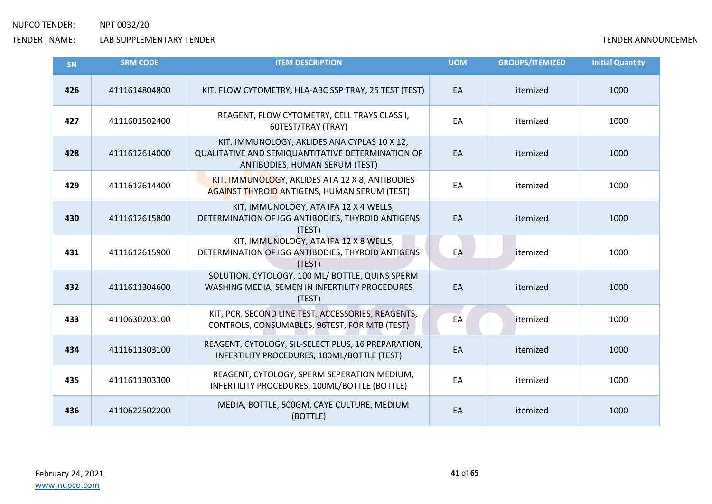| <b>SN</b> | <b>SRM CODE</b> | <b>ITEM DESCRIPTION</b>                                                                                                             | <b>UOM</b> | <b>GROUPS/ITEMIZED</b> | <b>Initial Quantity</b> |
|-----------|-----------------|-------------------------------------------------------------------------------------------------------------------------------------|------------|------------------------|-------------------------|
| 426       | 4111614804800   | KIT, FLOW CYTOMETRY, HLA-ABC SSP TRAY, 25 TEST (TEST)                                                                               | EA         | itemized               | 1000                    |
| 427       | 4111601502400   | REAGENT, FLOW CYTOMETRY, CELL TRAYS CLASS I,<br>60TEST/TRAY (TRAY)                                                                  | EA         | itemized               | 1000                    |
| 428       | 4111612614000   | KIT, IMMUNOLOGY, AKLIDES ANA CYPLAS 10 X 12,<br>QUALITATIVE AND SEMIQUANTITATIVE DETERMINATION OF<br>ANTIBODIES, HUMAN SERUM (TEST) | EA         | itemized               | 1000                    |
| 429       | 4111612614400   | KIT, IMMUNOLOGY, AKLIDES ATA 12 X 8, ANTIBODIES<br><b>AGAINST THYROID ANTIGENS, HUMAN SERUM (TEST)</b>                              | EA         | itemized               | 1000                    |
| 430       | 4111612615800   | KIT, IMMUNOLOGY, ATA IFA 12 X 4 WELLS,<br>DETERMINATION OF IGG ANTIBODIES, THYROID ANTIGENS<br>(TEST)                               | EA         | itemized               | 1000                    |
| 431       | 4111612615900   | KIT, IMMUNOLOGY, ATA IFA 12 X 8 WELLS,<br>DETERMINATION OF IGG ANTIBODIES, THYROID ANTIGENS<br>(TEST)                               | EA         | itemized               | 1000                    |
| 432       | 4111611304600   | SOLUTION, CYTOLOGY, 100 ML/ BOTTLE, QUINS SPERM<br>WASHING MEDIA, SEMEN IN INFERTILITY PROCEDURES<br>(TEST)                         | EA         | itemized               | 1000                    |
| 433       | 4110630203100   | KIT, PCR, SECOND LINE TEST, ACCESSORIES, REAGENTS,<br>CONTROLS, CONSUMABLES, 96TEST, FOR MTB (TEST)                                 | EA         | litemized              | 1000                    |
| 434       | 4111611303100   | REAGENT, CYTOLOGY, SIL-SELECT PLUS, 16 PREPARATION,<br>INFERTILITY PROCEDURES, 100ML/BOTTLE (TEST)                                  | EA         | itemized               | 1000                    |
| 435       | 4111611303300   | REAGENT, CYTOLOGY, SPERM SEPERATION MEDIUM,<br>INFERTILITY PROCEDURES, 100ML/BOTTLE (BOTTLE)                                        | EA         | itemized               | 1000                    |
| 436       | 4110622502200   | MEDIA, BOTTLE, 500GM, CAYE CULTURE, MEDIUM<br>(BOTTLE)                                                                              | EA         | itemized               | 1000                    |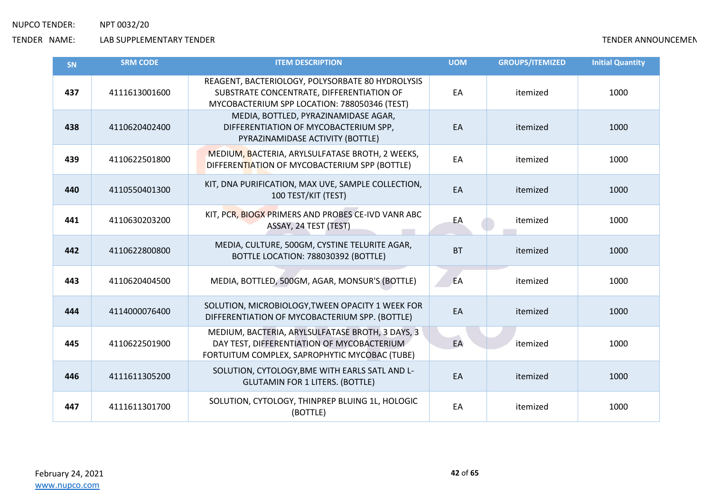| <b>SN</b> | <b>SRM CODE</b> | <b>ITEM DESCRIPTION</b>                                                                                                                         | <b>UOM</b> | <b>GROUPS/ITEMIZED</b> | <b>Initial Quantity</b> |
|-----------|-----------------|-------------------------------------------------------------------------------------------------------------------------------------------------|------------|------------------------|-------------------------|
| 437       | 4111613001600   | REAGENT, BACTERIOLOGY, POLYSORBATE 80 HYDROLYSIS<br>SUBSTRATE CONCENTRATE, DIFFERENTIATION OF<br>MYCOBACTERIUM SPP LOCATION: 788050346 (TEST)   | EA         | itemized               | 1000                    |
| 438       | 4110620402400   | MEDIA, BOTTLED, PYRAZINAMIDASE AGAR,<br>DIFFERENTIATION OF MYCOBACTERIUM SPP,<br>PYRAZINAMIDASE ACTIVITY (BOTTLE)                               | EA         | itemized               | 1000                    |
| 439       | 4110622501800   | MEDIUM, BACTERIA, ARYLSULFATASE BROTH, 2 WEEKS,<br>DIFFERENTIATION OF MYCOBACTERIUM SPP (BOTTLE)                                                | EA         | itemized               | 1000                    |
| 440       | 4110550401300   | KIT, DNA PURIFICATION, MAX UVE, SAMPLE COLLECTION,<br>100 TEST/KIT (TEST)                                                                       | EA         | itemized               | 1000                    |
| 441       | 4110630203200   | KIT, PCR, BIOGX PRIMERS AND PROBES CE-IVD VANR ABC<br>ASSAY, 24 TEST (TEST)                                                                     | EA         | itemized               | 1000                    |
| 442       | 4110622800800   | MEDIA, CULTURE, 500GM, CYSTINE TELURITE AGAR,<br>BOTTLE LOCATION: 788030392 (BOTTLE)                                                            | <b>BT</b>  | itemized               | 1000                    |
| 443       | 4110620404500   | MEDIA, BOTTLED, 500GM, AGAR, MONSUR'S (BOTTLE)                                                                                                  | EA         | itemized               | 1000                    |
| 444       | 4114000076400   | SOLUTION, MICROBIOLOGY, TWEEN OPACITY 1 WEEK FOR<br>DIFFERENTIATION OF MYCOBACTERIUM SPP. (BOTTLE)                                              | EA         | itemized               | 1000                    |
| 445       | 4110622501900   | MEDIUM, BACTERIA, ARYLSULFATASE BROTH, 3 DAYS, 3<br>DAY TEST, DIFFERENTIATION OF MYCOBACTERIUM<br>FORTUITUM COMPLEX, SAPROPHYTIC MYCOBAC (TUBE) | EA         | itemized               | 1000                    |
| 446       | 4111611305200   | SOLUTION, CYTOLOGY, BME WITH EARLS SATL AND L-<br><b>GLUTAMIN FOR 1 LITERS. (BOTTLE)</b>                                                        | EA         | itemized               | 1000                    |
| 447       | 4111611301700   | SOLUTION, CYTOLOGY, THINPREP BLUING 1L, HOLOGIC<br>(BOTTLE)                                                                                     | EA         | itemized               | 1000                    |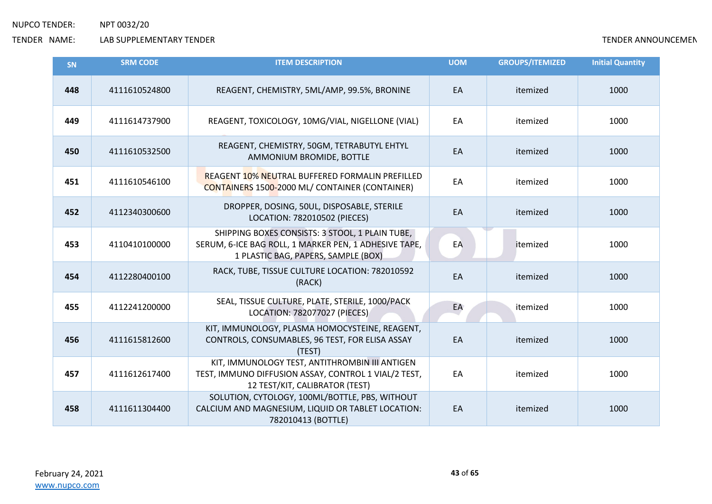| <b>SN</b> | <b>SRM CODE</b> | <b>ITEM DESCRIPTION</b>                                                                                                                         | <b>UOM</b> | <b>GROUPS/ITEMIZED</b> | <b>Initial Quantity</b> |
|-----------|-----------------|-------------------------------------------------------------------------------------------------------------------------------------------------|------------|------------------------|-------------------------|
| 448       | 4111610524800   | REAGENT, CHEMISTRY, 5ML/AMP, 99.5%, BRONINE                                                                                                     | EA         | itemized               | 1000                    |
| 449       | 4111614737900   | REAGENT, TOXICOLOGY, 10MG/VIAL, NIGELLONE (VIAL)                                                                                                | EA         | itemized               | 1000                    |
| 450       | 4111610532500   | REAGENT, CHEMISTRY, 50GM, TETRABUTYL EHTYL<br>AMMONIUM BROMIDE, BOTTLE                                                                          | EA         | itemized               | 1000                    |
| 451       | 4111610546100   | <b>REAGENT 10% NEUTRAL BUFFERED FORMALIN PREFILLED</b><br>CONTAINERS 1500-2000 ML/ CONTAINER (CONTAINER)                                        | EA         | itemized               | 1000                    |
| 452       | 4112340300600   | DROPPER, DOSING, 50UL, DISPOSABLE, STERILE<br>LOCATION: 782010502 (PIECES)                                                                      | EA         | itemized               | 1000                    |
| 453       | 4110410100000   | SHIPPING BOXES CONSISTS: 3 STOOL, 1 PLAIN TUBE,<br>SERUM, 6-ICE BAG ROLL, 1 MARKER PEN, 1 ADHESIVE TAPE,<br>1 PLASTIC BAG, PAPERS, SAMPLE (BOX) | EA         | itemized               | 1000                    |
| 454       | 4112280400100   | RACK, TUBE, TISSUE CULTURE LOCATION: 782010592<br>(RACK)                                                                                        | EA         | itemized               | 1000                    |
| 455       | 4112241200000   | SEAL, TISSUE CULTURE, PLATE, STERILE, 1000/PACK<br>LOCATION: 782077027 (PIECES)                                                                 | EA         | itemized               | 1000                    |
| 456       | 4111615812600   | KIT, IMMUNOLOGY, PLASMA HOMOCYSTEINE, REAGENT,<br>CONTROLS, CONSUMABLES, 96 TEST, FOR ELISA ASSAY<br>(TEST)                                     | EA         | itemized               | 1000                    |
| 457       | 4111612617400   | KIT, IMMUNOLOGY TEST, ANTITHROMBIN III ANTIGEN<br>TEST, IMMUNO DIFFUSION ASSAY, CONTROL 1 VIAL/2 TEST,<br>12 TEST/KIT, CALIBRATOR (TEST)        | EA         | itemized               | 1000                    |
| 458       | 4111611304400   | SOLUTION, CYTOLOGY, 100ML/BOTTLE, PBS, WITHOUT<br>CALCIUM AND MAGNESIUM, LIQUID OR TABLET LOCATION:<br>782010413 (BOTTLE)                       | EA         | itemized               | 1000                    |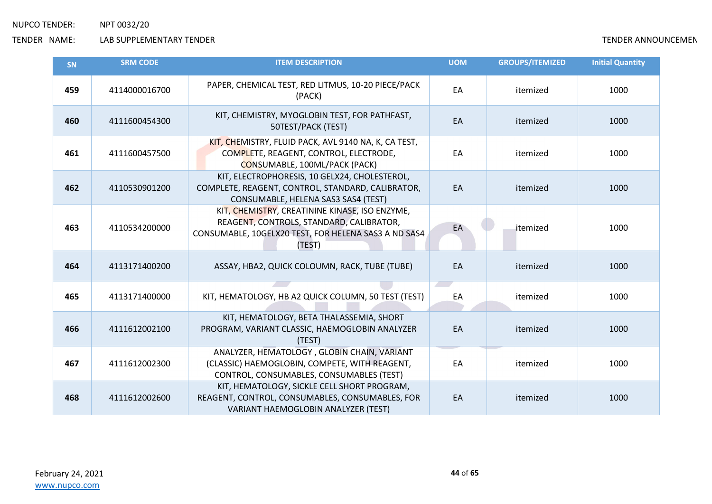| <b>SN</b> | <b>SRM CODE</b> | <b>ITEM DESCRIPTION</b>                                                                                                                                      | <b>UOM</b> | <b>GROUPS/ITEMIZED</b> | <b>Initial Quantity</b> |
|-----------|-----------------|--------------------------------------------------------------------------------------------------------------------------------------------------------------|------------|------------------------|-------------------------|
| 459       | 4114000016700   | PAPER, CHEMICAL TEST, RED LITMUS, 10-20 PIECE/PACK<br>(PACK)                                                                                                 | EA         | itemized               | 1000                    |
| 460       | 4111600454300   | KIT, CHEMISTRY, MYOGLOBIN TEST, FOR PATHFAST,<br>50TEST/PACK (TEST)                                                                                          | EA         | itemized               | 1000                    |
| 461       | 4111600457500   | KIT, CHEMISTRY, FLUID PACK, AVL 9140 NA, K, CA TEST,<br>COMPLETE, REAGENT, CONTROL, ELECTRODE,<br>CONSUMABLE, 100ML/PACK (PACK)                              | EA         | itemized               | 1000                    |
| 462       | 4110530901200   | KIT, ELECTROPHORESIS, 10 GELX24, CHOLESTEROL,<br>COMPLETE, REAGENT, CONTROL, STANDARD, CALIBRATOR,<br>CONSUMABLE, HELENA SAS3 SAS4 (TEST)                    | EA         | itemized               | 1000                    |
| 463       | 4110534200000   | KIT, CHEMISTRY, CREATININE KINASE, ISO ENZYME,<br>REAGENT, CONTROLS, STANDARD, CALIBRATOR,<br>CONSUMABLE, 10GELX20 TEST, FOR HELENA SAS3 A ND SAS4<br>(TEST) | EA         | itemized               | 1000                    |
| 464       | 4113171400200   | ASSAY, HBA2, QUICK COLOUMN, RACK, TUBE (TUBE)                                                                                                                | EA         | itemized               | 1000                    |
| 465       | 4113171400000   | KIT, HEMATOLOGY, HB A2 QUICK COLUMN, 50 TEST (TEST)                                                                                                          | EA         | itemized               | 1000                    |
| 466       | 4111612002100   | KIT, HEMATOLOGY, BETA THALASSEMIA, SHORT<br>PROGRAM, VARIANT CLASSIC, HAEMOGLOBIN ANALYZER<br>(TEST)                                                         | EA         | itemized               | 1000                    |
| 467       | 4111612002300   | ANALYZER, HEMATOLOGY, GLOBIN CHAIN, VARIANT<br>(CLASSIC) HAEMOGLOBIN, COMPETE, WITH REAGENT,<br>CONTROL, CONSUMABLES, CONSUMABLES (TEST)                     | EA         | itemized               | 1000                    |
| 468       | 4111612002600   | KIT, HEMATOLOGY, SICKLE CELL SHORT PROGRAM,<br>REAGENT, CONTROL, CONSUMABLES, CONSUMABLES, FOR<br>VARIANT HAEMOGLOBIN ANALYZER (TEST)                        | EA         | itemized               | 1000                    |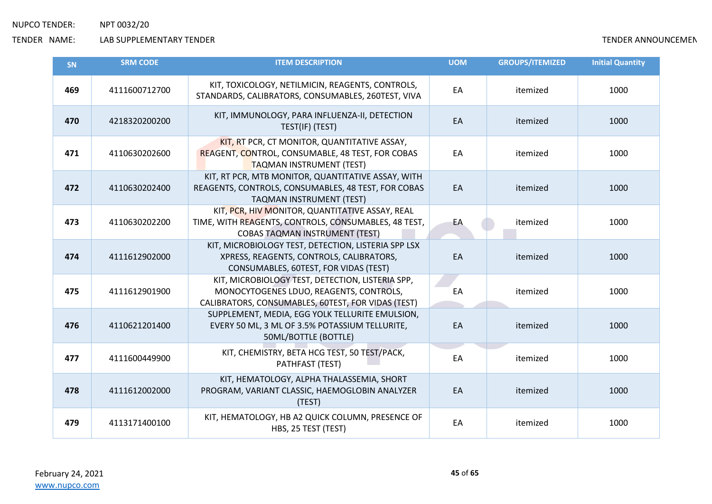| <b>SN</b> | <b>SRM CODE</b> | <b>ITEM DESCRIPTION</b>                                                                                                                           | <b>UOM</b> | <b>GROUPS/ITEMIZED</b> | <b>Initial Quantity</b> |
|-----------|-----------------|---------------------------------------------------------------------------------------------------------------------------------------------------|------------|------------------------|-------------------------|
| 469       | 4111600712700   | KIT, TOXICOLOGY, NETILMICIN, REAGENTS, CONTROLS,<br>STANDARDS, CALIBRATORS, CONSUMABLES, 260TEST, VIVA                                            | EA         | itemized               | 1000                    |
| 470       | 4218320200200   | KIT, IMMUNOLOGY, PARA INFLUENZA-II, DETECTION<br>TEST(IF) (TEST)                                                                                  | EA         | itemized               | 1000                    |
| 471       | 4110630202600   | KIT, RT PCR, CT MONITOR, QUANTITATIVE ASSAY,<br>REAGENT, CONTROL, CONSUMABLE, 48 TEST, FOR COBAS<br><b>TAQMAN INSTRUMENT (TEST)</b>               | EA         | itemized               | 1000                    |
| 472       | 4110630202400   | KIT, RT PCR, MTB MONITOR, QUANTITATIVE ASSAY, WITH<br>REAGENTS, CONTROLS, CONSUMABLES, 48 TEST, FOR COBAS<br>TAQMAN INSTRUMENT (TEST)             | EA         | itemized               | 1000                    |
| 473       | 4110630202200   | KIT, PCR, HIV MONITOR, QUANTITATIVE ASSAY, REAL<br>TIME, WITH REAGENTS, CONTROLS, CONSUMABLES, 48 TEST,<br><b>COBAS TAQMAN INSTRUMENT (TEST)</b>  | EA         | itemized               | 1000                    |
| 474       | 4111612902000   | KIT, MICROBIOLOGY TEST, DETECTION, LISTERIA SPP LSX<br>XPRESS, REAGENTS, CONTROLS, CALIBRATORS,<br>CONSUMABLES, 60TEST, FOR VIDAS (TEST)          | EA         | itemized               | 1000                    |
| 475       | 4111612901900   | KIT, MICROBIOLOGY TEST, DETECTION, LISTERIA SPP,<br>MONOCYTOGENES LDUO, REAGENTS, CONTROLS,<br>CALIBRATORS, CONSUMABLES, 60TEST, FOR VIDAS (TEST) | EA         | itemized               | 1000                    |
| 476       | 4110621201400   | SUPPLEMENT, MEDIA, EGG YOLK TELLURITE EMULSION,<br>EVERY 50 ML, 3 ML OF 3.5% POTASSIUM TELLURITE,<br>50ML/BOTTLE (BOTTLE)                         | EA         | itemized               | 1000                    |
| 477       | 4111600449900   | KIT, CHEMISTRY, BETA HCG TEST, 50 TEST/PACK,<br>PATHFAST (TEST)                                                                                   | EA         | itemized               | 1000                    |
| 478       | 4111612002000   | KIT, HEMATOLOGY, ALPHA THALASSEMIA, SHORT<br>PROGRAM, VARIANT CLASSIC, HAEMOGLOBIN ANALYZER<br>(TEST)                                             | EA         | itemized               | 1000                    |
| 479       | 4113171400100   | KIT, HEMATOLOGY, HB A2 QUICK COLUMN, PRESENCE OF<br>HBS, 25 TEST (TEST)                                                                           | EA         | itemized               | 1000                    |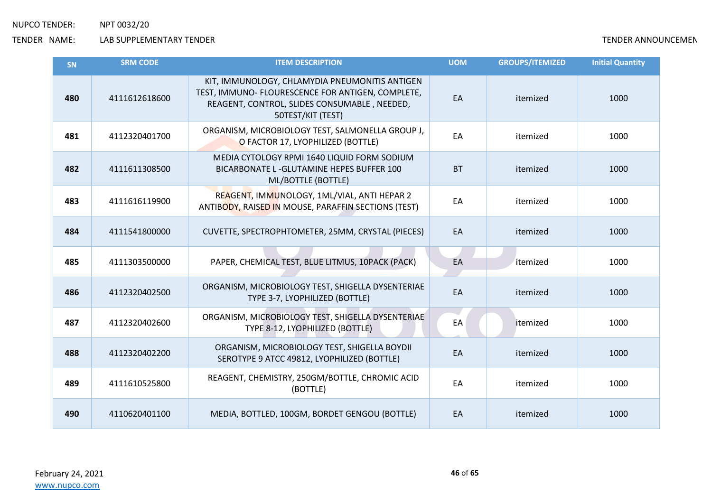| <b>SN</b> | <b>SRM CODE</b> | <b>ITEM DESCRIPTION</b>                                                                                                                                                  | <b>UOM</b> | <b>GROUPS/ITEMIZED</b> | <b>Initial Quantity</b> |
|-----------|-----------------|--------------------------------------------------------------------------------------------------------------------------------------------------------------------------|------------|------------------------|-------------------------|
| 480       | 4111612618600   | KIT, IMMUNOLOGY, CHLAMYDIA PNEUMONITIS ANTIGEN<br>TEST, IMMUNO- FLOURESCENCE FOR ANTIGEN, COMPLETE,<br>REAGENT, CONTROL, SLIDES CONSUMABLE, NEEDED,<br>50TEST/KIT (TEST) | EA         | itemized               | 1000                    |
| 481       | 4112320401700   | ORGANISM, MICROBIOLOGY TEST, SALMONELLA GROUP J,<br>O FACTOR 17, LYOPHILIZED (BOTTLE)                                                                                    | EA         | itemized               | 1000                    |
| 482       | 4111611308500   | MEDIA CYTOLOGY RPMI 1640 LIQUID FORM SODIUM<br>BICARBONATE L - GLUTAMINE HEPES BUFFER 100<br>ML/BOTTLE (BOTTLE)                                                          | <b>BT</b>  | itemized               | 1000                    |
| 483       | 4111616119900   | REAGENT, IMMUNOLOGY, 1ML/VIAL, ANTI HEPAR 2<br>ANTIBODY, RAISED IN MOUSE, PARAFFIN SECTIONS (TEST)                                                                       | EA         | itemized               | 1000                    |
| 484       | 4111541800000   | CUVETTE, SPECTROPHTOMETER, 25MM, CRYSTAL (PIECES)                                                                                                                        | EA         | itemized               | 1000                    |
| 485       | 4111303500000   | PAPER, CHEMICAL TEST, BLUE LITMUS, 10PACK (PACK)                                                                                                                         | EA         | itemized               | 1000                    |
| 486       | 4112320402500   | ORGANISM, MICROBIOLOGY TEST, SHIGELLA DYSENTERIAE<br>TYPE 3-7, LYOPHILIZED (BOTTLE)                                                                                      | EA         | itemized               | 1000                    |
| 487       | 4112320402600   | ORGANISM, MICROBIOLOGY TEST, SHIGELLA DYSENTERIAE<br>TYPE 8-12, LYOPHILIZED (BOTTLE)                                                                                     | EA         | itemized               | 1000                    |
| 488       | 4112320402200   | ORGANISM, MICROBIOLOGY TEST, SHIGELLA BOYDII<br>SEROTYPE 9 ATCC 49812, LYOPHILIZED (BOTTLE)                                                                              | EA         | itemized               | 1000                    |
| 489       | 4111610525800   | REAGENT, CHEMISTRY, 250GM/BOTTLE, CHROMIC ACID<br>(BOTTLE)                                                                                                               | EA         | itemized               | 1000                    |
| 490       | 4110620401100   | MEDIA, BOTTLED, 100GM, BORDET GENGOU (BOTTLE)                                                                                                                            | EA         | itemized               | 1000                    |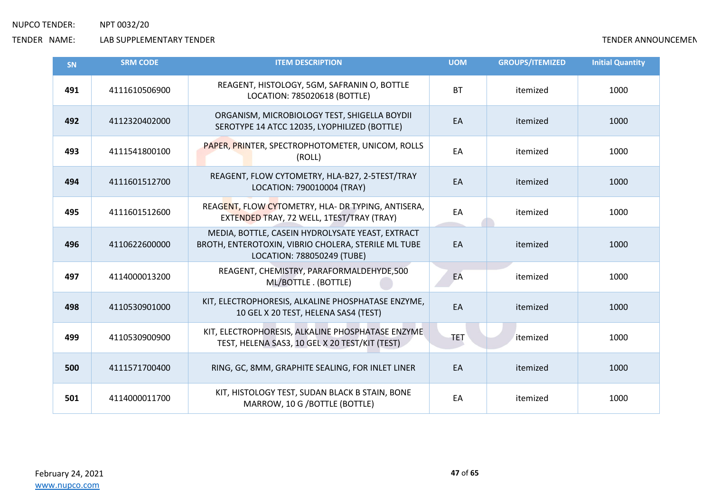| SN  | <b>SRM CODE</b> | <b>ITEM DESCRIPTION</b>                                                                                                               | <b>UOM</b> | <b>GROUPS/ITEMIZED</b> | <b>Initial Quantity</b> |
|-----|-----------------|---------------------------------------------------------------------------------------------------------------------------------------|------------|------------------------|-------------------------|
| 491 | 4111610506900   | REAGENT, HISTOLOGY, 5GM, SAFRANIN O, BOTTLE<br>LOCATION: 785020618 (BOTTLE)                                                           | <b>BT</b>  | itemized               | 1000                    |
| 492 | 4112320402000   | ORGANISM, MICROBIOLOGY TEST, SHIGELLA BOYDII<br>SEROTYPE 14 ATCC 12035, LYOPHILIZED (BOTTLE)                                          | EA         | itemized               | 1000                    |
| 493 | 4111541800100   | PAPER, PRINTER, SPECTROPHOTOMETER, UNICOM, ROLLS<br>(ROLL)                                                                            | EA         | itemized               | 1000                    |
| 494 | 4111601512700   | REAGENT, FLOW CYTOMETRY, HLA-B27, 2-5TEST/TRAY<br>LOCATION: 790010004 (TRAY)                                                          | EA         | itemized               | 1000                    |
| 495 | 4111601512600   | REAGENT, FLOW CYTOMETRY, HLA- DR TYPING, ANTISERA,<br>EXTENDED TRAY, 72 WELL, 1TEST/TRAY (TRAY)                                       | EA         | itemized               | 1000                    |
| 496 | 4110622600000   | MEDIA, BOTTLE, CASEIN HYDROLYSATE YEAST, EXTRACT<br>BROTH, ENTEROTOXIN, VIBRIO CHOLERA, STERILE ML TUBE<br>LOCATION: 788050249 (TUBE) | EA         | itemized               | 1000                    |
| 497 | 4114000013200   | REAGENT, CHEMISTRY, PARAFORMALDEHYDE,500<br>ML/BOTTLE. (BOTTLE)                                                                       | EA         | itemized               | 1000                    |
| 498 | 4110530901000   | KIT, ELECTROPHORESIS, ALKALINE PHOSPHATASE ENZYME,<br>10 GEL X 20 TEST, HELENA SAS4 (TEST)                                            | EA         | itemized               | 1000                    |
| 499 | 4110530900900   | KIT, ELECTROPHORESIS, ALKALINE PHOSPHATASE ENZYME<br>TEST, HELENA SAS3, 10 GEL X 20 TEST/KIT (TEST)                                   | <b>TET</b> | itemized               | 1000                    |
| 500 | 4111571700400   | RING, GC, 8MM, GRAPHITE SEALING, FOR INLET LINER                                                                                      | EA         | itemized               | 1000                    |
| 501 | 4114000011700   | KIT, HISTOLOGY TEST, SUDAN BLACK B STAIN, BONE<br>MARROW, 10 G / BOTTLE (BOTTLE)                                                      | EA         | itemized               | 1000                    |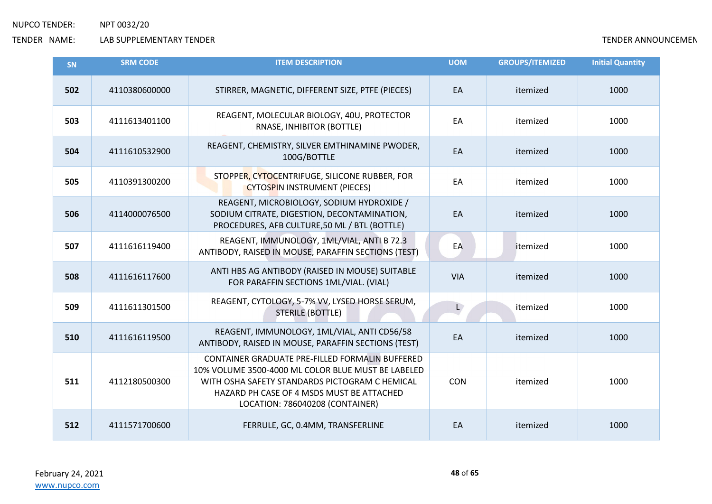| <b>SN</b> | <b>SRM CODE</b> | <b>ITEM DESCRIPTION</b>                                                                                                                                                                                                                 | <b>UOM</b> | <b>GROUPS/ITEMIZED</b> | <b>Initial Quantity</b> |
|-----------|-----------------|-----------------------------------------------------------------------------------------------------------------------------------------------------------------------------------------------------------------------------------------|------------|------------------------|-------------------------|
| 502       | 4110380600000   | STIRRER, MAGNETIC, DIFFERENT SIZE, PTFE (PIECES)                                                                                                                                                                                        | EA         | itemized               | 1000                    |
| 503       | 4111613401100   | REAGENT, MOLECULAR BIOLOGY, 40U, PROTECTOR<br>RNASE, INHIBITOR (BOTTLE)                                                                                                                                                                 | EA         | itemized               | 1000                    |
| 504       | 4111610532900   | REAGENT, CHEMISTRY, SILVER EMTHINAMINE PWODER,<br>100G/BOTTLE                                                                                                                                                                           | EA         | itemized               | 1000                    |
| 505       | 4110391300200   | STOPPER, CYTOCENTRIFUGE, SILICONE RUBBER, FOR<br><b>CYTOSPIN INSTRUMENT (PIECES)</b>                                                                                                                                                    | EA         | itemized               | 1000                    |
| 506       | 4114000076500   | REAGENT, MICROBIOLOGY, SODIUM HYDROXIDE /<br>SODIUM CITRATE, DIGESTION, DECONTAMINATION,<br>PROCEDURES, AFB CULTURE, 50 ML / BTL (BOTTLE)                                                                                               | EA         | itemized               | 1000                    |
| 507       | 4111616119400   | REAGENT, IMMUNOLOGY, 1ML/VIAL, ANTI B 72.3<br>ANTIBODY, RAISED IN MOUSE, PARAFFIN SECTIONS (TEST)                                                                                                                                       | EA         | itemized               | 1000                    |
| 508       | 4111616117600   | ANTI HBS AG ANTIBODY (RAISED IN MOUSE) SUITABLE<br>FOR PARAFFIN SECTIONS 1ML/VIAL. (VIAL)                                                                                                                                               | <b>VIA</b> | itemized               | 1000                    |
| 509       | 4111611301500   | REAGENT, CYTOLOGY, 5-7% VV, LYSED HORSE SERUM,<br><b>STERILE (BOTTLE)</b>                                                                                                                                                               | L          | itemized               | 1000                    |
| 510       | 4111616119500   | REAGENT, IMMUNOLOGY, 1ML/VIAL, ANTI CD56/58<br>ANTIBODY, RAISED IN MOUSE, PARAFFIN SECTIONS (TEST)                                                                                                                                      | EA         | itemized               | 1000                    |
| 511       | 4112180500300   | CONTAINER GRADUATE PRE-FILLED FORMALIN BUFFERED<br>10% VOLUME 3500-4000 ML COLOR BLUE MUST BE LABELED<br>WITH OSHA SAFETY STANDARDS PICTOGRAM C HEMICAL<br>HAZARD PH CASE OF 4 MSDS MUST BE ATTACHED<br>LOCATION: 786040208 (CONTAINER) | <b>CON</b> | itemized               | 1000                    |
| 512       | 4111571700600   | FERRULE, GC, 0.4MM, TRANSFERLINE                                                                                                                                                                                                        | EA         | itemized               | 1000                    |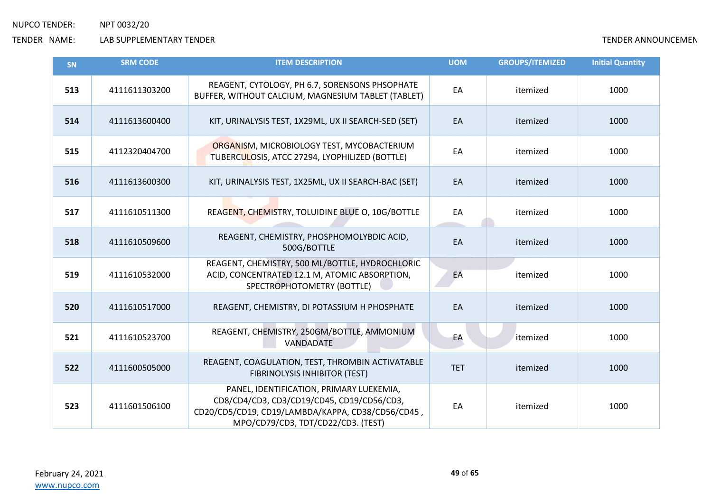| SN  | <b>SRM CODE</b> | <b>ITEM DESCRIPTION</b>                                                                                                                                                           | <b>UOM</b> | <b>GROUPS/ITEMIZED</b> | <b>Initial Quantity</b> |
|-----|-----------------|-----------------------------------------------------------------------------------------------------------------------------------------------------------------------------------|------------|------------------------|-------------------------|
| 513 | 4111611303200   | REAGENT, CYTOLOGY, PH 6.7, SORENSONS PHSOPHATE<br>BUFFER, WITHOUT CALCIUM, MAGNESIUM TABLET (TABLET)                                                                              | EA         | itemized               | 1000                    |
| 514 | 4111613600400   | KIT, URINALYSIS TEST, 1X29ML, UX II SEARCH-SED (SET)                                                                                                                              | EA         | itemized               | 1000                    |
| 515 | 4112320404700   | ORGANISM, MICROBIOLOGY TEST, MYCOBACTERIUM<br>TUBERCULOSIS, ATCC 27294, LYOPHILIZED (BOTTLE)                                                                                      | EA         | itemized               | 1000                    |
| 516 | 4111613600300   | KIT, URINALYSIS TEST, 1X25ML, UX II SEARCH-BAC (SET)                                                                                                                              | EA         | itemized               | 1000                    |
| 517 | 4111610511300   | REAGENT, CHEMISTRY, TOLUIDINE BLUE O, 10G/BOTTLE                                                                                                                                  | EA         | itemized               | 1000                    |
| 518 | 4111610509600   | REAGENT, CHEMISTRY, PHOSPHOMOLYBDIC ACID,<br>500G/BOTTLE                                                                                                                          | EA         | itemized               | 1000                    |
| 519 | 4111610532000   | REAGENT, CHEMISTRY, 500 ML/BOTTLE, HYDROCHLORIC<br>ACID, CONCENTRATED 12.1 M, ATOMIC ABSORPTION,<br>SPECTROPHOTOMETRY (BOTTLE)                                                    | EA         | itemized               | 1000                    |
| 520 | 4111610517000   | REAGENT, CHEMISTRY, DI POTASSIUM H PHOSPHATE                                                                                                                                      | EA         | itemized               | 1000                    |
| 521 | 4111610523700   | REAGENT, CHEMISTRY, 250GM/BOTTLE, AMMONIUM<br>VANDADATE                                                                                                                           | EA         | itemized               | 1000                    |
| 522 | 4111600505000   | REAGENT, COAGULATION, TEST, THROMBIN ACTIVATABLE<br>FIBRINOLYSIS INHIBITOR (TEST)                                                                                                 | <b>TET</b> | itemized               | 1000                    |
| 523 | 4111601506100   | PANEL, IDENTIFICATION, PRIMARY LUEKEMIA,<br>CD8/CD4/CD3, CD3/CD19/CD45, CD19/CD56/CD3,<br>CD20/CD5/CD19, CD19/LAMBDA/KAPPA, CD38/CD56/CD45,<br>MPO/CD79/CD3, TDT/CD22/CD3. (TEST) | EA         | itemized               | 1000                    |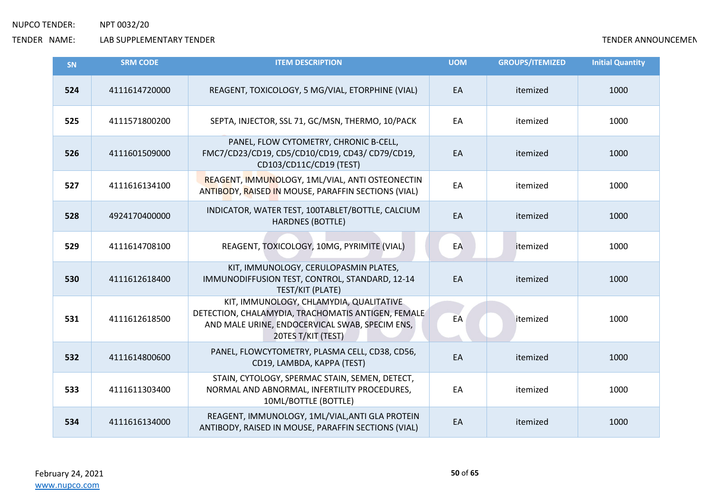| SN  | <b>SRM CODE</b> | <b>ITEM DESCRIPTION</b>                                                                                                                                               | <b>UOM</b> | <b>GROUPS/ITEMIZED</b> | <b>Initial Quantity</b> |
|-----|-----------------|-----------------------------------------------------------------------------------------------------------------------------------------------------------------------|------------|------------------------|-------------------------|
| 524 | 4111614720000   | REAGENT, TOXICOLOGY, 5 MG/VIAL, ETORPHINE (VIAL)                                                                                                                      | EA         | itemized               | 1000                    |
| 525 | 4111571800200   | SEPTA, INJECTOR, SSL 71, GC/MSN, THERMO, 10/PACK                                                                                                                      | EA         | itemized               | 1000                    |
| 526 | 4111601509000   | PANEL, FLOW CYTOMETRY, CHRONIC B-CELL,<br>FMC7/CD23/CD19, CD5/CD10/CD19, CD43/ CD79/CD19,<br>CD103/CD11C/CD19 (TEST)                                                  | EA         | itemized               | 1000                    |
| 527 | 4111616134100   | REAGENT, IMMUNOLOGY, 1ML/VIAL, ANTI OSTEONECTIN<br>ANTIBODY, RAISED IN MOUSE, PARAFFIN SECTIONS (VIAL)                                                                | EA         | itemized               | 1000                    |
| 528 | 4924170400000   | INDICATOR, WATER TEST, 100TABLET/BOTTLE, CALCIUM<br><b>HARDNES (BOTTLE)</b>                                                                                           | EA         | itemized               | 1000                    |
| 529 | 4111614708100   | REAGENT, TOXICOLOGY, 10MG, PYRIMITE (VIAL)                                                                                                                            | EA         | itemized               | 1000                    |
| 530 | 4111612618400   | KIT, IMMUNOLOGY, CERULOPASMIN PLATES,<br>IMMUNODIFFUSION TEST, CONTROL, STANDARD, 12-14<br>TEST/KIT (PLATE)                                                           | EA         | itemized               | 1000                    |
| 531 | 4111612618500   | KIT, IMMUNOLOGY, CHLAMYDIA, QUALITATIVE<br>DETECTION, CHALAMYDIA, TRACHOMATIS ANTIGEN, FEMALE<br>AND MALE URINE, ENDOCERVICAL SWAB, SPECIM ENS,<br>20TES T/KIT (TEST) | EA         | itemized               | 1000                    |
| 532 | 4111614800600   | PANEL, FLOWCYTOMETRY, PLASMA CELL, CD38, CD56,<br>CD19, LAMBDA, KAPPA (TEST)                                                                                          | EA         | itemized               | 1000                    |
| 533 | 4111611303400   | STAIN, CYTOLOGY, SPERMAC STAIN, SEMEN, DETECT,<br>NORMAL AND ABNORMAL, INFERTILITY PROCEDURES,<br>10ML/BOTTLE (BOTTLE)                                                | EA         | itemized               | 1000                    |
| 534 | 4111616134000   | REAGENT, IMMUNOLOGY, 1ML/VIAL, ANTI GLA PROTEIN<br>ANTIBODY, RAISED IN MOUSE, PARAFFIN SECTIONS (VIAL)                                                                | EA         | itemized               | 1000                    |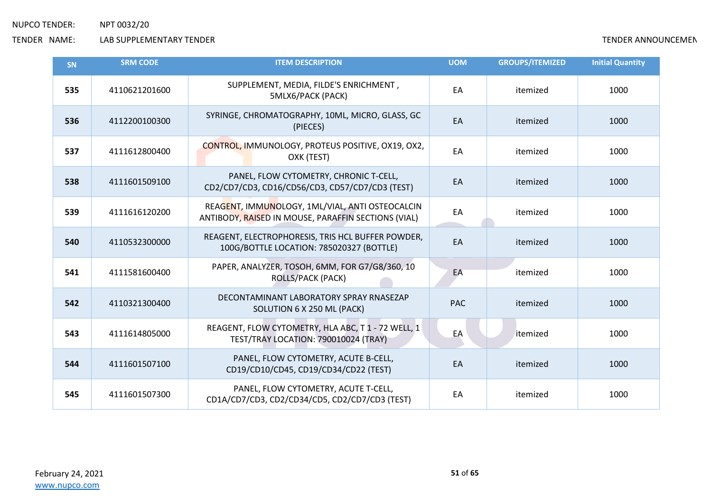| SN  | <b>SRM CODE</b> | <b>ITEM DESCRIPTION</b>                                                                                | <b>UOM</b> | <b>GROUPS/ITEMIZED</b> | <b>Initial Quantity</b> |
|-----|-----------------|--------------------------------------------------------------------------------------------------------|------------|------------------------|-------------------------|
| 535 | 4110621201600   | SUPPLEMENT, MEDIA, FILDE'S ENRICHMENT,<br>5MLX6/PACK (PACK)                                            | EA         | itemized               | 1000                    |
| 536 | 4112200100300   | SYRINGE, CHROMATOGRAPHY, 10ML, MICRO, GLASS, GC<br>(PIECES)                                            | EA         | itemized               | 1000                    |
| 537 | 4111612800400   | CONTROL, IMMUNOLOGY, PROTEUS POSITIVE, OX19, OX2,<br>OXK (TEST)                                        | EA         | itemized               | 1000                    |
| 538 | 4111601509100   | PANEL, FLOW CYTOMETRY, CHRONIC T-CELL,<br>CD2/CD7/CD3, CD16/CD56/CD3, CD57/CD7/CD3 (TEST)              | EA         | itemized               | 1000                    |
| 539 | 4111616120200   | REAGENT, IMMUNOLOGY, 1ML/VIAL, ANTI OSTEOCALCIN<br>ANTIBODY, RAISED IN MOUSE, PARAFFIN SECTIONS (VIAL) | EA         | itemized               | 1000                    |
| 540 | 4110532300000   | REAGENT, ELECTROPHORESIS, TRIS HCL BUFFER POWDER,<br>100G/BOTTLE LOCATION: 785020327 (BOTTLE)          | EA         | itemized               | 1000                    |
| 541 | 4111581600400   | PAPER, ANALYZER, TOSOH, 6MM, FOR G7/G8/360, 10<br><b>ROLLS/PACK (PACK)</b>                             | EA         | itemized               | 1000                    |
| 542 | 4110321300400   | DECONTAMINANT LABORATORY SPRAY RNASEZAP<br>SOLUTION 6 X 250 ML (PACK)                                  | <b>PAC</b> | itemized               | 1000                    |
| 543 | 4111614805000   | REAGENT, FLOW CYTOMETRY, HLA ABC, T1 - 72 WELL, 1<br>TEST/TRAY LOCATION: 790010024 (TRAY)              | EA         | itemized               | 1000                    |
| 544 | 4111601507100   | PANEL, FLOW CYTOMETRY, ACUTE B-CELL,<br>CD19/CD10/CD45, CD19/CD34/CD22 (TEST)                          | EA         | itemized               | 1000                    |
| 545 | 4111601507300   | PANEL, FLOW CYTOMETRY, ACUTE T-CELL,<br>CD1A/CD7/CD3, CD2/CD34/CD5, CD2/CD7/CD3 (TEST)                 | EA         | itemized               | 1000                    |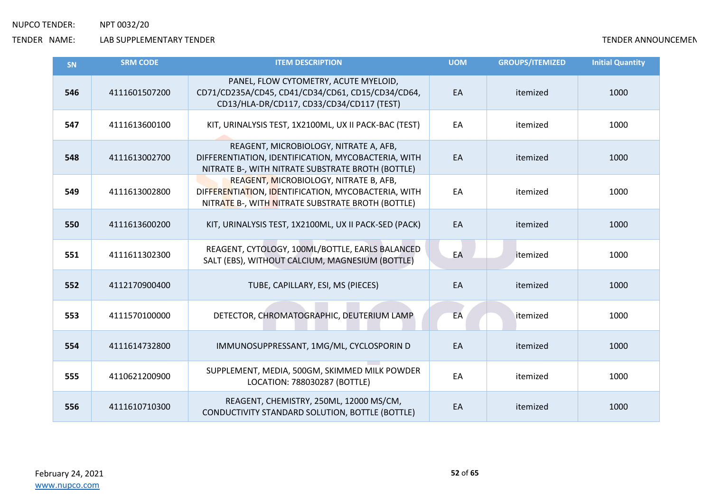| <b>SN</b> | <b>SRM CODE</b> | <b>ITEM DESCRIPTION</b>                                                                                                                            | <b>UOM</b> | <b>GROUPS/ITEMIZED</b> | <b>Initial Quantity</b> |
|-----------|-----------------|----------------------------------------------------------------------------------------------------------------------------------------------------|------------|------------------------|-------------------------|
| 546       | 4111601507200   | PANEL, FLOW CYTOMETRY, ACUTE MYELOID,<br>CD71/CD235A/CD45, CD41/CD34/CD61, CD15/CD34/CD64,<br>CD13/HLA-DR/CD117, CD33/CD34/CD117 (TEST)            | EA         | itemized               | 1000                    |
| 547       | 4111613600100   | KIT, URINALYSIS TEST, 1X2100ML, UX II PACK-BAC (TEST)                                                                                              | EA         | itemized               | 1000                    |
| 548       | 4111613002700   | REAGENT, MICROBIOLOGY, NITRATE A, AFB,<br>DIFFERENTIATION, IDENTIFICATION, MYCOBACTERIA, WITH<br>NITRATE B-, WITH NITRATE SUBSTRATE BROTH (BOTTLE) | EA         | itemized               | 1000                    |
| 549       | 4111613002800   | REAGENT, MICROBIOLOGY, NITRATE B, AFB,<br>DIFFERENTIATION, IDENTIFICATION, MYCOBACTERIA, WITH<br>NITRATE B-, WITH NITRATE SUBSTRATE BROTH (BOTTLE) | EA         | itemized               | 1000                    |
| 550       | 4111613600200   | KIT, URINALYSIS TEST, 1X2100ML, UX II PACK-SED (PACK)                                                                                              | EA         | itemized               | 1000                    |
| 551       | 4111611302300   | REAGENT, CYTOLOGY, 100ML/BOTTLE, EARLS BALANCED<br>SALT (EBS), WITHOUT CALCIUM, MAGNESIUM (BOTTLE)                                                 | EA         | itemized               | 1000                    |
| 552       | 4112170900400   | TUBE, CAPILLARY, ESI, MS (PIECES)                                                                                                                  | EA         | itemized               | 1000                    |
| 553       | 4111570100000   | DETECTOR, CHROMATOGRAPHIC, DEUTERIUM LAMP                                                                                                          | EA         | itemized               | 1000                    |
| 554       | 4111614732800   | IMMUNOSUPPRESSANT, 1MG/ML, CYCLOSPORIN D                                                                                                           | EA         | itemized               | 1000                    |
| 555       | 4110621200900   | SUPPLEMENT, MEDIA, 500GM, SKIMMED MILK POWDER<br>LOCATION: 788030287 (BOTTLE)                                                                      | EA         | itemized               | 1000                    |
| 556       | 4111610710300   | REAGENT, CHEMISTRY, 250ML, 12000 MS/CM,<br>CONDUCTIVITY STANDARD SOLUTION, BOTTLE (BOTTLE)                                                         | EA         | itemized               | 1000                    |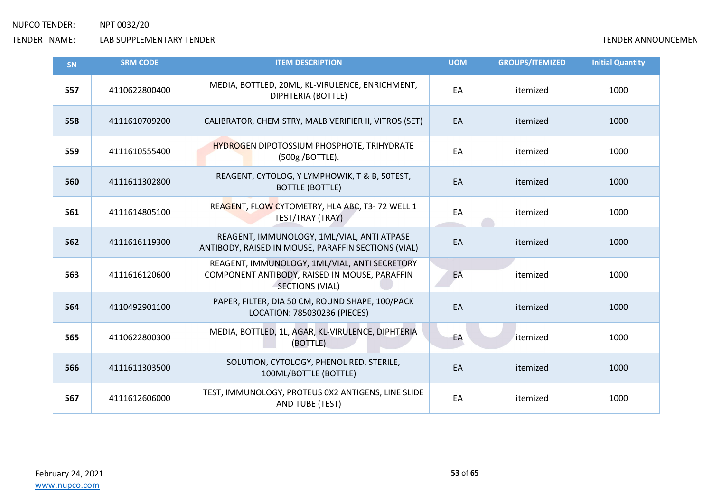| SN  | <b>SRM CODE</b> | <b>ITEM DESCRIPTION</b>                                                                                           | <b>UOM</b> | <b>GROUPS/ITEMIZED</b> | <b>Initial Quantity</b> |
|-----|-----------------|-------------------------------------------------------------------------------------------------------------------|------------|------------------------|-------------------------|
| 557 | 4110622800400   | MEDIA, BOTTLED, 20ML, KL-VIRULENCE, ENRICHMENT,<br>DIPHTERIA (BOTTLE)                                             | EA         | itemized               | 1000                    |
| 558 | 4111610709200   | CALIBRATOR, CHEMISTRY, MALB VERIFIER II, VITROS (SET)                                                             | EA         | itemized               | 1000                    |
| 559 | 4111610555400   | <b>HYDROGEN DIPOTOSSIUM PHOSPHOTE, TRIHYDRATE</b><br>(500g / BOTTLE).                                             | EA         | itemized               | 1000                    |
| 560 | 4111611302800   | REAGENT, CYTOLOG, Y LYMPHOWIK, T & B, 50TEST,<br><b>BOTTLE (BOTTLE)</b>                                           | EA         | itemized               | 1000                    |
| 561 | 4111614805100   | REAGENT, FLOW CYTOMETRY, HLA ABC, T3-72 WELL 1<br>TEST/TRAY (TRAY)                                                | EA         | itemized               | 1000                    |
| 562 | 4111616119300   | REAGENT, IMMUNOLOGY, 1ML/VIAL, ANTI ATPASE<br>ANTIBODY, RAISED IN MOUSE, PARAFFIN SECTIONS (VIAL)                 | EA         | itemized               | 1000                    |
| 563 | 4111616120600   | REAGENT, IMMUNOLOGY, 1ML/VIAL, ANTI SECRETORY<br>COMPONENT ANTIBODY, RAISED IN MOUSE, PARAFFIN<br>SECTIONS (VIAL) | EA         | itemized               | 1000                    |
| 564 | 4110492901100   | PAPER, FILTER, DIA 50 CM, ROUND SHAPE, 100/PACK<br>LOCATION: 785030236 (PIECES)                                   | EA         | itemized               | 1000                    |
| 565 | 4110622800300   | MEDIA, BOTTLED, 1L, AGAR, KL-VIRULENCE, DIPHTERIA<br>(BOTTLE)                                                     | EA         | itemized               | 1000                    |
| 566 | 4111611303500   | SOLUTION, CYTOLOGY, PHENOL RED, STERILE,<br>100ML/BOTTLE (BOTTLE)                                                 | EA         | itemized               | 1000                    |
| 567 | 4111612606000   | TEST, IMMUNOLOGY, PROTEUS 0X2 ANTIGENS, LINE SLIDE<br>AND TUBE (TEST)                                             | EA         | itemized               | 1000                    |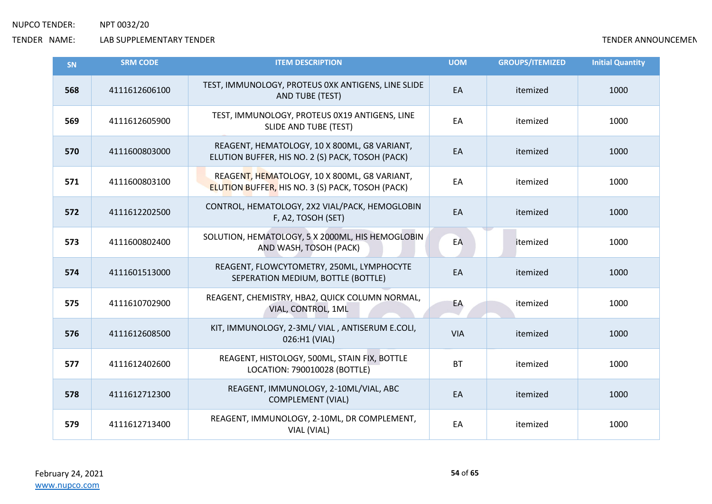| <b>SN</b> | <b>SRM CODE</b> | <b>ITEM DESCRIPTION</b>                                                                                 | <b>UOM</b> | <b>GROUPS/ITEMIZED</b> | <b>Initial Quantity</b> |
|-----------|-----------------|---------------------------------------------------------------------------------------------------------|------------|------------------------|-------------------------|
| 568       | 4111612606100   | TEST, IMMUNOLOGY, PROTEUS 0XK ANTIGENS, LINE SLIDE<br>AND TUBE (TEST)                                   | EA         | itemized               | 1000                    |
| 569       | 4111612605900   | TEST, IMMUNOLOGY, PROTEUS 0X19 ANTIGENS, LINE<br><b>SLIDE AND TUBE (TEST)</b>                           | EA         | itemized               | 1000                    |
| 570       | 4111600803000   | REAGENT, HEMATOLOGY, 10 X 800ML, G8 VARIANT,<br>ELUTION BUFFER, HIS NO. 2 (S) PACK, TOSOH (PACK)        | EA         | itemized               | 1000                    |
| 571       | 4111600803100   | REAGENT, HEMATOLOGY, 10 X 800ML, G8 VARIANT,<br><b>ELUTION BUFFER, HIS NO. 3 (S) PACK, TOSOH (PACK)</b> | EA         | itemized               | 1000                    |
| 572       | 4111612202500   | CONTROL, HEMATOLOGY, 2X2 VIAL/PACK, HEMOGLOBIN<br>F, A2, TOSOH (SET)                                    | EA         | itemized               | 1000                    |
| 573       | 4111600802400   | SOLUTION, HEMATOLOGY, 5 X 2000ML, HIS HEMOGLOBIN<br>AND WASH, TOSOH (PACK)                              | EA         | itemized               | 1000                    |
| 574       | 4111601513000   | REAGENT, FLOWCYTOMETRY, 250ML, LYMPHOCYTE<br>SEPERATION MEDIUM, BOTTLE (BOTTLE)                         | EA         | itemized               | 1000                    |
| 575       | 4111610702900   | REAGENT, CHEMISTRY, HBA2, QUICK COLUMN NORMAL,<br>VIAL, CONTROL, 1ML                                    | EA         | itemized               | 1000                    |
| 576       | 4111612608500   | KIT, IMMUNOLOGY, 2-3ML/ VIAL, ANTISERUM E.COLI,<br>026:H1 (VIAL)                                        | <b>VIA</b> | itemized               | 1000                    |
| 577       | 4111612402600   | REAGENT, HISTOLOGY, 500ML, STAIN FIX, BOTTLE<br>LOCATION: 790010028 (BOTTLE)                            | <b>BT</b>  | itemized               | 1000                    |
| 578       | 4111612712300   | REAGENT, IMMUNOLOGY, 2-10ML/VIAL, ABC<br><b>COMPLEMENT (VIAL)</b>                                       | EA         | itemized               | 1000                    |
| 579       | 4111612713400   | REAGENT, IMMUNOLOGY, 2-10ML, DR COMPLEMENT,<br>VIAL (VIAL)                                              | EA         | itemized               | 1000                    |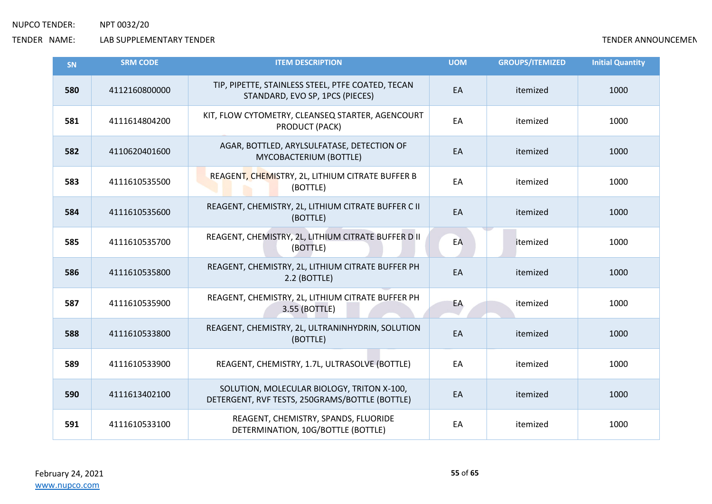| SN  | <b>SRM CODE</b> | <b>ITEM DESCRIPTION</b>                                                                      | <b>UOM</b> | <b>GROUPS/ITEMIZED</b> | <b>Initial Quantity</b> |
|-----|-----------------|----------------------------------------------------------------------------------------------|------------|------------------------|-------------------------|
| 580 | 4112160800000   | TIP, PIPETTE, STAINLESS STEEL, PTFE COATED, TECAN<br>STANDARD, EVO SP, 1PCS (PIECES)         | EA         | itemized               | 1000                    |
| 581 | 4111614804200   | KIT, FLOW CYTOMETRY, CLEANSEQ STARTER, AGENCOURT<br>PRODUCT (PACK)                           | EA         | itemized               | 1000                    |
| 582 | 4110620401600   | AGAR, BOTTLED, ARYLSULFATASE, DETECTION OF<br>MYCOBACTERIUM (BOTTLE)                         | EA         | itemized               | 1000                    |
| 583 | 4111610535500   | REAGENT, CHEMISTRY, 2L, LITHIUM CITRATE BUFFER B<br>(BOTTLE)                                 | EA         | itemized               | 1000                    |
| 584 | 4111610535600   | REAGENT, CHEMISTRY, 2L, LITHIUM CITRATE BUFFER C II<br>(BOTTLE)                              | EA         | itemized               | 1000                    |
| 585 | 4111610535700   | REAGENT, CHEMISTRY, 2L, LITHIUM CITRATE BUFFER D II<br>(BOTTLE)                              | EA         | itemized               | 1000                    |
| 586 | 4111610535800   | REAGENT, CHEMISTRY, 2L, LITHIUM CITRATE BUFFER PH<br>2.2 (BOTTLE)                            | EA         | itemized               | 1000                    |
| 587 | 4111610535900   | REAGENT, CHEMISTRY, 2L, LITHIUM CITRATE BUFFER PH<br>3.55 (BOTTLE)                           | EA         | itemized               | 1000                    |
| 588 | 4111610533800   | REAGENT, CHEMISTRY, 2L, ULTRANINHYDRIN, SOLUTION<br>(BOTTLE)                                 | EA         | itemized               | 1000                    |
| 589 | 4111610533900   | REAGENT, CHEMISTRY, 1.7L, ULTRASOLVE (BOTTLE)                                                | EA         | itemized               | 1000                    |
| 590 | 4111613402100   | SOLUTION, MOLECULAR BIOLOGY, TRITON X-100,<br>DETERGENT, RVF TESTS, 250GRAMS/BOTTLE (BOTTLE) | EA         | itemized               | 1000                    |
| 591 | 4111610533100   | REAGENT, CHEMISTRY, SPANDS, FLUORIDE<br>DETERMINATION, 10G/BOTTLE (BOTTLE)                   | EA         | itemized               | 1000                    |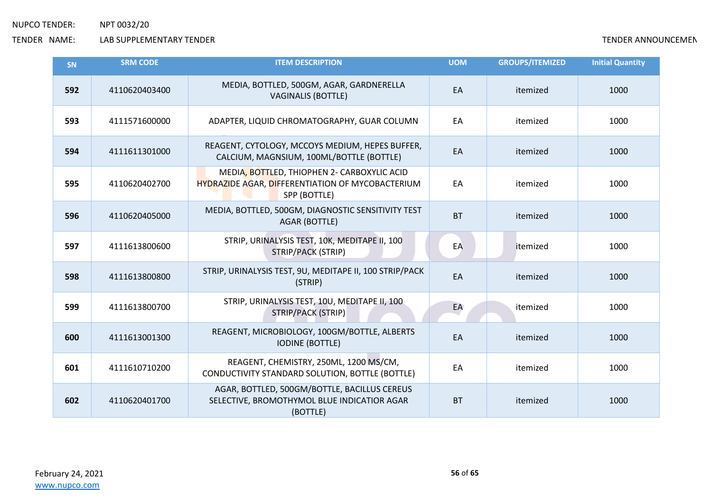| <b>SN</b> | <b>SRM CODE</b> | <b>ITEM DESCRIPTION</b>                                                                                         | <b>UOM</b> | <b>GROUPS/ITEMIZED</b> | <b>Initial Quantity</b> |
|-----------|-----------------|-----------------------------------------------------------------------------------------------------------------|------------|------------------------|-------------------------|
| 592       | 4110620403400   | MEDIA, BOTTLED, 500GM, AGAR, GARDNERELLA<br><b>VAGINALIS (BOTTLE)</b>                                           | EA         | itemized               | 1000                    |
| 593       | 4111571600000   | ADAPTER, LIQUID CHROMATOGRAPHY, GUAR COLUMN                                                                     | EA         | itemized               | 1000                    |
| 594       | 4111611301000   | REAGENT, CYTOLOGY, MCCOYS MEDIUM, HEPES BUFFER,<br>CALCIUM, MAGNSIUM, 100ML/BOTTLE (BOTTLE)                     | EA         | itemized               | 1000                    |
| 595       | 4110620402700   | MEDIA, BOTTLED, THIOPHEN 2- CARBOXYLIC ACID<br>HYDRAZIDE AGAR, DIFFERENTIATION OF MYCOBACTERIUM<br>SPP (BOTTLE) | EA         | itemized               | 1000                    |
| 596       | 4110620405000   | MEDIA, BOTTLED, 500GM, DIAGNOSTIC SENSITIVITY TEST<br><b>AGAR (BOTTLE)</b>                                      | <b>BT</b>  | itemized               | 1000                    |
| 597       | 4111613800600   | STRIP, URINALYSIS TEST, 10K, MEDITAPE II, 100<br><b>STRIP/PACK (STRIP)</b>                                      | EA         | itemized               | 1000                    |
| 598       | 4111613800800   | STRIP, URINALYSIS TEST, 9U, MEDITAPE II, 100 STRIP/PACK<br>(STRIP)                                              | EA         | itemized               | 1000                    |
| 599       | 4111613800700   | STRIP, URINALYSIS TEST, 10U, MEDITAPE II, 100<br><b>STRIP/PACK (STRIP)</b>                                      | EA         | itemized               | 1000                    |
| 600       | 4111613001300   | REAGENT, MICROBIOLOGY, 100GM/BOTTLE, ALBERTS<br><b>IODINE (BOTTLE)</b>                                          | EA         | itemized               | 1000                    |
| 601       | 4111610710200   | REAGENT, CHEMISTRY, 250ML, 1200 MS/CM,<br>CONDUCTIVITY STANDARD SOLUTION, BOTTLE (BOTTLE)                       | EA         | itemized               | 1000                    |
| 602       | 4110620401700   | AGAR, BOTTLED, 500GM/BOTTLE, BACILLUS CEREUS<br>SELECTIVE, BROMOTHYMOL BLUE INDICATIOR AGAR<br>(BOTTLE)         | <b>BT</b>  | itemized               | 1000                    |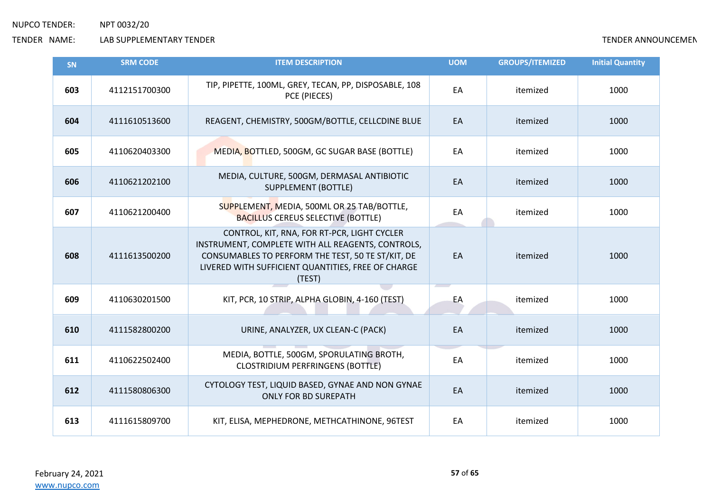| SN  | <b>SRM CODE</b> | <b>ITEM DESCRIPTION</b>                                                                                                                                                                                               | <b>UOM</b> | <b>GROUPS/ITEMIZED</b> | <b>Initial Quantity</b> |
|-----|-----------------|-----------------------------------------------------------------------------------------------------------------------------------------------------------------------------------------------------------------------|------------|------------------------|-------------------------|
| 603 | 4112151700300   | TIP, PIPETTE, 100ML, GREY, TECAN, PP, DISPOSABLE, 108<br>PCE (PIECES)                                                                                                                                                 | EA         | itemized               | 1000                    |
| 604 | 4111610513600   | REAGENT, CHEMISTRY, 500GM/BOTTLE, CELLCDINE BLUE                                                                                                                                                                      | EA         | itemized               | 1000                    |
| 605 | 4110620403300   | MEDIA, BOTTLED, 500GM, GC SUGAR BASE (BOTTLE)                                                                                                                                                                         | EA         | itemized               | 1000                    |
| 606 | 4110621202100   | MEDIA, CULTURE, 500GM, DERMASAL ANTIBIOTIC<br><b>SUPPLEMENT (BOTTLE)</b>                                                                                                                                              | EA         | itemized               | 1000                    |
| 607 | 4110621200400   | SUPPLEMENT, MEDIA, 500ML OR 25 TAB/BOTTLE,<br><b>BACILLUS CEREUS SELECTIVE (BOTTLE)</b>                                                                                                                               | EA         | itemized               | 1000                    |
| 608 | 4111613500200   | CONTROL, KIT, RNA, FOR RT-PCR, LIGHT CYCLER<br>INSTRUMENT, COMPLETE WITH ALL REAGENTS, CONTROLS,<br>CONSUMABLES TO PERFORM THE TEST, 50 TE ST/KIT, DE<br>LIVERED WITH SUFFICIENT QUANTITIES, FREE OF CHARGE<br>(TEST) | EA         | itemized               | 1000                    |
| 609 | 4110630201500   | KIT, PCR, 10 STRIP, ALPHA GLOBIN, 4-160 (TEST)                                                                                                                                                                        | EA         | itemized               | 1000                    |
| 610 | 4111582800200   | URINE, ANALYZER, UX CLEAN-C (PACK)                                                                                                                                                                                    | EA         | itemized               | 1000                    |
| 611 | 4110622502400   | MEDIA, BOTTLE, 500GM, SPORULATING BROTH,<br><b>CLOSTRIDIUM PERFRINGENS (BOTTLE)</b>                                                                                                                                   | EA         | itemized               | 1000                    |
| 612 | 4111580806300   | CYTOLOGY TEST, LIQUID BASED, GYNAE AND NON GYNAE<br><b>ONLY FOR BD SUREPATH</b>                                                                                                                                       | EA         | itemized               | 1000                    |
| 613 | 4111615809700   | KIT, ELISA, MEPHEDRONE, METHCATHINONE, 96TEST                                                                                                                                                                         | EA         | itemized               | 1000                    |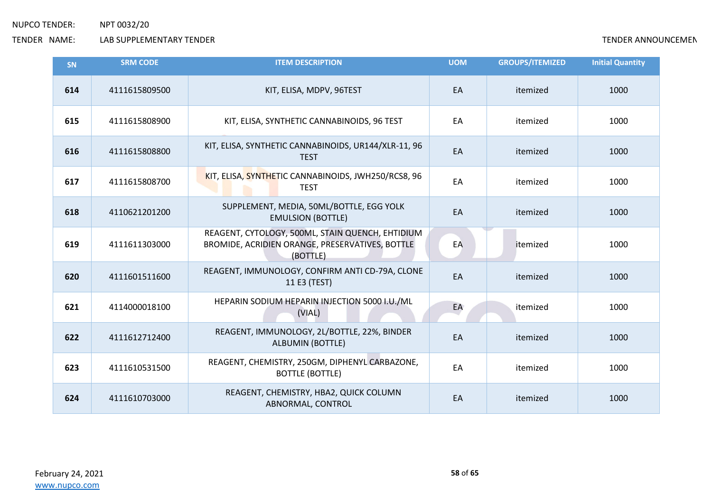| <b>SN</b> | <b>SRM CODE</b> | <b>ITEM DESCRIPTION</b>                                                                                         | <b>UOM</b> | <b>GROUPS/ITEMIZED</b> | <b>Initial Quantity</b> |
|-----------|-----------------|-----------------------------------------------------------------------------------------------------------------|------------|------------------------|-------------------------|
| 614       | 4111615809500   | KIT, ELISA, MDPV, 96TEST                                                                                        | EA         | itemized               | 1000                    |
| 615       | 4111615808900   | KIT, ELISA, SYNTHETIC CANNABINOIDS, 96 TEST                                                                     | EA         | itemized               | 1000                    |
| 616       | 4111615808800   | KIT, ELISA, SYNTHETIC CANNABINOIDS, UR144/XLR-11, 96<br><b>TEST</b>                                             | EA         | itemized               | 1000                    |
| 617       | 4111615808700   | KIT, ELISA, SYNTHETIC CANNABINOIDS, JWH250/RCS8, 96<br><b>TEST</b>                                              | EA         | itemized               | 1000                    |
| 618       | 4110621201200   | SUPPLEMENT, MEDIA, 50ML/BOTTLE, EGG YOLK<br><b>EMULSION (BOTTLE)</b>                                            | EA         | itemized               | 1000                    |
| 619       | 4111611303000   | REAGENT, CYTOLOGY, 500ML, STAIN QUENCH, EHTIDIUM<br>BROMIDE, ACRIDIEN ORANGE, PRESERVATIVES, BOTTLE<br>(BOTTLE) | EA         | itemized               | 1000                    |
| 620       | 4111601511600   | REAGENT, IMMUNOLOGY, CONFIRM ANTI CD-79A, CLONE<br>11 E3 (TEST)                                                 | EA         | itemized               | 1000                    |
| 621       | 4114000018100   | HEPARIN SODIUM HEPARIN INJECTION 5000 I.U./ML<br>(VIAL)                                                         | EA         | itemized               | 1000                    |
| 622       | 4111612712400   | REAGENT, IMMUNOLOGY, 2L/BOTTLE, 22%, BINDER<br><b>ALBUMIN (BOTTLE)</b>                                          | EA         | itemized               | 1000                    |
| 623       | 4111610531500   | REAGENT, CHEMISTRY, 250GM, DIPHENYL CARBAZONE,<br><b>BOTTLE (BOTTLE)</b>                                        | EA         | itemized               | 1000                    |
| 624       | 4111610703000   | REAGENT, CHEMISTRY, HBA2, QUICK COLUMN<br>ABNORMAL, CONTROL                                                     | EA         | itemized               | 1000                    |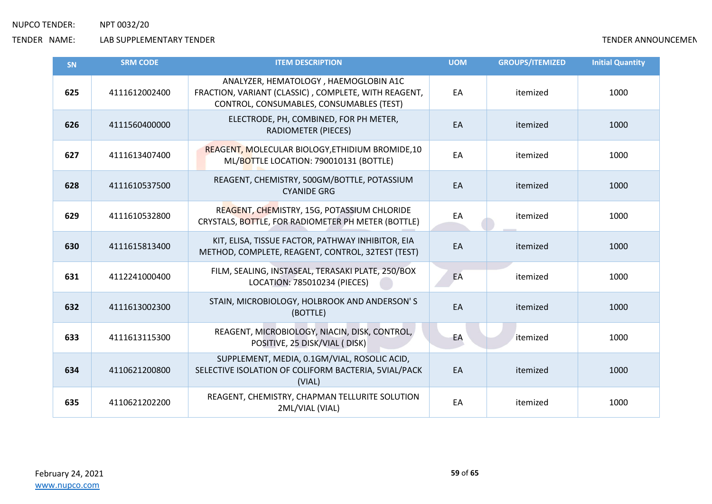| SN  | <b>SRM CODE</b> | <b>ITEM DESCRIPTION</b>                                                                                                                   | <b>UOM</b> | <b>GROUPS/ITEMIZED</b> | <b>Initial Quantity</b> |
|-----|-----------------|-------------------------------------------------------------------------------------------------------------------------------------------|------------|------------------------|-------------------------|
| 625 | 4111612002400   | ANALYZER, HEMATOLOGY, HAEMOGLOBIN A1C<br>FRACTION, VARIANT (CLASSIC), COMPLETE, WITH REAGENT,<br>CONTROL, CONSUMABLES, CONSUMABLES (TEST) | EA         | itemized               | 1000                    |
| 626 | 4111560400000   | ELECTRODE, PH, COMBINED, FOR PH METER,<br><b>RADIOMETER (PIECES)</b>                                                                      | EA         | itemized               | 1000                    |
| 627 | 4111613407400   | REAGENT, MOLECULAR BIOLOGY, ETHIDIUM BROMIDE, 10<br>ML/BOTTLE LOCATION: 790010131 (BOTTLE)                                                | EA         | itemized               | 1000                    |
| 628 | 4111610537500   | REAGENT, CHEMISTRY, 500GM/BOTTLE, POTASSIUM<br><b>CYANIDE GRG</b>                                                                         | EA         | itemized               | 1000                    |
| 629 | 4111610532800   | REAGENT, CHEMISTRY, 15G, POTASSIUM CHLORIDE<br>CRYSTALS, BOTTLE, FOR RADIOMETER PH METER (BOTTLE)                                         | EA         | itemized               | 1000                    |
| 630 | 4111615813400   | KIT, ELISA, TISSUE FACTOR, PATHWAY INHIBITOR, EIA<br>METHOD, COMPLETE, REAGENT, CONTROL, 32TEST (TEST)                                    | EA         | itemized               | 1000                    |
| 631 | 4112241000400   | FILM, SEALING, INSTASEAL, TERASAKI PLATE, 250/BOX<br>LOCATION: 785010234 (PIECES)                                                         | EA         | itemized               | 1000                    |
| 632 | 4111613002300   | STAIN, MICROBIOLOGY, HOLBROOK AND ANDERSON'S<br>(BOTTLE)                                                                                  | EA         | itemized               | 1000                    |
| 633 | 4111613115300   | REAGENT, MICROBIOLOGY, NIACIN, DISK, CONTROL,<br>POSITIVE, 25 DISK/VIAL (DISK)                                                            | EA         | itemized               | 1000                    |
| 634 | 4110621200800   | SUPPLEMENT, MEDIA, 0.1GM/VIAL, ROSOLIC ACID,<br>SELECTIVE ISOLATION OF COLIFORM BACTERIA, 5VIAL/PACK<br>(VIAL)                            | EA         | itemized               | 1000                    |
| 635 | 4110621202200   | REAGENT, CHEMISTRY, CHAPMAN TELLURITE SOLUTION<br>2ML/VIAL (VIAL)                                                                         | EA         | itemized               | 1000                    |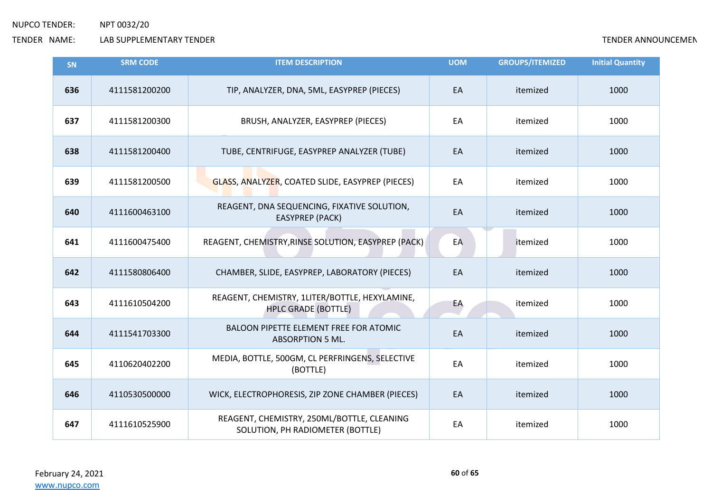| <b>SN</b> | <b>SRM CODE</b> | <b>ITEM DESCRIPTION</b>                                                        | <b>UOM</b> | <b>GROUPS/ITEMIZED</b> | <b>Initial Quantity</b> |
|-----------|-----------------|--------------------------------------------------------------------------------|------------|------------------------|-------------------------|
| 636       | 4111581200200   | TIP, ANALYZER, DNA, 5ML, EASYPREP (PIECES)                                     | EA         | itemized               | 1000                    |
| 637       | 4111581200300   | BRUSH, ANALYZER, EASYPREP (PIECES)                                             | EA         | itemized               | 1000                    |
| 638       | 4111581200400   | TUBE, CENTRIFUGE, EASYPREP ANALYZER (TUBE)                                     | EA         | itemized               | 1000                    |
| 639       | 4111581200500   | GLASS, ANALYZER, COATED SLIDE, EASYPREP (PIECES)                               | EA         | itemized               | 1000                    |
| 640       | 4111600463100   | REAGENT, DNA SEQUENCING, FIXATIVE SOLUTION,<br><b>EASYPREP (PACK)</b>          | EA         | itemized               | 1000                    |
| 641       | 4111600475400   | REAGENT, CHEMISTRY, RINSE SOLUTION, EASYPREP (PACK)                            | EA         | itemized               | 1000                    |
| 642       | 4111580806400   | CHAMBER, SLIDE, EASYPREP, LABORATORY (PIECES)                                  | EA         | itemized               | 1000                    |
| 643       | 4111610504200   | REAGENT, CHEMISTRY, 1LITER/BOTTLE, HEXYLAMINE,<br><b>HPLC GRADE (BOTTLE)</b>   | EA         | itemized               | 1000                    |
| 644       | 4111541703300   | <b>BALOON PIPETTE ELEMENT FREE FOR ATOMIC</b><br><b>ABSORPTION 5 ML.</b>       | EA         | itemized               | 1000                    |
| 645       | 4110620402200   | MEDIA, BOTTLE, 500GM, CL PERFRINGENS, SELECTIVE<br>(BOTTLE)                    | EA         | itemized               | 1000                    |
| 646       | 4110530500000   | WICK, ELECTROPHORESIS, ZIP ZONE CHAMBER (PIECES)                               | EA         | itemized               | 1000                    |
| 647       | 4111610525900   | REAGENT, CHEMISTRY, 250ML/BOTTLE, CLEANING<br>SOLUTION, PH RADIOMETER (BOTTLE) | EA         | itemized               | 1000                    |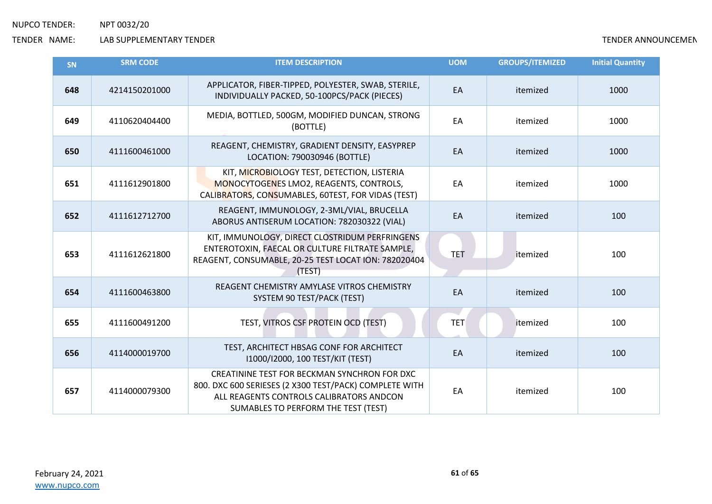| SN  | <b>SRM CODE</b> | <b>ITEM DESCRIPTION</b>                                                                                                                                                                   | <b>UOM</b> | <b>GROUPS/ITEMIZED</b> | <b>Initial Quantity</b> |
|-----|-----------------|-------------------------------------------------------------------------------------------------------------------------------------------------------------------------------------------|------------|------------------------|-------------------------|
| 648 | 4214150201000   | APPLICATOR, FIBER-TIPPED, POLYESTER, SWAB, STERILE,<br>INDIVIDUALLY PACKED, 50-100PCS/PACK (PIECES)                                                                                       | EA         | itemized               | 1000                    |
| 649 | 4110620404400   | MEDIA, BOTTLED, 500GM, MODIFIED DUNCAN, STRONG<br>(BOTTLE)                                                                                                                                | EA         | itemized               | 1000                    |
| 650 | 4111600461000   | REAGENT, CHEMISTRY, GRADIENT DENSITY, EASYPREP<br>LOCATION: 790030946 (BOTTLE)                                                                                                            | EA         | itemized               | 1000                    |
| 651 | 4111612901800   | KIT, MICROBIOLOGY TEST, DETECTION, LISTERIA<br>MONOCYTOGENES LMO2, REAGENTS, CONTROLS,<br>CALIBRATORS, CONSUMABLES, 60TEST, FOR VIDAS (TEST)                                              | EA         | itemized               | 1000                    |
| 652 | 4111612712700   | REAGENT, IMMUNOLOGY, 2-3ML/VIAL, BRUCELLA<br>ABORUS ANTISERUM LOCATION: 782030322 (VIAL)                                                                                                  | EA         | itemized               | 100                     |
| 653 | 4111612621800   | KIT, IMMUNOLOGY, DIRECT CLOSTRIDUM PERFRINGENS<br>ENTEROTOXIN, FAECAL OR CULTURE FILTRATE SAMPLE,<br>REAGENT, CONSUMABLE, 20-25 TEST LOCAT ION: 782020404<br>(TEST)                       | <b>TET</b> | itemized               | 100                     |
| 654 | 4111600463800   | REAGENT CHEMISTRY AMYLASE VITROS CHEMISTRY<br>SYSTEM 90 TEST/PACK (TEST)                                                                                                                  | EA         | itemized               | 100                     |
| 655 | 4111600491200   | TEST, VITROS CSF PROTEIN OCD (TEST)                                                                                                                                                       | <b>TET</b> | itemized               | 100                     |
| 656 | 4114000019700   | TEST, ARCHITECT HBSAG CONF FOR ARCHITECT<br>I1000/I2000, 100 TEST/KIT (TEST)                                                                                                              | EA         | itemized               | 100                     |
| 657 | 4114000079300   | CREATININE TEST FOR BECKMAN SYNCHRON FOR DXC<br>800. DXC 600 SERIESES (2 X300 TEST/PACK) COMPLETE WITH<br>ALL REAGENTS CONTROLS CALIBRATORS ANDCON<br>SUMABLES TO PERFORM THE TEST (TEST) | EA         | itemized               | 100                     |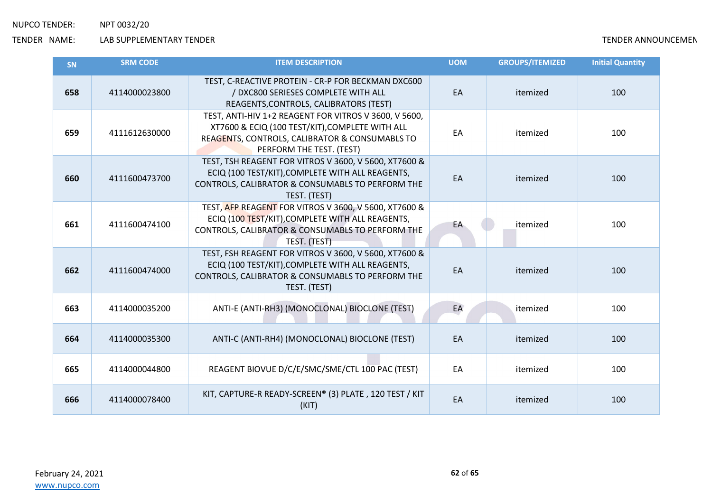| SN  | <b>SRM CODE</b> | <b>ITEM DESCRIPTION</b>                                                                                                                                                                | <b>UOM</b> | <b>GROUPS/ITEMIZED</b> | <b>Initial Quantity</b> |
|-----|-----------------|----------------------------------------------------------------------------------------------------------------------------------------------------------------------------------------|------------|------------------------|-------------------------|
| 658 | 4114000023800   | TEST, C-REACTIVE PROTEIN - CR-P FOR BECKMAN DXC600<br>/ DXC800 SERIESES COMPLETE WITH ALL<br>REAGENTS, CONTROLS, CALIBRATORS (TEST)                                                    | EA         | itemized               | 100                     |
| 659 | 4111612630000   | TEST, ANTI-HIV 1+2 REAGENT FOR VITROS V 3600, V 5600,<br>XT7600 & ECIQ (100 TEST/KIT), COMPLETE WITH ALL<br>REAGENTS, CONTROLS, CALIBRATOR & CONSUMABLS TO<br>PERFORM THE TEST. (TEST) | EA         | itemized               | 100                     |
| 660 | 4111600473700   | TEST, TSH REAGENT FOR VITROS V 3600, V 5600, XT7600 &<br>ECIQ (100 TEST/KIT), COMPLETE WITH ALL REAGENTS,<br>CONTROLS, CALIBRATOR & CONSUMABLS TO PERFORM THE<br>TEST. (TEST)          | EA         | itemized               | 100                     |
| 661 | 4111600474100   | TEST, AFP REAGENT FOR VITROS V 3600, V 5600, XT7600 &<br>ECIQ (100 TEST/KIT), COMPLETE WITH ALL REAGENTS,<br>CONTROLS, CALIBRATOR & CONSUMABLS TO PERFORM THE<br>TEST. (TEST)          | EA         | itemized               | 100                     |
| 662 | 4111600474000   | TEST, FSH REAGENT FOR VITROS V 3600, V 5600, XT7600 &<br>ECIQ (100 TEST/KIT), COMPLETE WITH ALL REAGENTS,<br>CONTROLS, CALIBRATOR & CONSUMABLS TO PERFORM THE<br>TEST. (TEST)          | EA         | itemized               | 100                     |
| 663 | 4114000035200   | ANTI-E (ANTI-RH3) (MONOCLONAL) BIOCLONE (TEST)                                                                                                                                         | EA         | itemized               | 100                     |
| 664 | 4114000035300   | ANTI-C (ANTI-RH4) (MONOCLONAL) BIOCLONE (TEST)                                                                                                                                         | EA         | itemized               | 100                     |
| 665 | 4114000044800   | REAGENT BIOVUE D/C/E/SMC/SME/CTL 100 PAC (TEST)                                                                                                                                        | EA         | itemized               | 100                     |
| 666 | 4114000078400   | KIT, CAPTURE-R READY-SCREEN® (3) PLATE, 120 TEST / KIT<br>(KIT)                                                                                                                        | EA         | itemized               | 100                     |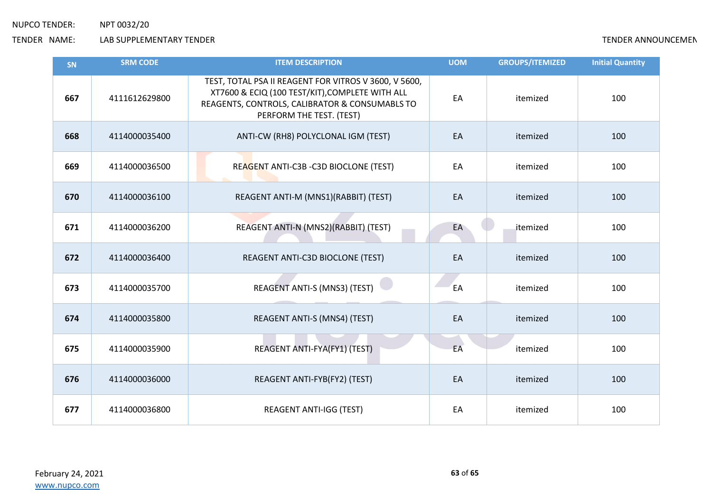| <b>SN</b> | <b>SRM CODE</b> | <b>ITEM DESCRIPTION</b>                                                                                                                                                                | <b>UOM</b> | <b>GROUPS/ITEMIZED</b> | <b>Initial Quantity</b> |
|-----------|-----------------|----------------------------------------------------------------------------------------------------------------------------------------------------------------------------------------|------------|------------------------|-------------------------|
| 667       | 4111612629800   | TEST, TOTAL PSA II REAGENT FOR VITROS V 3600, V 5600,<br>XT7600 & ECIQ (100 TEST/KIT), COMPLETE WITH ALL<br>REAGENTS, CONTROLS, CALIBRATOR & CONSUMABLS TO<br>PERFORM THE TEST. (TEST) | EA         | itemized               | 100                     |
| 668       | 4114000035400   | ANTI-CW (RH8) POLYCLONAL IGM (TEST)                                                                                                                                                    | EA         | itemized               | 100                     |
| 669       | 4114000036500   | REAGENT ANTI-C3B -C3D BIOCLONE (TEST)                                                                                                                                                  | EA         | itemized               | 100                     |
| 670       | 4114000036100   | REAGENT ANTI-M (MNS1)(RABBIT) (TEST)                                                                                                                                                   | EA         | itemized               | 100                     |
| 671       | 4114000036200   | REAGENT ANTI-N (MNS2)(RABBIT) (TEST)                                                                                                                                                   | EA         | itemized               | 100                     |
| 672       | 4114000036400   | REAGENT ANTI-C3D BIOCLONE (TEST)                                                                                                                                                       | EA         | itemized               | 100                     |
| 673       | 4114000035700   | <b>REAGENT ANTI-S (MNS3) (TEST)</b>                                                                                                                                                    | EA         | itemized               | 100                     |
| 674       | 4114000035800   | REAGENT ANTI-S (MNS4) (TEST)                                                                                                                                                           | EA         | itemized               | 100                     |
| 675       | 4114000035900   | REAGENT ANTI-FYA(FY1) (TEST)                                                                                                                                                           | EA         | itemized               | 100                     |
| 676       | 4114000036000   | REAGENT ANTI-FYB(FY2) (TEST)                                                                                                                                                           | EA         | itemized               | 100                     |
| 677       | 4114000036800   | <b>REAGENT ANTI-IGG (TEST)</b>                                                                                                                                                         | EA         | itemized               | 100                     |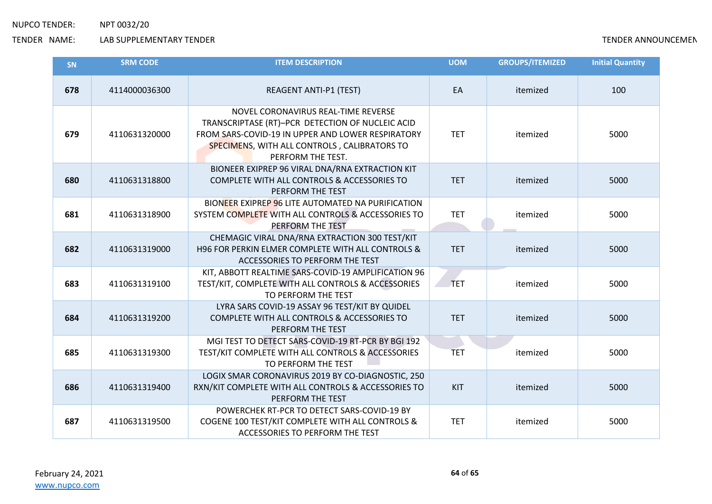| SN  | <b>SRM CODE</b> | <b>ITEM DESCRIPTION</b>                                                                                                                                                                                           | <b>UOM</b> | <b>GROUPS/ITEMIZED</b> | <b>Initial Quantity</b> |
|-----|-----------------|-------------------------------------------------------------------------------------------------------------------------------------------------------------------------------------------------------------------|------------|------------------------|-------------------------|
| 678 | 4114000036300   | <b>REAGENT ANTI-P1 (TEST)</b>                                                                                                                                                                                     | EA         | itemized               | 100                     |
| 679 | 4110631320000   | NOVEL CORONAVIRUS REAL-TIME REVERSE<br>TRANSCRIPTASE (RT)-PCR DETECTION OF NUCLEIC ACID<br>FROM SARS-COVID-19 IN UPPER AND LOWER RESPIRATORY<br>SPECIMENS, WITH ALL CONTROLS, CALIBRATORS TO<br>PERFORM THE TEST. | <b>TET</b> | itemized               | 5000                    |
| 680 | 4110631318800   | BIONEER EXIPREP 96 VIRAL DNA/RNA EXTRACTION KIT<br>COMPLETE WITH ALL CONTROLS & ACCESSORIES TO<br>PERFORM THE TEST                                                                                                | <b>TET</b> | itemized               | 5000                    |
| 681 | 4110631318900   | BIONEER EXIPREP 96 LITE AUTOMATED NA PURIFICATION<br>SYSTEM COMPLETE WITH ALL CONTROLS & ACCESSORIES TO<br>PERFORM THE TEST                                                                                       | <b>TET</b> | itemized               | 5000                    |
| 682 | 4110631319000   | CHEMAGIC VIRAL DNA/RNA EXTRACTION 300 TEST/KIT<br>H96 FOR PERKIN ELMER COMPLETE WITH ALL CONTROLS &<br>ACCESSORIES TO PERFORM THE TEST                                                                            | <b>TET</b> | itemized               | 5000                    |
| 683 | 4110631319100   | KIT, ABBOTT REALTIME SARS-COVID-19 AMPLIFICATION 96<br>TEST/KIT, COMPLETE WITH ALL CONTROLS & ACCESSORIES<br>TO PERFORM THE TEST                                                                                  | <b>TET</b> | itemized               | 5000                    |
| 684 | 4110631319200   | LYRA SARS COVID-19 ASSAY 96 TEST/KIT BY QUIDEL<br>COMPLETE WITH ALL CONTROLS & ACCESSORIES TO<br>PERFORM THE TEST                                                                                                 | <b>TET</b> | itemized               | 5000                    |
| 685 | 4110631319300   | MGI TEST TO DETECT SARS-COVID-19 RT-PCR BY BGI 192<br>TEST/KIT COMPLETE WITH ALL CONTROLS & ACCESSORIES<br>TO PERFORM THE TEST                                                                                    | <b>TET</b> | itemized               | 5000                    |
| 686 | 4110631319400   | LOGIX SMAR CORONAVIRUS 2019 BY CO-DIAGNOSTIC, 250<br>RXN/KIT COMPLETE WITH ALL CONTROLS & ACCESSORIES TO<br>PERFORM THE TEST                                                                                      | <b>KIT</b> | itemized               | 5000                    |
| 687 | 4110631319500   | POWERCHEK RT-PCR TO DETECT SARS-COVID-19 BY<br>COGENE 100 TEST/KIT COMPLETE WITH ALL CONTROLS &<br>ACCESSORIES TO PERFORM THE TEST                                                                                | <b>TET</b> | itemized               | 5000                    |